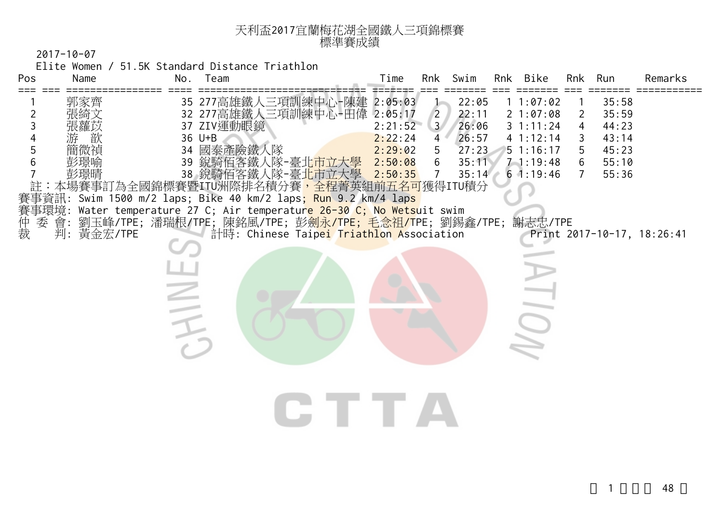| 天利盃2017宜蘭梅花湖全國鐵人三項錦標賽 |  |
|-----------------------|--|
| 標準賽成績                 |  |

Elite Women / 51.5K Standard Distance Triathlon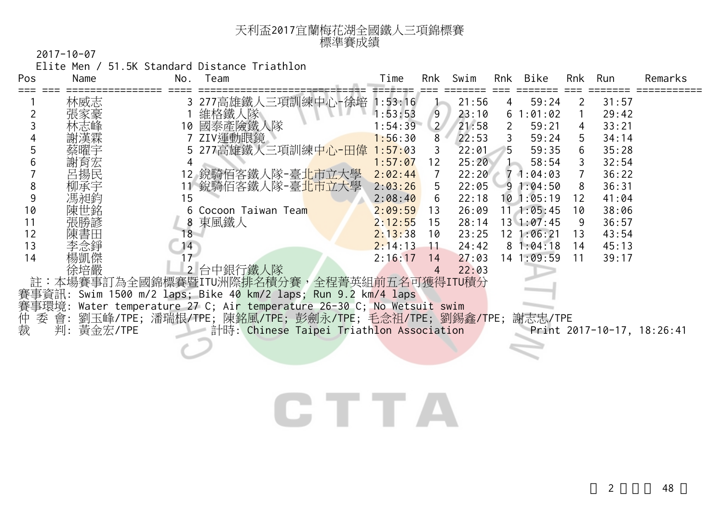| 天利盃2017宜蘭梅花湖全國鐵人三項錦標賽 |  |
|-----------------------|--|
| 標準賽成績                 |  |

Elite Men / 51.5K Standard Distance Triathlon

| Pos | Name          | No. | Team                                                             | Time    | Rnk            | Swim  | Rnk            | Bike               | Rnk | Run   | Remarks                    |
|-----|---------------|-----|------------------------------------------------------------------|---------|----------------|-------|----------------|--------------------|-----|-------|----------------------------|
|     | 林威志           |     | 277高雄鐵人三項訓練中心-徐培                                                 | 1:53:16 |                | 21:56 | $\overline{4}$ | 59:24              | 2   | 31:57 |                            |
|     |               |     | 維格鐵人隊                                                            | 1:53:53 | 9              | 23:10 |                | 61:01:02           |     | 29:42 |                            |
|     |               | 10  | 國泰產險鐵人隊                                                          | 1:54:39 | $\overline{2}$ | 21:58 | 2              | 59:21              |     | 33:21 |                            |
|     |               |     | ZIV運動眼鏡                                                          | 1:56:30 | 8              | 22:53 | 3              | 59:24              | 5   | 34:14 |                            |
|     |               |     | 5 277高雄鐵人三項訓練中心-田偉                                               | 1:57:03 | 3              | 22:01 | 5              | 59:35              | 6   | 35:28 |                            |
|     |               |     |                                                                  | 1:57:07 | 12             | 25:20 |                | 58:54              |     | 32:54 |                            |
|     | 呂揚民           |     | 12 銳騎佰客鐵人隊-臺 <mark>北市立大學</mark>                                  | 2:02:44 | $\overline{7}$ | 22:20 |                | 71:04:03           |     | 36:22 |                            |
| 8   | 柳承宇           |     | 11 銳騎佰客鐵人隊-臺北市立大學                                                | 2:03:26 | 5.             | 22:05 |                | 91:04:50           |     | 36:31 |                            |
| 9   | 馬昶能           | 15  |                                                                  | 2:08:40 | 6              | 22:18 |                | 101:05:19          | 12  | 41:04 |                            |
| 10  |               |     | 6 Cocoon Taiwan Team                                             | 2:09:59 | 13             | 26:09 |                | $11 \quad 1:05:45$ | 10  | 38:06 |                            |
| 11  |               |     | 8 東風鐵人                                                           | 2:12:55 | 15             | 28:14 |                | 13'1:07:45         | 9   | 36:57 |                            |
| 12  |               | 18  |                                                                  | 2:13:38 | 10             | 23:25 |                | 12 1:06:21         | 13  | 43:54 |                            |
| 13  | 李念錚           | 14  |                                                                  | 2:14:13 | $-11$          | 24:42 |                | 81:04:18           | 14  | 45:13 |                            |
| 14  | 楊凱傑           |     |                                                                  | 2:16:17 | 14             | 27:03 |                | 14 1:09:59         | 11  | 39:17 |                            |
|     | 徐培嚴           |     | 2 台中銀行鐵人隊                                                        |         | 4              | 22:03 |                |                    |     |       |                            |
|     |               |     | 註:本場賽事訂為全國錦標賽暨ITU洲際排名積分賽,全程菁英組前五名可獲得ITU積分                        |         |                |       |                |                    |     |       |                            |
|     |               |     | 賽事資訊: Swim 1500 m/2 laps; Bike 40 km/2 laps; Run 9.2 km/4 laps   |         |                |       |                |                    |     |       |                            |
|     | 事環境:          |     | Water temperature 27 C; Air temperature 26-30 C; No Wetsuit swim |         |                |       |                |                    |     |       |                            |
|     |               |     | 委 會: 劉玉峰/TPE; 潘瑞根/TPE; 陳銘風/TPE; 彭劍永/TPE; 毛念祖/TPE; 劉錫鑫/TPE;       |         |                |       |                | 謝志忠/TPE            |     |       |                            |
| 仲裁  | 黃金宏/TPE<br>判: |     | 計時: Chinese Taipei Triathlon Association                         |         |                |       |                |                    |     |       | Print 2017-10-17, 18:26:41 |
|     |               |     |                                                                  |         |                |       |                |                    |     |       |                            |

## CTTA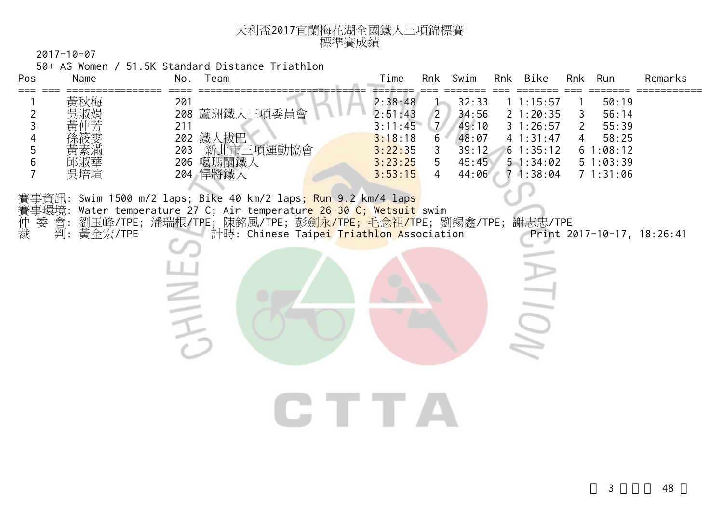| 天利盃2017宜蘭梅花湖全國鐵人三項錦標賽 |  |
|-----------------------|--|
| 標準賽成績                 |  |

50+ AG Women / 51.5K Standard Distance Triathlon

| Pos<br>===            | Name               | No.<br>Team                                                                                                                                                       | Rnk Bike<br>Time<br>Swim<br>Run<br>Remarks<br>Rnk<br>Rnk                                                                                                                                                                                                                                                                                                                         |
|-----------------------|--------------------|-------------------------------------------------------------------------------------------------------------------------------------------------------------------|----------------------------------------------------------------------------------------------------------------------------------------------------------------------------------------------------------------------------------------------------------------------------------------------------------------------------------------------------------------------------------|
| 2<br>3<br>4<br>5<br>6 | 黃秋梅<br>邱淑華<br>吳培瑄  | 201<br>208 蘆洲鐵人三項委員會<br>211<br>202 鐵人拔巴<br>203 新北市三項運動協會<br>206 噶瑪蘭鐵人<br>204 悍將鐵人                                                                                 | 2:38:48<br>32:33<br>50:19<br>11:15:57<br>2:51:43<br>34:56<br>21:20:35<br>56:14<br>$\mathbf{2}$<br>3<br>$\mathcal{I}$<br>49:10<br>3:11:45<br>31:26:57<br>55:39<br>2<br>6<br>48:07<br>3:18:18<br>41:31:47<br>58:25<br>3:22:35<br>39:12<br>61:35:12<br>61:08:12<br>3<br>5<br>3:23:25<br>45:45<br>51:34:02<br>51:03:39<br>3:53:15<br>71:38:04<br>71:31:06<br>$\overline{4}$<br>44:06 |
| 仲裁                    | 委 會:<br>判: 黃金宏/TPE | 賽事資訊: Swim 1500 m/2 laps; Bike 40 km/2 laps <mark>; Run 9.2 km/4 laps</mark><br>賽事環境: Water temperature 27 C; Air temperatur <mark>e 26-30 C; Wetsuit</mark> swim | 劉玉峰/TPE;潘瑞根/TPE;陳銘風/TPE;彭 <mark>劍永/TPE;毛念祖/T</mark> PE;劉錫鑫/TPE;謝志忠/TPE<br>計時: Chinese Taipei Triathlon Association<br>Print 2017-10-17, 18:26:41<br><b>IDI</b><br>IE TE                                                                                                                                                                                                          |
|                       |                    |                                                                                                                                                                   |                                                                                                                                                                                                                                                                                                                                                                                  |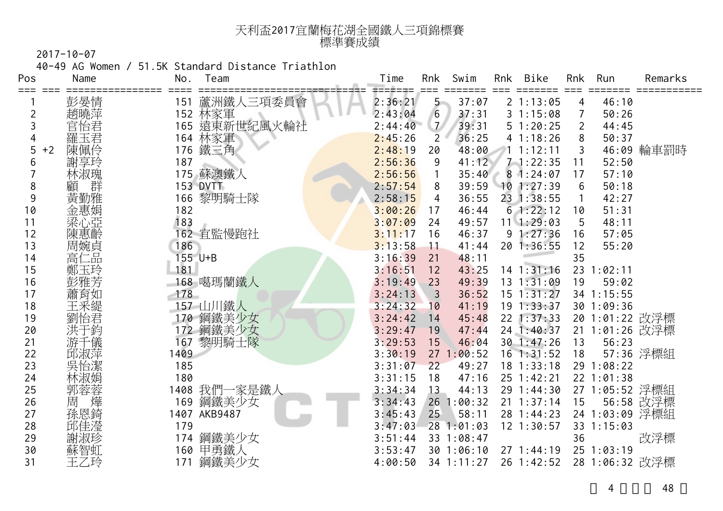| 天利盃2017宜蘭梅花湖全國鐵人三項錦標賽 |
|-----------------------|
| 標準賽成績                 |

40-49 AG Women / 51.5K Standard Distance Triathlon

| Pos       | Name                                                                                                 | No.<br>Team             | Time              | Rnk             | Swim       | Rnk | Bike           | Rnk            | Run            | Remarks    |
|-----------|------------------------------------------------------------------------------------------------------|-------------------------|-------------------|-----------------|------------|-----|----------------|----------------|----------------|------------|
|           | 彭晏情                                                                                                  | 蘆洲鐵人三項委員會<br>151        | ==≠===<br>2:36:21 | $5 -$           | 37:07      |     | 21:13:05       | 4              | 46:10          |            |
| 2         | 趙曉萍                                                                                                  | 林家軍<br>遠東新世紀風火輪社<br>152 | 2:43:04           | $6\overline{6}$ | 37:31      |     | 31:15:08       | 7              | 50:26          |            |
| 3         | 官怡君                                                                                                  | 165                     | 2:44:40           | $\mathcal{I}$   | 39:31      |     | 51:20:25       | $\overline{2}$ | 44:45          |            |
| 4         | 羅玉君                                                                                                  | 林家軍<br>164              | 2:45:26           | $\overline{2}$  | 36:25      |     | 41:18:26       | 8              | 50:37          |            |
| 5<br>$+2$ | 陳佩伶                                                                                                  | 鐵三角<br>176              | 2:48:19           | 20              | 48:00      |     | 1.1:12:11      | 3              |                | 46:09 輪車罰時 |
| 6         | 謝享玲                                                                                                  | 187                     | 2:56:36           | 9               | 41:12      |     | $7 - 1:22:35$  | 11             | 52:50          |            |
|           | 林淑瑰                                                                                                  | 175 蘇澳鐵人                | 2:56:56           | $\mathbf{1}$    | 35:40      |     | 81:24:07       | 17             | 57:10          |            |
| 8         | 詳<br>顧                                                                                               | <b>153 DVTT</b>         | 2:57:54           | 8               | 39:59      |     | 101:27:39      | 6              | 50:18          |            |
| 9         | 黃勤雅                                                                                                  | 166 黎明騎士隊               | 2:58:15           | 4               | 36:55      |     | 23 1:38:55     |                | 42:27          |            |
| 10        | 金惠娟                                                                                                  | 182                     | 3:00:26           | 17              | 46:44      |     | 61:22:12       | 10             | 51:31          |            |
| 11        | 粱心亞                                                                                                  | 183                     | 3:07:09           | 24              | 49:57      |     | $11 \t1:29:03$ | 5              | 48:11          |            |
| 12        | 陳惠齡                                                                                                  | 162 宜監慢跑社               | 3:11:17           | 16              | 46:37      |     | 91:27:36       | 16             | 57:05          |            |
| 13        | 周婉貞                                                                                                  | 186                     | 3:13:58           | $\overline{11}$ | 41:44      |     | 20 1:36:55     | 12             | 55:20          |            |
| 14        | 高仁品                                                                                                  | 155 U+B                 | 3:16:39           | 21              | 48:11      |     |                | 35             |                |            |
| 15        | 鄭玉玲                                                                                                  | 181                     | 3:16:51           | 12              | 43:25      |     | $14$ 1:31:16   |                | 23 1:02:11     |            |
| 16        | 彭雅芳                                                                                                  | 168 噶瑪蘭鐵人               | 3:19:49           | 23              | 49:39      |     | 13 1:31:09     | 19             | 59:02          |            |
| 17        | 蕭育如                                                                                                  | 178                     | 3:24:13           | $\overline{3}$  | 36:52      |     | $15$ $1:31:27$ |                | 34 1:15:55     |            |
| 18        | 王采緹                                                                                                  | 157 山川鐵人                | 3:24:32           | 10              | 41:19      |     | $19$ $1:33:37$ |                | 30 1:09:36     |            |
| 19        | 劉怡君                                                                                                  | 170 鋼鐵美少女               | 3:24:42           | 14              | 45:48      |     | $22$ 1:37:33   |                | 20 1:01:22 改浮標 |            |
| 20        |                                                                                                      | 鋼鐵美少女<br>172            | 3:29:47           | 19              | 47:44      |     | 24 1:40:37     |                | 21 1:01:26 改浮標 |            |
| 21        | 「儀                                                                                                   | 黎明騎士隊<br>167            | 3:29:53           | 15              | 46:04      |     | 30 1:47:26     | 13             | 56:23          |            |
| 22        | 邱淑萍                                                                                                  | 1409                    | 3:30:19           |                 | 271:00:52  |     | $16$ 1:31:52   | 18             |                | 57:36 浮標組  |
| 23        | 吳怡潔                                                                                                  | 185                     | 3:31:07           | 22              | 49:27      |     | $18$ 1:33:18   |                | 29 1:08:22     |            |
| 24        | 林淑娟                                                                                                  | 180                     | 3:31:15           | 18              | 47:16      |     | 25 1:42:21     |                | 22 1:01:38     |            |
| 25        | ·郭周孫<br><br><br><br><br><br><br><br><br><br><br><br><br><br><br><br><br><br><br><br><br><br><br><br> | 我們一家是鐵人<br>1408         | 3:34:34           | 13              | 44:13      |     | 29 1:44:30     |                | 27 1:05:52 浮標組 |            |
| 26        |                                                                                                      | 鋼鐵美少女<br>169            | 3:34:43           |                 | 26 1:00:32 |     | $21 \t1:37:14$ | 15             |                | 56:58 改浮標  |
| 27        |                                                                                                      | 1407 AKB9487            | 3:45:43           | 25              | 58:11      |     | 28 1:44:23     |                | 24 1:03:09 浮標組 |            |
| 28        | 邱佳瀅                                                                                                  | 179                     | 3:47:03           |                 | 28 1:01:03 |     | 12 1:30:57     |                | 33 1:15:03     |            |
| 29        | 謝淑珍                                                                                                  | 鋼鐵美少女<br>174            | 3:51:44           |                 | 33 1:08:47 |     |                | 36             |                | 改浮標        |
| 30        | 蘇智虹                                                                                                  | 160 甲勇鐵人                | 3:53:47           |                 | 301:06:10  |     | 271:44:19      |                | 251:03:19      |            |
| 31        | 王乙玲                                                                                                  | 鋼鐵美少女<br>171            | 4:00:50           |                 | 34 1:11:27 |     | 26 1:42:52     |                | 28 1:06:32 改浮標 |            |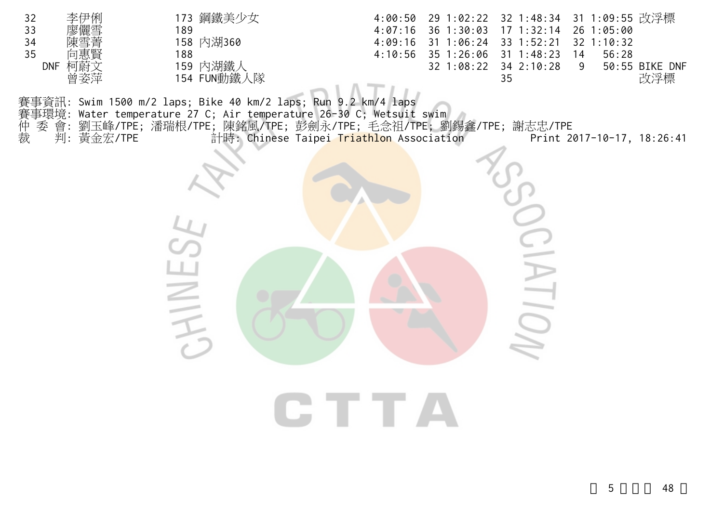| 32<br>李伊俐<br>33<br>34<br>35<br>DNF 柯蔚文<br>曾姿萍 | 173 鋼鐵美少女<br>189<br>158 内湖360<br>188<br>159 内湖鐵人<br>154 FUN動鐵人隊                                                                                                                                                                            | 4:07:16<br>4:09:16<br>4:10:56 | 36 1:30:03<br>$31 \t1:06:24$<br>35 1:26:06<br>32 1:08:22 | 4:00:50 29 1:02:22 32 1:48:34 31 1:09:55 改浮標<br>$17 \t1:32:14$<br>33 1:52:21<br>$31 \t1:48:23$<br>34 2:10:28<br>35 | 26 1:05:00<br>32 1:10:32<br>56:28<br>14<br>9 | 50:55 BIKE DNF<br>改浮標 |
|-----------------------------------------------|--------------------------------------------------------------------------------------------------------------------------------------------------------------------------------------------------------------------------------------------|-------------------------------|----------------------------------------------------------|--------------------------------------------------------------------------------------------------------------------|----------------------------------------------|-----------------------|
| 委<br>仲裁<br>會:<br>判: 黃金宏/TPE                   | 事資訊: Swim 1500 m/2 laps; Bike 40 km/2 laps; Run 9.2 km/4 laps<br>事環境: Water temperature 27 C; Air temperature 26-30 C; Wetsuit swim<br>劉玉峰/TPE;潘瑞根/TPE;陳銘風/TPE;彭劍永/TPE;毛念祖/TPE;劉錫鑫/TPE;謝志忠/TPE<br>計時: Chinese Taipei Triathlon Association |                               |                                                          |                                                                                                                    | Print 2017-10-17, 18:26:41                   |                       |
|                                               |                                                                                                                                                                                                                                            |                               |                                                          |                                                                                                                    |                                              |                       |
|                                               |                                                                                                                                                                                                                                            |                               |                                                          |                                                                                                                    |                                              |                       |
|                                               | $\leq$<br>$\equiv$                                                                                                                                                                                                                         |                               |                                                          |                                                                                                                    |                                              |                       |

CTTA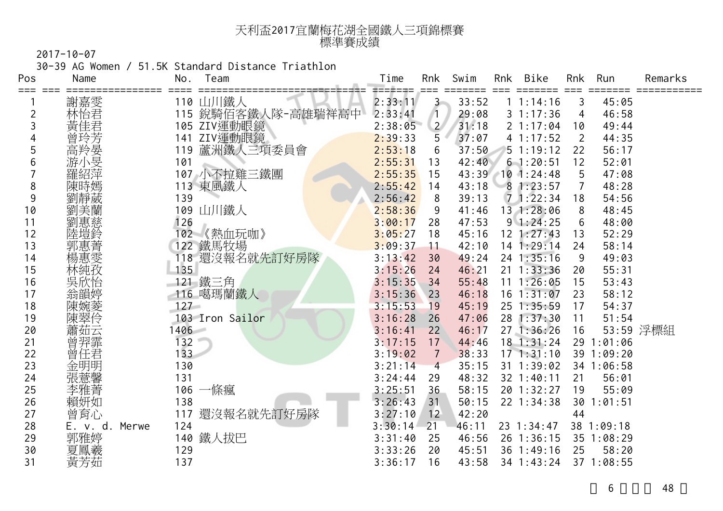| 天利盃2017宜蘭梅花湖全國鐵人三項錦標賽 |  |
|-----------------------|--|
| 標準賽成績                 |  |

30-39 AG Women / 51.5K Standard Distance Triathlon

| Pos | Name           | No.     | Team            | Time    | Rnk            | Swim  | Rnk | Bike           | Rnk            | Run        | Remarks   |
|-----|----------------|---------|-----------------|---------|----------------|-------|-----|----------------|----------------|------------|-----------|
|     | 謝嘉雯            |         | 110 山川鐵人        | 2:33:11 | $3 -$          | 33:52 |     | 1 1:14:16      | 3              | 45:05      |           |
| 2   | 林怡君            | 115     | 銳騎佰客鐵人隊-高雄瑞祥高中  | 2:33:41 |                | 29:08 |     | 31:17:36       | 4              | 46:58      |           |
| 3   | 黃佳君            | 105     | ZIV運動眼鏡         | 2:38:05 | $\overline{2}$ | 31:18 |     | 21:17:04       | 10             | 49:44      |           |
|     | 〈曾高游」          | 141     | ZIV運動眼鏡         | 2:39:33 | 5              | 37:07 |     | 41:17:52       | $\overline{2}$ | 44:35      |           |
| 5   |                | 119     | 蘆洲鐵人三項委員會       | 2:53:18 | 6              | 37:50 |     | 51:19:12       | 22             | 56:17      |           |
| 6   |                | 101     |                 | 2:55:31 | 13             | 42:40 |     | 61:20:51       | 12             | 52:01      |           |
|     | 羅紹萍            |         | 107 小不拉雞三鐵團     | 2:55:35 | 15             | 43:39 |     | $10$ 1:24:48   | 5              | 47:08      |           |
| 8   | 陳時嫣            |         | 113 東風鐵人        | 2:55:42 | 14             | 43:18 |     | 81:23:57       |                | 48:28      |           |
| 9   | 劉靜葳            | 139     |                 | 2:56:42 | 8              | 39:13 |     | 71:22:34       | 18             | 54:56      |           |
| 10  | 劉美蘭            | 109     | 山川鐵人            | 2:58:36 | 9              | 41:46 |     | 13 1:28:06     | 8              | 48:45      |           |
| 11  | 劉惠慈            | 126     |                 | 3:00:17 | 28             | 47:53 |     | 91:24:25       | 6              | 48:00      |           |
| 12  | 陸塏鈴            | 02      | 《熱血玩咖》          | 3:05:27 | 18             | 45:16 |     | $12$ $1:27:43$ | 13             | 52:29      |           |
| 13  | 郭惠菁            |         | 122 鐵馬牧場        | 3:09:37 | 11             | 42:10 |     | $14$ 1:29:14   | 24             | 58:14      |           |
| 14  | 楊惠雯            |         | 118 還沒報名就先訂好房隊  | 3:13:42 | 30             | 49:24 |     | 24 1:35:16     | 9              | 49:03      |           |
| 15  | 林純孜            | 135     |                 | 3:15:26 | 24             | 46:21 |     | $21 \t1:33:36$ | 20             | 55:31      |           |
| 16  | 吳欣怡            |         | 121 鐵三角         | 3:15:35 | 34             | 55:48 |     | $11 \t1:26:05$ | 15             | 53:43      |           |
| 17  | 翁韻婷            |         | 116 噶瑪蘭鐵人       | 3:15:36 | 23             | 46:18 |     | $16$ $1:31:07$ | 23             | 58:12      |           |
| 18  |                | $127 -$ |                 | 3:15:53 | 19             | 45:19 |     | 25 1:35:59     | 17             | 54:37      |           |
| 19  |                |         | 103 Iron Sailor | 3:16:28 | 26             | 47:06 |     | 28 1:37:30     | 11             | 51:54      |           |
| 20  | 蕭茹云            | 1406    |                 | 3:16:41 | 22             | 46:17 |     | 271:36:26      | 16             |            | 53:59 浮標組 |
| 21  | 曾羿霏            | 132     |                 | 3:17:15 | 17             | 44:46 |     | $18$ 1:31:24   |                | 29 1:01:06 |           |
| 22  | 曾任君            | 133     |                 | 3:19:02 | 7              | 38:33 |     | 171:31:10      |                | 39 1:09:20 |           |
| 23  | 金明明            | 130     |                 | 3:21:14 | $\overline{4}$ | 35:15 |     | 31 1:39:02     |                | 34 1:06:58 |           |
| 24  | 張薏馨            | 131     |                 | 3:24:44 | 29             | 48:32 |     | 32 1:40:11     | 21             | 56:01      |           |
| 25  | 李雅菁            | 106     | 一條瘋             | 3:25:51 | 36             | 58:15 |     | 20 1:32:27     | 19             | 55:09      |           |
| 26  | 賴妍如            | 138     |                 | 3:26:43 | 31             | 50:15 |     | 22 1:34:38     | 30             | 1:01:51    |           |
| 27  | 曾育心            | 117     | 還沒報名就先訂好房隊      | 3:27:10 | 12             | 42:20 |     |                | 44             |            |           |
| 28  | E. v. d. Merwe | 124     |                 | 3:30:14 | 21             | 46:11 |     | 23 1:34:47     |                | 38 1:09:18 |           |
| 29  | 郭雅婷            | 140     | 鐵人拔巴            | 3:31:40 | 25             | 46:56 |     | 26 1:36:15     |                | 35 1:08:29 |           |
| 30  | 夏鳳羲            | 129     |                 | 3:33:26 | 20             | 45:51 |     | 36 1:49:16     | 25             | 58:20      |           |
| 31  | 黃芳茹            | 137     |                 | 3:36:17 | 16             | 43:58 |     | 34 1:43:24     |                | 37 1:08:55 |           |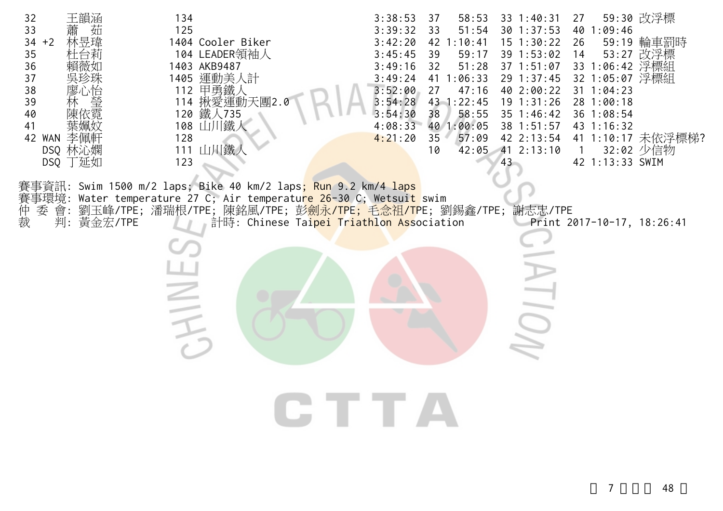| 王韻涵<br>32<br>茹<br>33<br>林昱瑋<br>$34 + 2$<br>35<br>36<br>37<br>38<br> 寥<br>)<br>堂堂<br>39<br>40<br>陳依霓<br>41<br>42 WAN<br>李佩軒<br>DSQ 林沁嫻<br>DSQ 丁延如<br>委 會:<br>仲裁<br>判: 黃金宏/TPE | 134<br>125<br>1404 Cooler Biker<br>104 LEADER領袖人<br>1403 AKB9487<br>1405 運動美人計<br>112 甲勇鐵人<br>114 揪愛運動天團2.0<br>120 鐵人735<br>108 山川鐵人<br>128<br>111 山川鐵<br>123<br>賽事資訊: Swim 1500 m/2 laps; Bike 40 km/2 laps; Run 9.2 km/4 laps<br>賽事環境: Water temperature 27 C; Air temperatu <mark>re 26-30</mark> C; Wetsuit swim<br>劉玉峰/TPE;潘瑞根/TPE;陳銘風/TPE;彭 <mark>劍永/TPE;毛念祖/TP</mark> E;劉錫鑫/TPE;謝志忠/TPE<br>計時: Chinese Taipei Triathlon Association<br>三<br>二 | 3:38:53<br>37<br>58:53<br>51:54<br>3:39:32<br>33<br>3:42:20<br>$42$ 1:10:41<br>3:45:45<br>39<br>59:17<br>3:49:16<br>32<br>51:28<br>3:49:24<br>41 1:06:33<br>3:52:00<br>27<br>47:16<br>3:54:28<br>43 1:22:45<br>3:54:30<br>38<br>58:55<br>40 1:00:05<br>4:08:33<br>35<br>57:09<br>4:21:20<br>10 | $33 \t1:40:31$<br>$30$ 1:37:53<br>$15 \t1:30:22$<br>39 1:53:02<br>$37 \t1:51:07$<br>29 1:37:45<br>40 2:00:22<br>$19$ $1:31:26$<br>$35$ 1:46:42<br>38 1:51:57<br>42 2:13:54<br>42:05 41 2:13:10<br>43<br><b>IUDI</b> | 59:30 改浮標<br>27<br>40 1:09:46<br>59:19 輪車罰時<br>26<br>53:27 改浮標<br>14<br>33 1:06:42 浮標組<br>32 1:05:07 浮標組<br>$31 \t1:04:23$<br>28 1:00:18<br>36 1:08:54<br>43 1:16:32<br>41 1:10:17 未依浮標梯?<br>32:02 少信物<br>$\overline{1}$<br>42 1:13:33 SWIM<br>Print 2017-10-17, 18:26:41 |  |
|------------------------------------------------------------------------------------------------------------------------------------------------------------------------------|------------------------------------------------------------------------------------------------------------------------------------------------------------------------------------------------------------------------------------------------------------------------------------------------------------------------------------------------------------------------------------------------------------------------------------------------------|------------------------------------------------------------------------------------------------------------------------------------------------------------------------------------------------------------------------------------------------------------------------------------------------|---------------------------------------------------------------------------------------------------------------------------------------------------------------------------------------------------------------------|---------------------------------------------------------------------------------------------------------------------------------------------------------------------------------------------------------------------------------------------------------------------------|--|
|                                                                                                                                                                              |                                                                                                                                                                                                                                                                                                                                                                                                                                                      | CTTA                                                                                                                                                                                                                                                                                           |                                                                                                                                                                                                                     |                                                                                                                                                                                                                                                                           |  |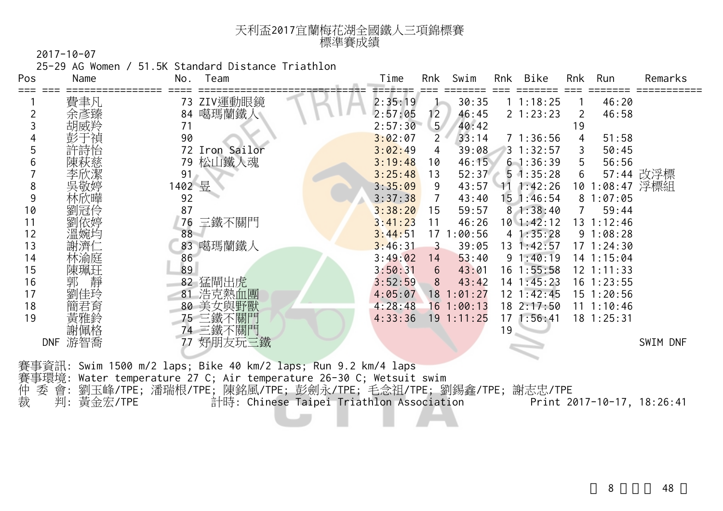| 天利盃2017宜蘭梅花湖全國鐵人三項錦標賽 |  |
|-----------------------|--|
| 標準賽成績                 |  |

25-29 AG Women / 51.5K Standard Distance Triathlon

| Pos | Name              | Team<br>No.    | Rnk<br>Swim<br>Time                 | Bike<br>Rnk       | Rnk<br>Run        | Remarks   |
|-----|-------------------|----------------|-------------------------------------|-------------------|-------------------|-----------|
|     | 費聿凡               | ZIV運動眼鏡<br>73  | 2:35:19<br>30:35                    | 11:18:25          | 46:20             |           |
|     | 余彥臻               | 噶瑪蘭鐵人<br>84    | 2:57:05<br>12 <sub>2</sub><br>46:45 | 21:23:23          | 46:58<br>2        |           |
|     | 胡威羚               | 71             | 5 <sub>1</sub><br>2:57:30<br>40:42  |                   | 19                |           |
|     | 彭于禎               | 90             | 3:02:07<br>$\mathbf{2}$<br>33:14    | 71:36:56          | 51:58             |           |
|     | 許詩怡               | 72 Iron Sailor | 3:02:49<br>39:08<br>4               | $3 \t1:32:57$     | 50:45             |           |
|     |                   | 松山鐵人魂<br>79    | 3:19:48<br>46:15<br>10              | 61:36:39          | 56:56<br>5        |           |
|     |                   | 91             | 3:25:48<br>52:37<br>13              | $5 \cdot 1:35:28$ | 6                 | 57:44 改浮標 |
| 8   | 吳敬婷               | 1402 昱         | 43:57<br>3:35:09<br>9               | $11 \t1:42:26$    | 1:08:47 浮標組<br>10 |           |
| 9   |                   | 92             | 3:37:38<br>43:40                    | $15$ 1:46:54      | 81:07:05          |           |
| 10  | 劉冠伶               | 87             | 3:38:20<br>59:57<br>15              | 81:38:40          | 59:44             |           |
| 11  | 劉依婷               | 三鐵不關門<br>76    | 3:41:23<br>46:26<br>11              | $10$ 1:42:12      | 13 1:12:46        |           |
| 12  | 溫婉均               | 88             | 17 1:00:56<br>3:44:51               | 41:35:28          | 91:08:28          |           |
| 13  | 謝濟仁               | 83 噶瑪蘭鐵人       | 3:46:31<br>39:05<br>3               | 13 1:42:57        | $17 \t1:24:30$    |           |
| 14  | 林渝庭               | 86             | 3:49:02<br>53:40<br>14              | 91:40:19          | 14 1:15:04        |           |
| 15  | 陳珮玨               | 89             | 3:50:31<br>43:01<br>6               | $16$ 1:55:58      | 12 1:11:33        |           |
| 16  | 靜<br>郭            | 猛閘出虎<br>82     | 3:52:59<br>43:42<br>8               | $14$ 1:45:23      | 16 1:23:55        |           |
| 17  | 劉佳玲               | 浩克熱血團<br>81    | 4:05:07<br>$18$ 1:01:27             | $12 \t1:42:45$    | 15 1:20:56        |           |
| 18  | 簡君育               | 美女與野獸<br>80    | 4:28:48<br>16 1:00:13               | 18 2:17:50        | $11 \t1:10:46$    |           |
| 19  | 黃雅鈴               | 75 三鐵不         | $19$ 1:11:25<br>4:33:36             | $17 \; 1:56:41$   | $18$ 1:25:31      |           |
|     | 謝佩格               | 三鐵不關門<br>74    |                                     | 19                |                   |           |
|     | 游智喬<br><b>DNF</b> | 好朋友玩三鐵         |                                     |                   |                   | SWIM DNF  |
|     |                   |                |                                     |                   |                   |           |

賽事資訊: Swim 1500 m/2 laps; Bike 40 km/2 laps; Run 9.2 km/4 laps 賽事環境: Water temperature 27 C; Air temperature 26-30 C; Wetsuit swim 仲 委 會: 劉玉峰/TPE; 潘瑞根/TPE; 陳銘風/TPE; 彭劍永/TPE; 毛念祖/TPE; 劉錫鑫/TPE; 謝志忠/TPE 裁 判: 黃金宏/TPE 計時: Chinese Taipei Triathlon Association Print 2017-10-17, 18:26:41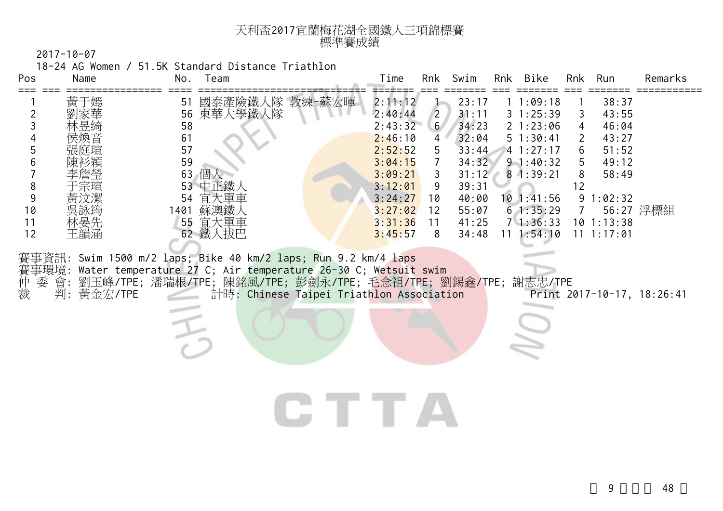| 天利盃2017宜蘭梅花湖全國鐵人三項錦標賽 |  |
|-----------------------|--|
| 標準賽成績                 |  |

18-24 AG Women / 51.5K Standard Distance Triathlon

| Pos | Name | No.<br>Team    |        | Time    | Rnk            | Swim  | Rnk | Bike              | Rnk | Run      | Remarks   |
|-----|------|----------------|--------|---------|----------------|-------|-----|-------------------|-----|----------|-----------|
|     | 黃于嫣  | 國泰產險鐵人隊<br>51  | 教練-蘇宏暉 | 2:11:12 |                | 23:17 |     | 1:09:18           |     | 38:37    |           |
|     | 劉家華  | 東華大學鐵人隊<br>56  |        | 2:40:44 | $\overline{2}$ | 31:11 |     | 31:25:39          |     | 43:55    |           |
|     | 林昱綺  | 58             |        | 2:43:32 | 6 <sup>1</sup> | 34:23 |     | $2 \; 1:23:06$    |     | 46:04    |           |
|     | 侯煥音  | 61             |        | 2:46:10 | 4              | 32:04 |     | $5 \t1:30:41$     |     | 43:27    |           |
|     | 張庭瑄  | 57             |        | 2:52:52 | 5.             | 33:44 |     | 41:27:17          | 6   | 51:52    |           |
|     | 陳衫穎  | 59             |        | 3:04:15 |                | 34:32 |     | $9 \t1:40:32$     | 5   | 49:12    |           |
|     | 李詹瑩  | 63<br>個人       |        | 3:09:21 | 3.             | 31:12 |     | $8 \cdot 1:39:21$ | 8   | 58:49    |           |
|     | 于宗瑄  | 中正鐵<br>53      |        | 3:12:01 | 9              | 39:31 |     |                   | 12  |          |           |
|     | 黃汶潔  | 大單車<br>宜<br>54 |        | 3:24:27 | 10             | 40:00 |     | $10$ 1:41:56      |     | 91:02:32 |           |
| 10  | 吳詠筠  | 蘇澳鐵<br>401     |        | 3:27:02 | 12             | 55:07 |     | 61:35:29          |     |          | 56:27 浮標組 |
|     | 林晏先  | 宜大單車<br>55     |        | 3:31:36 | 11             | 41:25 |     | 71:36:33          | 10  | 1:13:38  |           |
| 12  | 王韻涵  | 鐵<br>、拔巴<br>62 |        | 3:45:57 | 8              | 34:48 | 11  | 1:54:10           | 11  | 1:17:01  |           |

賽事資訊: Swim 1500 m/2 laps; Bike 40 km/2 laps; Run 9.2 km/4 laps 賽事環境: Water temperature 27 C; Air temperature 26-30 C; Wetsuit swim 賽仲裁 委 會: 劉玉峰/TPE; 潘瑞根/TPE; 陳銘風/TPE; 彭劍永/TPE; 毛念祖/TPE; 劉錫鑫/TPE; 謝志忠/TPE 判: 黃金宏/TPE 計時: Chinese Taipei Triathlon Association Print 2017-10-17, 18:26:41

CTTA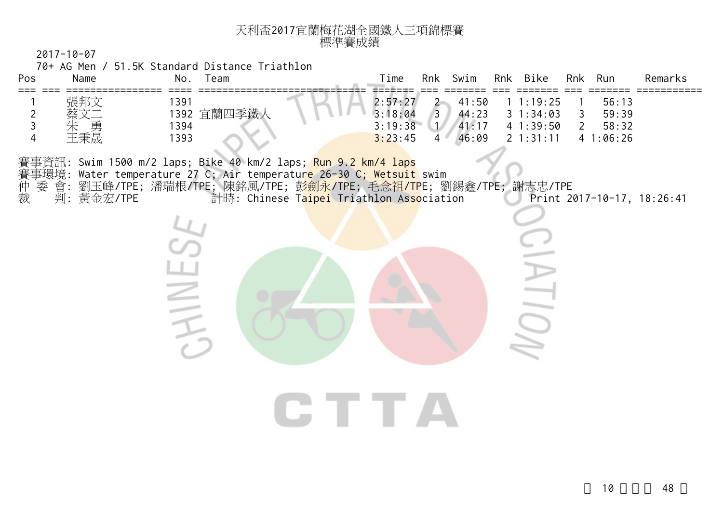| 天利盃2017宜蘭梅花湖全國鐵人三項錦標賽 |  |
|-----------------------|--|
| 標準賽成績                 |  |

70+ AG Men / 51.5K Standard Distance Triathlon

**CHINES** 

| Pos | Name                        | Team<br>No.                         | Time                                     | Rnk            | Swim Rnk Bike |                                                                                      | Rnk Run                                   |                                     | Remarks |
|-----|-----------------------------|-------------------------------------|------------------------------------------|----------------|---------------|--------------------------------------------------------------------------------------|-------------------------------------------|-------------------------------------|---------|
|     | 張邦文<br>蔡文二<br>朱<br>勇<br>王秉晟 | 1391<br>1392 宜蘭四季鐵人<br>1394<br>1393 | 2:57:27<br>3:18:04<br>3:19:38<br>3:23:45 | 3 <sup>1</sup> |               | $2$ 41:50 1 1:19:25<br>$44:23$ 3 1:34:03<br>$1/41:17$ 4 1:39:50<br>$46:09$ 2 1:31:11 | $\mathcal{R}$<br>$\overline{\phantom{a}}$ | 56:13<br>59:39<br>58:32<br>41:06:26 |         |

CTTA

賽事資訊: Swim 1500 m/2 laps; Bike 40 km/2 laps; Run 9.2 km/4 laps 賽事環境: Water temperature 27 C; Air temperatur<mark>e 26-30 C; Wetsuit</mark> swim 賽事環境: Water temperature 27 C; Air temperatur<mark>e 26-30 C; Wetsuit</mark> swim<br>仲 委 會: 劉玉峰/TPE; 潘瑞根/TPE; 陳銘風/TPE; 彭劍永/TPE; 毛念祖/<mark>TP</mark>E; 劉錫鑫/TPE; 謝志忠/TPE<br>裁 判: 黃金宏/TPE 計時: Chinese Ta<mark>ipei</mark> Triathlon Association Pr

仲 委 會: 劉玉峰/TPE; 潘瑞根/TPE; 陳銘風/TPE; 彭劍永/TPE; 毛念祖/TPE; 劉錫鑫/TPE; 謝志忠/TPE

 $\widetilde{\preccurlyeq}$ 

 $\frac{1}{2}$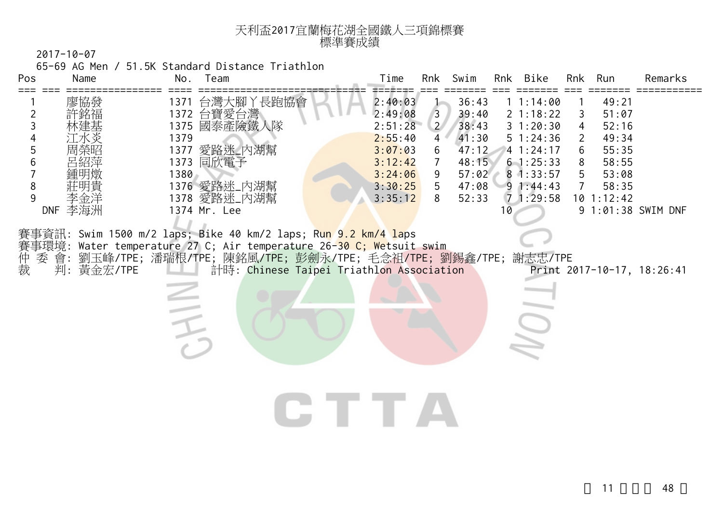| 天利盃2017宜蘭梅花湖全國鐵人三項錦標賽 |  |
|-----------------------|--|
| 標準賽成績                 |  |

65-69 AG Men / 51.5K Standard Distance Triathlon

| Pos                                   | Name                                | Team<br>No.                                                                                                                                                                                                                                                                                                                                   | Rnk Bike<br>Time<br>Swim<br>Run<br>Remarks<br>Rnk<br>Rnk                                                                                                                                                                                                                                                                                                                                                                                                                                                                                                                                                                                           |
|---------------------------------------|-------------------------------------|-----------------------------------------------------------------------------------------------------------------------------------------------------------------------------------------------------------------------------------------------------------------------------------------------------------------------------------------------|----------------------------------------------------------------------------------------------------------------------------------------------------------------------------------------------------------------------------------------------------------------------------------------------------------------------------------------------------------------------------------------------------------------------------------------------------------------------------------------------------------------------------------------------------------------------------------------------------------------------------------------------------|
| 2<br>3<br>4<br>5<br>6<br>8<br>9<br>仲裁 | 廖協發<br>季金洋<br>DNF 李海洲<br>判: 黃金宏/TPE | 1371 台灣大腳丫長跑協會<br>1372 台寶愛台灣<br>1375 國泰產險鐵人隊<br>1379<br>1377 愛路迷_內湖幫<br>1373 同欣電子<br>1380<br>1376 愛路迷_內湖幫<br>1378 愛路迷_內湖幫<br>1374 Mr. Lee<br>賽事資訊: Swim 1500 m/2 laps; Bike 40 km/2 laps; R <mark>un 9.2 km/4 la</mark> ps<br>賽事環境: Water temperature 27 C; Air temperature 26-30 C; Wetsuit swim<br>計時: Chinese Taipei Triathlon Association | 2:40:03<br>36:43<br>49:21<br>11:14:00<br>2:49:08<br>39:40<br>2 1:18:22<br>51:07<br>3<br>3<br>$\overline{2}$<br>2:51:28<br>38:43<br>31:20:30<br>52:16<br>4<br>41:30<br>2:55:40<br>51:24:36<br>49:34<br>4<br>2<br>47:12<br>3:07:03<br>41:24:17<br>55:35<br>6<br>6<br>3:12:42<br>48:15<br>61:25:33<br>58:55<br>8<br>$\overline{7}$<br>3:24:06<br>57:02<br>9<br>$8 \cdot 1:33:57$<br>5<br>53:08<br>3:30:25<br>5<br>47:08<br>91:44:43<br>58:35<br>3:35:12<br>8<br>52:33<br>$\overline{7}$<br>1:29:58<br>10 1:12:42<br>9 1:01:38 SWIM DNF<br>10<br>委 會: 劉玉峰/TPE; 潘瑞根/TPE; 陳銘風/TPE; 彭劍永/TPE; 毛念祖/TPE; 劉錫鑫/TPE; 謝志忠/TPE<br>Print 2017-10-17, 18:26:41<br>S |
|                                       |                                     |                                                                                                                                                                                                                                                                                                                                               |                                                                                                                                                                                                                                                                                                                                                                                                                                                                                                                                                                                                                                                    |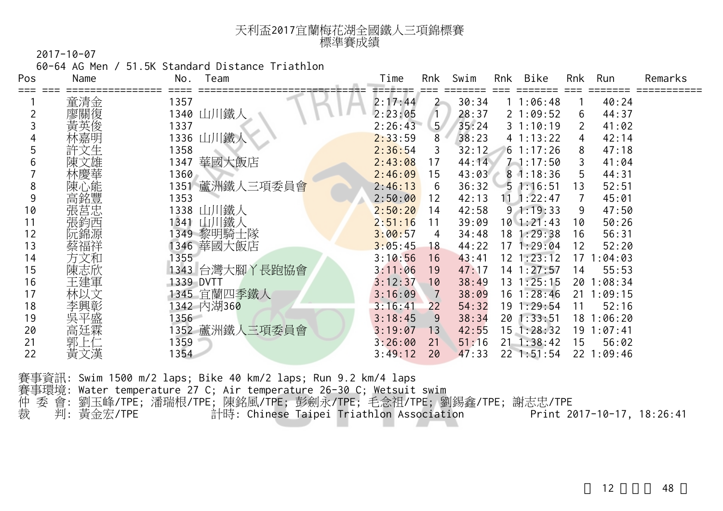| 天利盃2017宜蘭梅花湖全國鐵人三項錦標賽 |  |
|-----------------------|--|
| 標準賽成績                 |  |

60-64 AG Men / 51.5K Standard Distance Triathlon

| Pos | Name | No.<br>Team    | Time    | Rnk            | Swim  | Rnk | Bike               | Rnk | Run        | Remarks |
|-----|------|----------------|---------|----------------|-------|-----|--------------------|-----|------------|---------|
|     | 童清金  | 1357           | 2:17:44 | $2 -$          | 30:34 |     | 11:06:48           |     | 40:24      |         |
|     | 廖關復  | 1340 山川鐵人      | 2:23:05 | $\mathbf{1}$   | 28:37 |     | 21:09:52           | 6   | 44:37      |         |
|     | 黃英俊  | 1337           | 2:26:43 | 5 <sub>1</sub> | 35:24 |     | 31:10:19           |     | 41:02      |         |
|     | 林嘉明  | 1336 山川鐵人      | 2:33:59 | 8              | 38:23 |     | 4 1:13:22          | 4   | 42:14      |         |
|     | 許文生  | 1358           | 2:36:54 | 3              | 32:12 |     | $6 \; 1:17:26$     | 8   | 47:18      |         |
| b   |      | 華國大飯店<br>1347  | 2:43:08 | 17             | 44:14 |     | $7 - 1:17:50$      | 3   | 41:04      |         |
|     | 林慶華  | 1360           | 2:46:09 | 15             | 43:03 |     | 81:18:36           | 5   | 44:31      |         |
| 8   | 陳心能  | 1351 蘆洲鐵人三項委員會 | 2:46:13 | 6              | 36:32 |     | 51:16:51           | 13  | 52:51      |         |
| 9   | 高銘豐  | 1353           | 2:50:00 | 12             | 42:13 |     | $11 \quad 1:22:47$ |     | 45:01      |         |
| 10  | 張莒忠  | 1338 山川鐵人      | 2:50:20 | 14             | 42:58 |     | 91:19:33           | 9   | 47:50      |         |
| 11  | 張鈞西  | 1341 山川鐵人      | 2:51:16 | 11             | 39:09 |     | $10$ 1:21:43       | 10  | 50:26      |         |
| 12  |      | 1349 黎明騎士隊     | 3:00:57 | 4              | 34:48 |     | 18 1:29:38         | 16  | 56:31      |         |
| 13  | 蔡福祥  | 1346 華國大飯店     | 3:05:45 | 18             | 44:22 |     | 171:29:04          | 12  | 52:20      |         |
| 14  | 方文和  | 1355           | 3:10:56 | 16             | 43:41 |     | $12$ $1:23:12$     | 17  | 1:04:03    |         |
| 15  | 陳志欣  | 1343 台灣大腳丫長跑協會 | 3:11:06 | 19             | 47:17 |     | $14$ 1:27:57       | 14  | 55:53      |         |
| 16  | 王建軍  | 1339 DVTT      | 3:12:37 | 10             | 38:49 |     | $13 \t1:25:15$     | 20  | 1:08:34    |         |
| 17  | 林以文  | 1345 宜蘭四季鐵人    | 3:16:09 | 7              | 38:09 |     | $16 \t1:28:46$     | 21  | 1:09:15    |         |
| 18  | 李興彰  | 1342 内湖360     | 3:16:41 | 22             | 54:32 |     | 19 1:29:54         | 11  | 52:16      |         |
| 19  | 吳平盛  | 1356           | 3:18:45 | 9              | 38:34 |     | $20$ 1:33:51       |     | 18 1:06:20 |         |
| 20  | 高廷霖  | 1352 蘆洲鐵人三項委員會 | 3:19:07 | 13             | 42:55 |     | $15$ 1:28:32       | 19  | 1:07:41    |         |
| 21  | 郭    | 1359           | 3:26:00 | 21             | 51:16 |     | $21 \t1:38:42$     | 15  | 56:02      |         |
| 22  | 黃文漢  | 1354           | 3:49:12 | 20             | 47:33 |     | $22$ 1:51:54       | 22  | 1:09:46    |         |

| 賽事資訊: Swim 1500 m/2 laps; Bike 40 km/2 laps; Run 9.2 km/4 laps       |                            |
|----------------------------------------------------------------------|----------------------------|
| 賽事環境: Water temperature 27 C; Air temperature 26-30 C; Wetsuit swim  |                            |
| 仲 委 會: 劉玉峰/TPE; 潘瑞根/TPE; 陳銘風/TPE; 彭劍永/TPE; 毛念祖/TPE; 劉錫鑫/TPE; 謝志忠/TPE |                            |
| 裁   判: 黃金宏/TPE<br>計時: Chinese Taipei Triathlon Association           | Print 2017-10-17, 18:26:41 |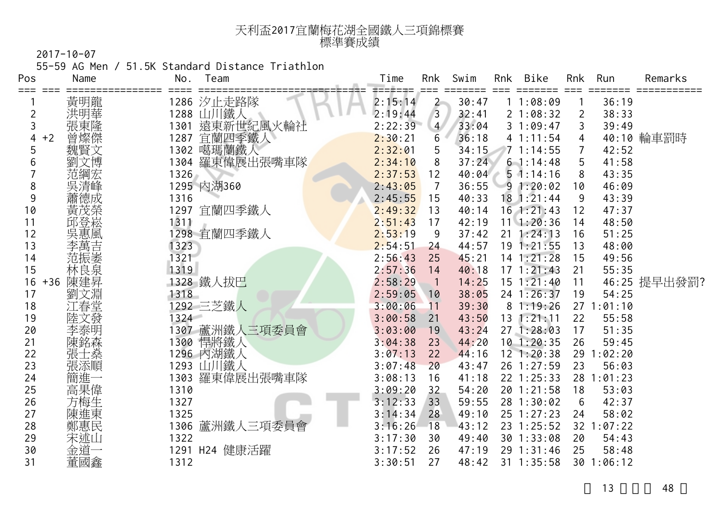| 天利盃2017宜蘭梅花湖全國鐵人三項錦標賽 |  |
|-----------------------|--|
| 標準賽成績                 |  |

55-59 AG Men / 51.5K Standard Distance Triathlon

| Pos            | Name         | No.  | Team                    | Time    | Rnk                                    | Swim  | Rnk | Bike           | Rnk             | Run        | Remarks      |
|----------------|--------------|------|-------------------------|---------|----------------------------------------|-------|-----|----------------|-----------------|------------|--------------|
|                | 黃明龍          |      |                         | 2:15:14 |                                        | 30:47 |     | 11:08:09       |                 | 36:19      |              |
| $\overline{c}$ | 洪明華          |      | 1286 汐止走路隊<br>1288 山川鐵人 | 2:19:44 | $\begin{bmatrix} 2 \\ 3 \end{bmatrix}$ | 32:41 |     | 21:08:32       | $\overline{2}$  | 38:33      |              |
| 3              | 張東隆          | 1301 |                         | 2:22:39 | $\overline{4}$                         | 33:04 |     | 31:09:47       | 3               | 39:49      |              |
| 4              | 曾燦傑<br>$+2$  | 1287 | 遠東新世紀風火輪社<br>宜蘭四季鐵人     | 2:30:21 | 6                                      | 36:18 |     | 41:11:54       | 4               |            | 40:10 輪車罰時   |
| 5              | 魏賢文          |      | 1302 噶瑪蘭鐵人              | 2:32:01 | 5                                      | 34:15 |     | 71:14:55       |                 | 42:52      |              |
| 6              | 文博           | 1304 | 羅東偉展出張嘴車隊               | 2:34:10 | 8                                      | 37:24 |     | 61:14:48       | 5               | 41:58      |              |
|                | 范綱宏          | 1326 |                         | 2:37:53 | 12                                     | 40:04 |     | $5 \t1:14:16$  | 8               | 43:35      |              |
| 8              | 吳清峰          |      | 1295 内湖360              | 2:43:05 | $\overline{7}$                         | 36:55 |     | 91:20:02       | 10              | 46:09      |              |
| 9              | 蕭德成          | 1316 |                         | 2:45:55 | 15                                     | 40:33 |     | $18$ 1:21:44   | 9               | 43:39      |              |
| 10             | 黃茂榮          |      | 1297 宜蘭四季鐵人             | 2:49:32 | 13                                     | 40:14 |     | $16$ 1:21:43   | 12              | 47:37      |              |
| 11             | 邱登崧          | 1311 |                         | 2:51:43 | 17                                     | 42:19 |     | $11 \t1:20:36$ | 14              | 48:50      |              |
| 12             | 吳惠風          |      | 1298 宜蘭四季鐵人             | 2:53:19 | 9                                      | 37:42 |     | $21 \t1:24:13$ | 16              | 51:25      |              |
| 13             | 李萬吉          | 1323 |                         | 2:54:51 | 24                                     | 44:57 |     | 191:21:55      | 13              | 48:00      |              |
| 14             | 范振萎          | 1321 |                         | 2:56:43 | 25                                     | 45:21 |     | $14$ 1:21:28   | 15              | 49:56      |              |
| 15             | 林良泉          | 1319 |                         | 2:57:36 | 14                                     | 40:18 |     | $17 \t1:21:43$ | 21              | 55:35      |              |
| 16             | 陳建昇<br>$+36$ |      | 1328 鐵人拔巴               | 2:58:29 | $\overline{\phantom{0}}$ 1             | 14:25 |     | $15 \t1:21:40$ | 11              |            | 46:25 提早出發罰? |
| 17             | 文淵<br>劉      | 1318 |                         | 2:59:05 | 10                                     | 38:05 |     | 24 1:26:37     | 19              | 54:25      |              |
| 18             | …<br>春堂      |      | 1292 三芝鐵人               | 3:00:06 | 11                                     | 39:30 |     | 81:19:26       |                 | 271:01:10  |              |
| 19             | 陸文發          | 1324 |                         | 3:00:58 | 21                                     | 43:50 |     | $13$ $1:21:11$ | 22              | 55:58      |              |
| 20             | 李泰明          |      | 1307 蘆洲鐵人三項委員會          | 3:03:00 | 19                                     | 43:24 |     | 271:28:03      | 17              | 51:35      |              |
| 21             | 陳銘森          |      | 1300 悍將鐵人               | 3:04:38 | 23                                     | 44:20 |     | $10$ 1:20:35   | 26              | 59:45      |              |
| 22             | 張士燊          |      | 1296 内湖鐵人               | 3:07:13 | 22                                     | 44:16 |     | $12$ 1:20:38   |                 | 29 1:02:20 |              |
| 23             | 張添順          |      | 1293 山川鐵人               | 3:07:48 | 20                                     | 43:47 |     | 26 1:27:59     | 23              | 56:03      |              |
| 24             | 簡進一          |      | 1303 羅東偉展出張嘴車隊          | 3:08:13 | 16                                     | 41:18 |     | 22 1:25:33     | 28              | 1:01:23    |              |
| 25             | 高果偉          | 1310 |                         | 3:09:20 | 32                                     | 54:20 |     | $20$ 1:21:58   | 18              | 53:03      |              |
| 26             | 方梅生          | 1327 |                         | 3:12:33 | 33                                     | 59:55 |     | 28 1:30:02     | 6               | 42:37      |              |
| 27             | 陳進東          | 1325 |                         | 3:14:34 | 28                                     | 49:10 |     | $25$ 1:27:23   | 24              | 58:02      |              |
| 28             | 鄭惠民          |      | 1306 蘆洲鐵人三項委員會          | 3:16:26 | 18                                     | 43:12 |     | 23 1:25:52     | 32 <sup>2</sup> | :07:22     |              |
| 29             | 宋述山          | 1322 |                         | 3:17:30 | 30                                     | 49:40 |     | 30 1:33:08     | 20              | 54:43      |              |
| 30             | 金道           |      | 1291 H24 健康活躍           | 3:17:52 | 26                                     | 47:19 |     | 29 1:31:46     | 25              | 58:48      |              |
| 31             | 董國鑫          | 1312 |                         | 3:30:51 | 27                                     | 48:42 |     | 31 1:35:58     |                 | 30 1:06:12 |              |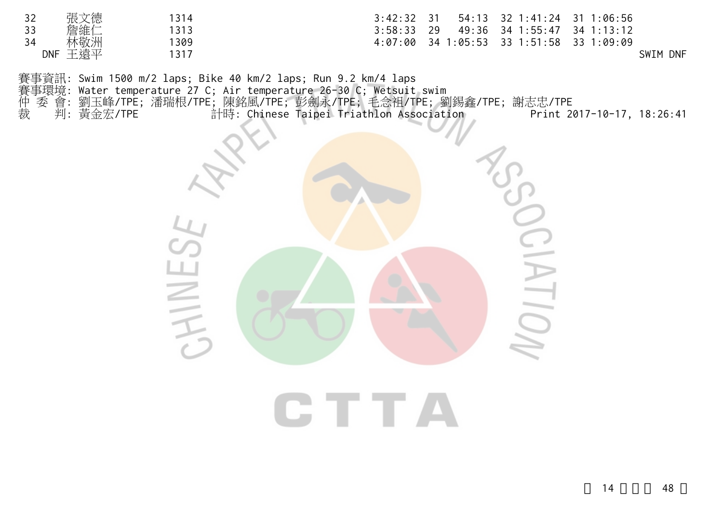|                                               | 張文德 | 314  | $3:42:32$ 31<br>54:13 32 1:41:24 31 1:06:56    |
|-----------------------------------------------|-----|------|------------------------------------------------|
| $\begin{array}{c} 32 \\ 33 \\ 34 \end{array}$ | 詹維仁 | 1313 | 49:36 34 1:55:47 34 1:13:12<br>- 29<br>3:58:33 |
|                                               | 林敬洲 | 309  | 34 1:05:53 33 1:51:58 33 1:09:09<br>4:07:00    |
| <b>DNF</b>                                    | 王遠平 | 1317 | <b>DNF</b><br>SWIM                             |

賽事資訊: Swim 1500 m/2 laps; Bike 40 km/2 laps; Run 9.2 km/4 laps 賽事環境: Water temperature 27 C; Air temperature 26-30 C; Wetsuit swim 仲 委 會: 劉玉峰/TPE; 潘瑞根/TPE; 陳銘風/TPE; 彭劍永/TPE; 毛念祖/TPE; 劉錫鑫/TPE; 謝志忠/TPE 裁 判: 黃金宏/TPE 計時: Chinese Taipei Triathlon Association Print 2017-10-17, 18:26:41



**CTTA**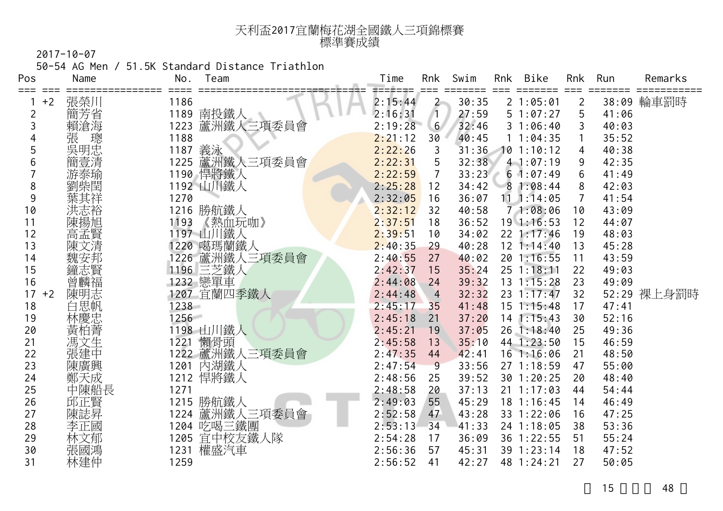| 天利盃2017宜蘭梅花湖全國鐵人三項錦標賽 |
|-----------------------|
| 標準賽成績                 |

50-54 AG Men / 51.5K Standard Distance Triathlon

| Pos         | Name   | No.  | Team                  | Time    | Rnk            | Swim  | Rnk | Bike               | Rnk            | Run   | Remarks     |
|-------------|--------|------|-----------------------|---------|----------------|-------|-----|--------------------|----------------|-------|-------------|
| ===<br>$+2$ | 張榮川    | 1186 |                       | 2:15:44 | $\overline{2}$ | 30:35 |     | 21:05:01           | $\overline{2}$ |       | 38:09 輪車罰時  |
| 2           | 簡芳省    | 1189 | 南投鐵人                  | 2:16:31 | $\sqrt{1}$     | 27:59 |     | 51:07:27           | 5              | 41:06 |             |
| 3           | 賴滄海    | 1223 | 蘆洲鐵人三項委員會             | 2:19:28 | 6 <sup>1</sup> | 32:46 |     | 31:06:40           | 3              | 40:03 |             |
|             | 張<br>璁 | 1188 |                       | 2:21:12 | 30             | 40:45 |     | 11:04:35           |                | 35:52 |             |
| 5           | 吳明忠    | 1187 | 義泳                    | 2:22:26 | 3              | 31:36 |     | 101:10:12          | 4              | 40:38 |             |
| 6           | 簡壹清    | 1225 | 蘆洲鐵人三項委員會             | 2:22:31 | 5              | 32:38 |     | $4 - 1:07:19$      | 9              | 42:35 |             |
|             | 游泰瑜    |      | 1190 悍將鐵人             | 2:22:59 | $\overline{7}$ | 33:23 |     | 61:07:49           | 6              | 41:49 |             |
| 8           | 劉柴閏    |      | 1192 山川鐵人             | 2:25:28 | 12             | 34:42 |     | 81:08:44           | 8              | 42:03 |             |
| 9           |        | 1270 |                       | 2:32:05 | 16             | 36:07 |     | $11 \quad 1:14:05$ | $\overline{7}$ | 41:54 |             |
| 10          | 洪志裕    |      | 1216 勝航鐵人             | 2:32:12 | 32             | 40:58 |     | 71:08:06           | 10             | 43:09 |             |
| 11          | 陳揚旭    | 1193 | 《熱血玩咖》                | 2:37:51 | 18             | 36:52 |     | $19 \t1:16:53$     | 12             | 44:07 |             |
| 12          | 高孟賢    |      | 1197 山川鐵人             | 2:39:51 | 10             | 34:02 |     | $22$ 1:17:46       | 19             | 48:03 |             |
| 13          | 陳文清    |      | 1220 噶瑪蘭鐵人            | 2:40:35 | 29             | 40:28 |     | 12 1:14:40         | 13             | 45:28 |             |
| 14          | 魏安邦    |      | 1226 蘆洲鐵人三項委員會        | 2:40:55 | 27             | 40:02 |     | 201:16:55          | 11             | 43:59 |             |
| 15          | 鐘志賢    |      | 1196 三芝鐵人<br>1232 戀單車 | 2:42:37 | 15             | 35:24 |     | $25$ 1:18:11       | 22             | 49:03 |             |
| 16          | 曾麟福    |      |                       | 2:44:08 | 24             | 39:32 |     | $13 \t1:15:28$     | 23             | 49:09 |             |
| 17<br>$+2$  | 陳明志    |      | 1207 宜蘭四季鐵人           | 2:44:48 | $\overline{4}$ | 32:32 |     | 23 1:17:47         | 32             |       | 52:29 裸上身罰時 |
| 18          | 白思帆    | 1238 |                       | 2:45:17 | 35             | 41:48 |     | $15 \t1:15:48$     | 17             | 47:41 |             |
| 19          | 林慶忠    | 1256 |                       | 2:45:18 | 21             | 37:20 |     | $14$ 1:15:43       | 30             | 52:16 |             |
| 20          | 黃柏菁    |      | 1198 山川鐵人             | 2:45:21 | 19             | 37:05 |     | $26$ 1:18:40       | 25             | 49:36 |             |
| 21          | 馮文生    | 1221 | 懶骨頭                   | 2:45:58 | 13             | 35:10 |     | 44 1:23:50         | 15             | 46:59 |             |
| 22          | 張建中    |      | 1222 蘆洲鐵人三項委員會        | 2:47:35 | 44             | 42:41 |     | $16$ 1:16:06       | 21             | 48:50 |             |
| 23          | 陳廣興    | 1201 | 內湖鐵人                  | 2:47:54 | $-9$           | 33:56 |     | 27 1:18:59         | 47             | 55:00 |             |
| 24          | 鄭天成    |      | 1212 悍將鐵人             | 2:48:56 | 25             | 39:52 |     | 30 1:20:25         | 20             | 48:40 |             |
| 25          | 中陳船長   | 1271 |                       | 2:48:58 | 20             | 37:13 |     | $21 \t1:17:03$     | 44             | 54:44 |             |
| 26          | 邱正賢    |      | 1215 勝航鐵人             | 2:49:03 | 55             | 45:29 |     | 18 1:16:45         | 14             | 46:49 |             |
| 27          | 陳誌昇    | 1224 | 蘆洲鐵人三項委員會             | 2:52:58 | 47             | 43:28 |     | 33 1:22:06         | 16             | 47:25 |             |
| 28          | 李正國    |      | 1204 吃喝三鐵團            | 2:53:13 | 34             | 41:33 |     | 24 1:18:05         | 38             | 53:36 |             |
| 29          | 林文郁    |      | 1205 宜中校友鐵人隊          | 2:54:28 | 17             | 36:09 |     | 36 1:22:55         | 51             | 55:24 |             |
| 30          | 張國鴻    |      | 1231 權盛汽車             | 2:56:36 | 57             | 45:31 |     | 39 1:23:14         | 18             | 47:52 |             |
| 31          | 林建仲    | 1259 |                       | 2:56:52 | 41             | 42:27 |     | 48 1:24:21         | 27             | 50:05 |             |
|             |        |      |                       |         |                |       |     |                    |                |       |             |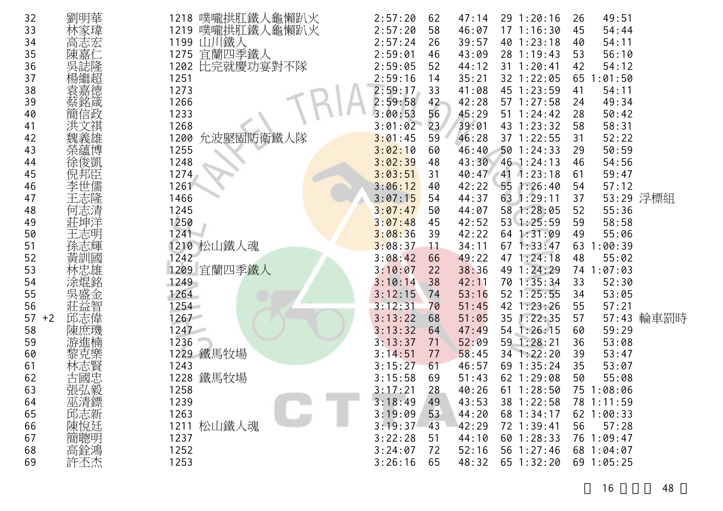| 32         | 劉明華    | 噗嚨拱肛鐵人龜懶趴火<br>1218 | 2:57:20 | 62 | 47:14 | $29 \t1:20:16$   | 26 | 49:51      |            |
|------------|--------|--------------------|---------|----|-------|------------------|----|------------|------------|
| 33         |        | 噗嚨拱肛鐵人龜懶趴火<br>1219 | 2:57:20 | 58 | 46:07 | $17 \t1:16:30$   | 45 | 54:44      |            |
| 34         | 高志宏    | 山川鐵人<br>1199       | 2:57:24 | 26 | 39:57 | 40 1:23:18       | 40 | 54:11      |            |
| 35         | 陳嘉     | 宜蘭四季鐵人<br>1275     | 2:59:01 | 46 | 43:09 | 28 1:19:43       | 53 | 56:10      |            |
| 36         |        | 比完就慶功宴對不隊<br>1202  | 2:59:05 | 52 | 44:12 | 31 1:20:41       | 42 | 54:12      |            |
| 37         |        | 1251               | 2:59:16 | 14 | 35:21 | 32 1:22:05       |    | 65 1:01:50 |            |
| 38         | 《楊袁嘉銘》 | 1273               | 2:59:17 | 33 | 41:08 | 45 1:23:59       | 41 | 54:11      |            |
| 39         |        | 1266               | 2:59:58 | 42 | 42:28 | 57 1:27:58       | 24 | 49:34      |            |
| 40         | 言政     | 1233               | 3:00:53 | 56 | 45:29 | $51 \t1:24:42$   | 28 | 50:42      |            |
| 41         |        | 1268               | 3:01:02 | 23 | 39:01 | 43 1:23:32       | 58 | 58:31      |            |
| 42         |        | 允波堅固防衛鐵人隊<br>1200  | 3:01:45 | 59 | 46:28 | 37 1:22:55       | 31 | 52:22      |            |
| 43         | 榮蘊博    | 1255               | 3:02:10 | 60 | 46:40 | 501:24:33        | 29 | 50:59      |            |
| 44         | 徐俊凱    | 1248               | 3:02:39 | 48 | 43:30 | 46 1:24:13       | 46 | 54:56      |            |
| 45         | 倪邦臣    | 1274               | 3:03:51 | 31 | 40:47 | 1:23:18<br>$-41$ | 61 | 59:47      |            |
| 46         |        | 1261               | 3:06:12 | 40 | 42:22 | 55 1:26:40       | 54 | 57:12      |            |
| 47         | 主志隆    | 1466               | 3:07:15 | 54 | 44:37 | 63 1:29:11       | 37 |            | 53:29 浮標組  |
| 48         | 何志清    | 1245               | 3:07:47 | 50 | 44:07 | 58 1:28:05       | 52 | 55:36      |            |
| 49         | 莊坤洋    | 1250               | 3:07:48 | 45 | 42:52 | 53 1:25:59       | 59 | 58:58      |            |
| 50         |        | $1241 -$           | 3:08:36 | 39 | 42:22 | 64 1:31:09       | 49 | 55:06      |            |
| 51         | 孫志輝    | 1210 松山鐵人魂         | 3:08:37 | 11 | 34:11 | 671:33:47        |    | 63 1:00:39 |            |
| 52         | 黃訓國    | 1242               | 3:08:42 | 66 | 49:22 | 47 1:24:18       | 48 | 55:02      |            |
| 53         |        | 1209 宜蘭四季鐵人        | 3:10:07 | 22 | 38:36 | 49 1:24:29       |    | 74 1:07:03 |            |
| 54         | 涂焜銘    | 1249               | 3:10:14 | 38 | 42:11 | 70 1:35:34       | 33 | 52:30      |            |
| 55         | 吳盛金    | 1264               | 3:12:15 | 74 | 53:16 | $52$ $1:25:55$   | 34 | 53:05      |            |
| 56         | 莊益智    | 254                | 3:12:31 | 70 | 51:45 | 42 1:23:26       | 55 | 57:21      |            |
| 57<br>$+2$ | 邱志偉    | 1267               | 3:13:22 | 68 | 51:05 | 35 1:22:35       | 57 |            | 57:43 輪車罰時 |
| 58         | 陳庶璣    | 1247               | 3:13:32 | 64 | 47:49 | 54 1:26:15       | 60 | 59:29      |            |
| 59         | 斿進楠    | 1236               | 3:13:37 | 71 | 52:09 | 59 1:28:21       | 36 | 53:08      |            |
| 60         |        | 1229 鐵馬牧場          | 3:14:51 | 77 | 58:45 | 34 1:22:20       | 39 | 53:47      |            |
| 61         | 林志賢    | 1243               | 3:15:27 | 61 | 46:57 | 69 1:35:24       | 35 | 53:07      |            |
| 62         | 古國忠    | 鐵馬牧場<br>1228       | 3:15:58 | 69 | 51:43 | 62 1:29:08       | 50 | 55:08      |            |
| 63         | 張弘毅    | 1258               | 3:17:21 | 28 | 40:26 | $61 \t1:28:50$   |    | 75 1:08:06 |            |
| 64         | 巫清鏢    | 1239               | 3:18:49 | 49 | 43:53 | 38 1:22:58       |    | 78 1:11:59 |            |
| 65         | 邱志新    | 1263               | 3:19:09 | 53 | 44:20 | 68 1:34:17       |    | 62 1:00:33 |            |
| 66         | 陳悅廷    | 1211 松山鐵人魂         | 3:19:37 | 43 | 42:29 | 72 1:39:41       | 56 | 57:28      |            |
| 67         | 簡聰明    | 1237               | 3:22:28 | 51 | 44:10 | 60 1:28:33       |    | 76 1:09:47 |            |
| 68         | 高銓鴻    | 1252               | 3:24:07 | 72 | 52:16 | 56 1:27:46       |    | 68 1:04:07 |            |
| 69         | 許丕杰    | 1253               | 3:26:16 | 65 | 48:32 | 65 1:32:20       |    | 69 1:05:25 |            |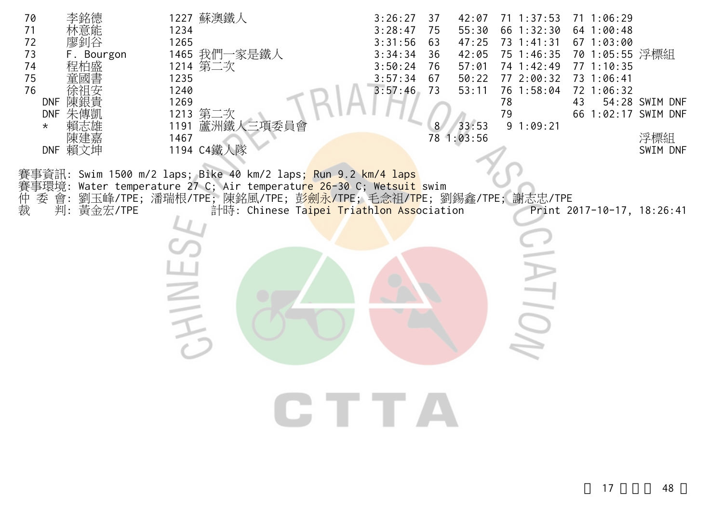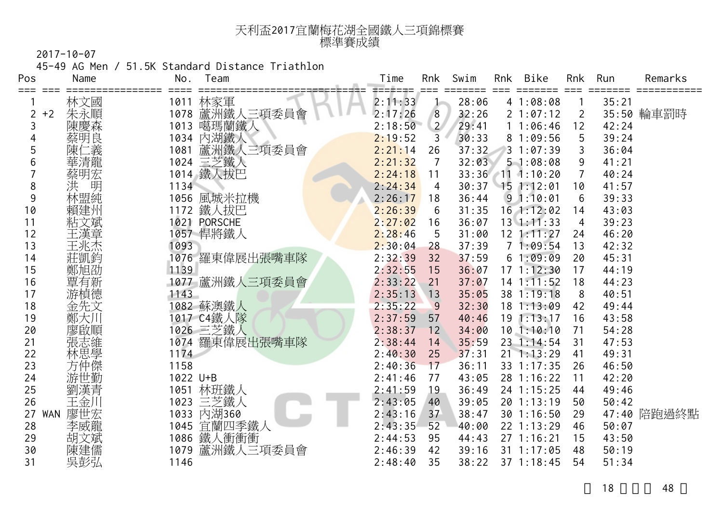| 天利盃2017宜蘭梅花湖全國鐵人三項錦標賽 |  |
|-----------------------|--|
| 標準賽成績                 |  |

45-49 AG Men / 51.5K Standard Distance Triathlon

| Pos       | Name       | No.      | Team           | Time              | Rnk            | Swim  | Rnk | Bike               | Rnk | Run   | Remarks     |
|-----------|------------|----------|----------------|-------------------|----------------|-------|-----|--------------------|-----|-------|-------------|
|           | 林文國        | 1011     | 林家軍            | ⋍⋍≢⋍⋥⋍<br>2:11:33 |                | 28:06 |     | 41:08:08           |     | 35:21 |             |
| $+2$<br>2 | 朱永順        |          | 1078 蘆洲鐵人三項委員會 | 2:17:26           | 8              | 32:26 |     | 21:07:12           | 2   |       | 35:50 輪車罰時  |
| 3         | 陳慶森        |          | 1013 噶瑪蘭鐵人     | 2:18:50           | $\overline{2}$ | 29:41 |     | 11:06:46           | 12  | 42:24 |             |
|           | 蔡明良        |          | 1034 內湖鐵人      | 2:19:52           | 3              | 30:33 |     | 81:09:56           | 5   | 39:24 |             |
| 5         | ニ義<br>陳    | 1081     | 蘆洲鐵人三項委員會      | 2:21:14           | 26             | 37:32 |     | 31:07:39           |     | 36:04 |             |
| 6         | 華清龍        |          | 1024 三芝鐵人      | 2:21:32           | $\overline{7}$ | 32:03 |     | 51:08:08           | 9   | 41:21 |             |
|           | 蔡明宏        | 1014     | 鐵人拔巴           | 2:24:18           | 11             |       |     | 33:36 11 1:10:20   |     | 40:24 |             |
| 8         | 洪<br>明     | 1134     |                | 2:24:34           | 4              | 30:37 |     | 151:12:01          | 10  | 41:57 |             |
| 9         | 林盟純        |          | 1056 風城米拉機     | 2:26:17           | 18             | 36:44 |     | 91:10:01           | 6   | 39:33 |             |
| 10        | 賴建州        |          | 1172 鐵人拔巴      | 2:26:39           | 6              | 31:35 |     | $16$ 1:12:02       | 14  | 43:03 |             |
| 11        | 粘文斌        |          | 1021 PORSCHE   | 2:27:02           | 16             | 36:07 |     | $13 \cdot 1:11:33$ | 4   | 39:23 |             |
| 12        | 王漢章        |          | 1057 悍將鐵人      | 2:28:46           | 5              | 31:00 |     | $12$ 1:11:27       | 24  | 46:20 |             |
| 13        | 王兆杰        | 1093     |                | 2:30:04           | 28             | 37:39 |     | 71:09:54           | 13  | 42:32 |             |
| 14        | 莊凱鈞        |          | 1076 羅東偉展出張嘴車隊 | 2:32:39           | 32             | 37:59 |     | 61:09:09           | 20  | 45:31 |             |
| 15        | 鄭旭劭        | 1139     |                | 2:32:55           | 15             | 36:07 |     | 171:12:30          | 17  | 44:19 |             |
| 16        | 覃有新        |          | 1077 蘆洲鐵人三項委員會 | 2:33:22           | 21             | 37:07 |     | $14$ 1:11:52       | 18  | 44:23 |             |
| 17        | 游楨德        | 1143     |                | 2:35:13           | 13             | 35:05 |     | 38 1:19:18         | 8   | 40:51 |             |
| 18        | 金先文        |          | 1082 蘇澳鐵人      | 2:35:22           | 9              | 32:30 |     | 181:13:09          | 42  | 49:44 |             |
| 19        | 鄭大川        |          | 1017 C4鐵人隊     | 2:37:59           | 57             | 40:46 |     | $19$ 1:13:17       | 16  | 43:58 |             |
| 20        | 廖啟順        |          | 1026 三芝鐵人      | 2:38:37           | 12             | 34:00 |     | 10.1:10:10         | 71  | 54:28 |             |
| 21        | 張志維        |          | 1074 羅東偉展出張嘴車隊 | 2:38:44           | 14             | 35:59 |     | 23 1:14:54         | 31  | 47:53 |             |
| 22        | 林思學<br>方仲傑 | 1174     |                | 2:40:30           | 25             | 37:31 |     | $21 \t1:13:29$     | 41  | 49:31 |             |
| 23        |            | 1158     |                | 2:40:36           | 17             | 36:11 |     | 33 1:17:35         | 26  | 46:50 |             |
| 24        | 游世勤        | 1022 U+B |                | 2:41:46           | 77             | 43:05 |     | 28 1:16:22         | 11  | 42:20 |             |
| 25        | 劉漢青        | 1051     | 林班鐵人           | 2:41:59           | 19             | 36:49 |     | 24 1:15:25         | 44  | 49:46 |             |
| 26        | 王金川        |          | 1023 三芝鐵人      | 2:43:05           | 40             | 39:05 |     | 20 1:13:19         | 50  | 50:42 |             |
| WAN<br>27 | 廖世宏        |          | 1033 内湖360     | 2:43:16           | 37             | 38:47 |     | 30 1:16:50         | 29  |       | 47:40 陪跑過終點 |
| 28        | 李威龍        | 1045     | 宜蘭四季鐵人         | 2:43:35           | 52             | 40:00 |     | 22 1:13:29         | 46  | 50:07 |             |
| 29        | 胡文斌        | 1086     | 鐵人衝衝衝          | 2:44:53           | 95             | 44:43 |     | 271:16:21          | 15  | 43:50 |             |
| 30        | 陳建儒        | 1079     | 蘆洲鐵人三項委員會      | 2:46:39           | 42             | 39:16 |     | 31 1:17:05         | 48  | 50:19 |             |
| 31        | 吳彭弘        | 1146     |                | 2:48:40           | 35             | 38:22 |     | 37 1:18:45         | 54  | 51:34 |             |
|           |            |          |                |                   |                |       |     |                    |     |       |             |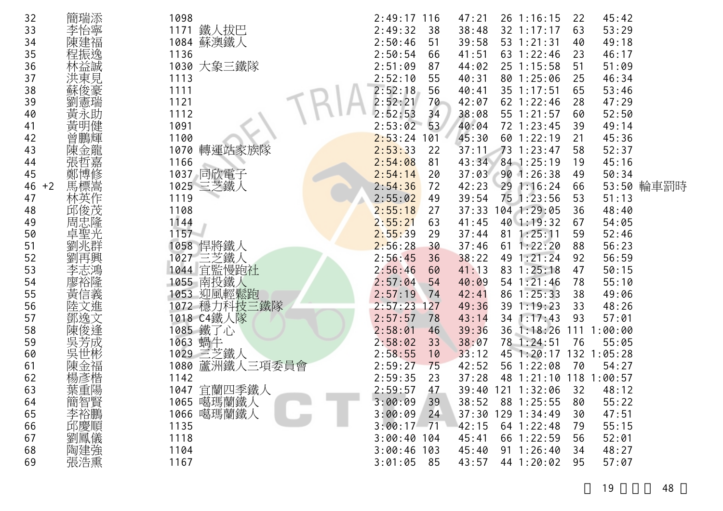| 32         | 簡瑞添        | 1098              | $2:49:17$ 116<br>47:21<br>$26$ 1:16:15<br>45:42<br>22    |  |
|------------|------------|-------------------|----------------------------------------------------------|--|
| 33         | 李怡寧        | 1171 鐵人拔巴         | 2:49:32<br>38:48<br>32 1:17:17<br>53:29<br>38<br>63      |  |
| 34         | 陳建福        | 1084 蘇澳鐵人         | 2:50:46<br>39:58<br>51<br>53 1:21:31<br>49:18<br>40      |  |
| 35         | 程振逸        | 1136              | 2:50:54<br>66<br>41:51<br>63 1:22:46<br>46:17<br>23      |  |
| 36         | 林益誠        | 1030 大象三鐵隊        | 2:51:09<br>25 1:15:58<br>44:02<br>51:09<br>87<br>51      |  |
| 37         |            | 1113              | 2:52:10<br>55<br>80 1:25:06<br>46:34<br>40:31<br>25      |  |
| 38         | 洪東見<br>蘇俊豪 | 1111              | 2:52:18<br>56<br>40:41<br>35 1:17:51<br>53:46<br>65      |  |
| 39         | 劉憲瑞        | 1121              | 2:52:21<br>70<br>42:07<br>62 1:22:46<br>47:29<br>28      |  |
| 40         | 黃永助        | 1112              | 2:52:53<br>34<br>38:08<br>55 1:21:57<br>52:50<br>60      |  |
| 41         | 黃明健        | 1091              | 2:53:02<br>53<br>40:04<br>72 1:23:45<br>49:14<br>39      |  |
| 42         | 曾鵬輝        | 1100              | 2:53:24<br>45:30<br>60 1:22:19<br>101<br>45:36<br>21     |  |
| 43         |            | 1070 轉運站家族隊       | 2:53:33<br>73 1:23:47<br>52:37<br>22<br>37:11<br>58      |  |
| 44         | 張哲嘉        | 1166              | 2:54:08<br>84 1:25:19<br>43:34<br>45:16<br>81<br>19      |  |
| 45         | 鄭博修        | 1037 同欣電子         | 2:54:14<br>37:03<br>901:26:38<br>50:34<br>20<br>49       |  |
| 46<br>$+2$ | 馬標嵩        | 1025 三芝鐵人         | 53:50 輪車罰時<br>2:54:36<br>42:23<br>72<br>291:16:24<br>66  |  |
| 47         | 林英作        | 1119              | 39:54<br>75 1:23:56<br>51:13<br>2:55:02<br>53<br>49      |  |
| 48         | 邱俊茂        | 1108              | 104 1:29:05<br>37:33<br>2:55:18<br>48:40<br>27<br>36     |  |
| 49         | 周忠隆        | 1144              | 2:55:21<br>41:45<br>40 1:19:32<br>54:05<br>63<br>67      |  |
| 50         | 卓聖光        | $1157 -$          | 2:55:39<br>$81 \t1:25:11$<br>52:46<br>37:44<br>29<br>59  |  |
| 51         | 劉兆群        | 1058 悍將鐵人         | 2:56:28<br>56:23<br>30<br>37:46<br>$61 \; 1:22:20$<br>88 |  |
| 52         |            | 1027 三芝鐵人         | 2:56:45<br>38:22<br>49 1:21:24<br>56:59<br>36<br>92      |  |
| 53         |            | 1044 宜監慢跑社        | 2:56:46<br>41:13<br>83 1:25:18<br>50:15<br>60<br>47      |  |
| 54         | 「李廖黃」      | 1055 南投鐵人         | 2:57:04<br>54 1:21:46<br>40:09<br>55:10<br>54<br>78      |  |
| 55         |            | 1053 迎風輕鬆跑        | 86 1:25:33<br>2:57:19<br>42:41<br>38<br>49:06<br>74      |  |
| 56         | 陸文進        | 1072 穩力科技三鐵隊      | 2:57:23<br>49:36<br>39 1:19:23<br>48:26<br>127<br>33     |  |
| 57         | 鄧逸文        | 1018 C4鐵人隊        | 2:57:57<br>43:14<br>1:17:43<br>57:01<br>78<br>34<br>93   |  |
| 58         | 俊逢         | 1085 鐵了心          | 2:58:01<br>36 1:18:26<br>111<br>46<br>39:36<br>:00:00    |  |
| 59         | 吳芳成        | 1063 蝸牛           | 2:58:02<br>38:07<br>78 1:24:51<br>33<br>55:05<br>76      |  |
| 60         | 吳世彬        | 1029 三芝鐵人         | 2:58:55<br>33:12<br>45 1:20:17<br>132 1:05:28<br>10      |  |
| 61         | 陳金福        | 蘆洲鐵人三項委員會<br>1080 | 2:59:27<br>56 1:22:08<br>75<br>42:52<br>70<br>54:27      |  |
| 62         | 楊彥楷        | 1142              | 2:59:35<br>48 1:21:10 118 1:00:57<br>23<br>37:28         |  |
| 63         | 葉重陽        | 1047 宜蘭四季鐵人       | 2:59:57<br>47<br>39:40 121 1:32:06<br>32<br>48:12        |  |
| 64         | 簡智賢        | 1065 噶瑪蘭鐵人        | 3:00:09<br>39<br>38:52<br>88 1:25:55<br>80<br>55:22      |  |
| 65         | 李裕鵬        | 1066 噶瑪蘭鐵人        | 37:30 129 1:34:49<br>3:00:09<br>24<br>47:51<br>30        |  |
| 66         | 邱慶順        | 1135              | 3:00:17<br>71<br>42:15<br>$64$ 1:22:48<br>55:15<br>79    |  |
| 67         | 劉鳳儀        | 1118              | $3:00:40$ 104<br>66 1:22:59<br>45:41<br>52:01<br>56      |  |
| 68         | 陶建強        | 1104              | $91 \t1:26:40$<br>$3:00:46$ 103<br>45:40<br>48:27<br>34  |  |
| 69         | 張浩熏        | 1167              | 3:01:05<br>44 1:20:02<br>57:07<br>43:57<br>85<br>95      |  |
|            |            |                   |                                                          |  |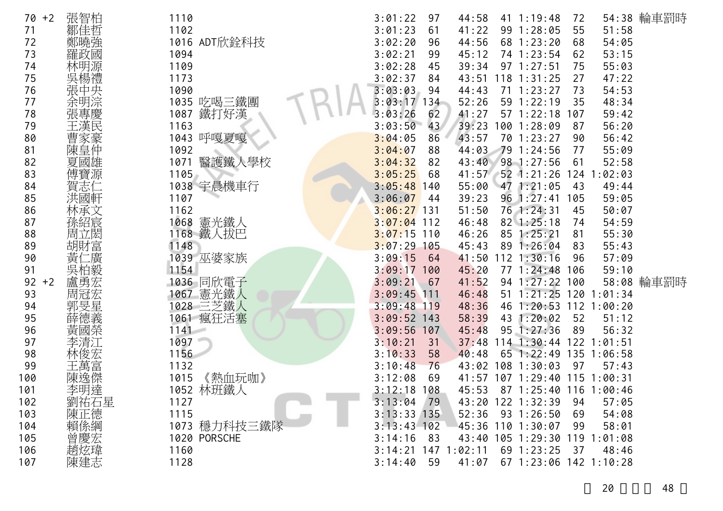| 70<br>$+2$ | 張智柏        | 1110           | 3:01:22<br>97         | 44:58 | 41 1:19:48        | 72                      | 54:38 輪車罰時 |
|------------|------------|----------------|-----------------------|-------|-------------------|-------------------------|------------|
| 71         | 鄒佳哲        | 1102           | 3:01:23<br>61         | 41:22 | 99 1:28:05        | 51:58<br>55             |            |
| 72         |            | 1016 ADT欣銓科技   | 3:02:20<br>96         | 44:56 | 68 1:23:20        | 54:05<br>68             |            |
| 73         | 羅政國        | 1094           | 3:02:21<br>99         | 45:12 | 74 1:23:54        | 53:15<br>62             |            |
| 74         | 林明源        | 1109           | 3:02:28<br>45         | 39:34 | 97 1:27:51        | 55:03<br>75             |            |
| 75         | 吳楊禮        | 1173           | 3:02:37<br>84         | 43:51 | $118$ $1:31:25$   | 47:22<br>27             |            |
| 76         |            | 1090           | 3:03:03<br>94         | 44:43 | $71 \t1:23:27$    | 54:53<br>73             |            |
| 77         | 張中央<br>余明淙 | 1035 吃喝三鐵團     | 3:03:17<br>134        | 52:26 | 59 1:22:19        | 48:34<br>35             |            |
| 78         |            | 鐵打好漢<br>1087   | 3:03:26<br>62         | 41:27 | 57 1:22:18        | 59:42<br>107            |            |
| 79         |            | 1163           | 3:03:50<br>43         | 39:23 | 100 1:28:09       | 56:20<br>87             |            |
| 80         | 曹家豪        | 呼嘎夏嘎<br>1043   | 3:04:05<br>86         | 43:57 | 70 1:23:27        | 56:42<br>90             |            |
| 81         | 陳皇仲        | 1092           | 3:04:07<br>88         | 44:03 | 79 1:24:56        | 55:09<br>77             |            |
| 82         | 夏國雄        | 醫護鐵人學校<br>1071 | 3:04:32<br>82         | 43:40 | 98 1:27:56        | 52:58<br>61             |            |
| 83         | 傅寶源        | 1105           | 3:05:25<br>68         | 41:57 | $52$ 1:21:26      | 124 1:02:03             |            |
| 84         | 賀志         | 1038 宇晨機車行     | 3:05:48<br>140        | 55:00 | 47 1:21:05        | 49:44<br>43             |            |
| 85         | 洪國軒        | 1107           | 3:06:07<br>44         | 39:23 | 96 1:27:41        | 59:05<br>105            |            |
| 86         | 林承文        | 1162           | $3:06:27$ 131         | 51:50 | 76 1:24:31        | 50:07<br>45             |            |
| 87         | 孫紹宸        | 1068 憲光鐵人      | $3:07:04$ 112         | 46:48 | $82 \; 1:25:18$   | 54:59<br>74             |            |
| 88         | 周立閎        | 1168 鐵人拔巴      | $3:07:15$ 110         | 46:26 | 85 1:25:21        | 55:30<br>81             |            |
| 89         | 胡財富        | 1148           | $3:07:29$ 105         | 45:43 | 89 1:26:04        | 55:43<br>83             |            |
| 90         | 黃<br>仁廣    | 1039 巫婆家族      | 3:09:15<br>64         | 41:50 | $112$ $1:30:16$   | 57:09<br>96             |            |
| 91         | 吳柏毅        | 1154           | 3:09:17<br>100        | 45:20 | $77 \; 1:24:48$   | 59:10<br>106            |            |
| 92<br>$+2$ | 盧勇宏        | 1036 同欣電子      | 3:09:21<br>67         | 41:52 | 94 1:27:22 100    |                         | 58:08 輪車罰時 |
| 93         | 周冠宏        | 憲光鐵人<br>1067   | 3:09:45<br>111        | 46:48 | $51 \t1:21:25$    | 120 1:01:34             |            |
| 94         | 郭旻星        | 028 三芝鐵人       | $3:09:48$ 119         | 48:36 |                   | 46 1:20:53 112 1:00:20  |            |
| 95         | 薛德義        | 1061 瘋狂活塞      | $3:09:52$ 143         | 58:39 | 43 1:20:02        | 51:12<br>52             |            |
| 96         | 黃國榮        | $1141 -$       | 3:09:56<br>107        | 45:48 | 95 1:27:36        | 89<br>56:32             |            |
| 97         | 李清江        | 1097           | 3:10:21<br>31         | 37:48 | $114$ 1:30:44     | 122 1:01:51             |            |
| 98         | 林俊宏        | 1156           | 3:10:33<br>58         | 40:48 | 65 1:22:49        | 135 1:06:58             |            |
| 99         | 主萬富        | 1132           | 3:10:48<br>76         | 43:02 | $108$ 1:30:03     | 97<br>57:43             |            |
| 100        | 陳逸傑        | 《熱血玩咖》<br>1015 | 3:12:08<br>69         | 41:57 |                   | 107 1:29:40 115 1:00:31 |            |
| 101        | 李明達        | 林班鐵人<br>1052   | $3:12:18$ 108         | 45:53 |                   | 87 1:25:40 116 1:00:46  |            |
| 102        | 劉祐石星       | 1127           | 3:13:04<br>79         |       | 43:20 122 1:32:39 | 57:05<br>94             |            |
| 103        | 陳正德        | 1115           | $3:13:33$ 135         | 52:36 | 93 1:26:50        | 54:08<br>69             |            |
| 104        | 賴係綱        | 1073 穩力科技三鐵隊   | $3:13:43$ 102         |       | 45:36 110 1:30:07 | 58:01<br>99             |            |
| 105        | 曾慶宏        | 1020 PORSCHE   | 3:14:16<br>83         |       | 43:40 105 1:29:30 | $119$ $1:01:08$         |            |
| 106        | 趙炫瑋        | 1160           | $3:14:21$ 147 1:02:11 |       | 69 1:23:25        | 48:46<br>37             |            |
| 107        | 陳建志        | 1128           | 3:14:40<br>59         | 41:07 |                   | 67 1:23:06 142 1:10:28  |            |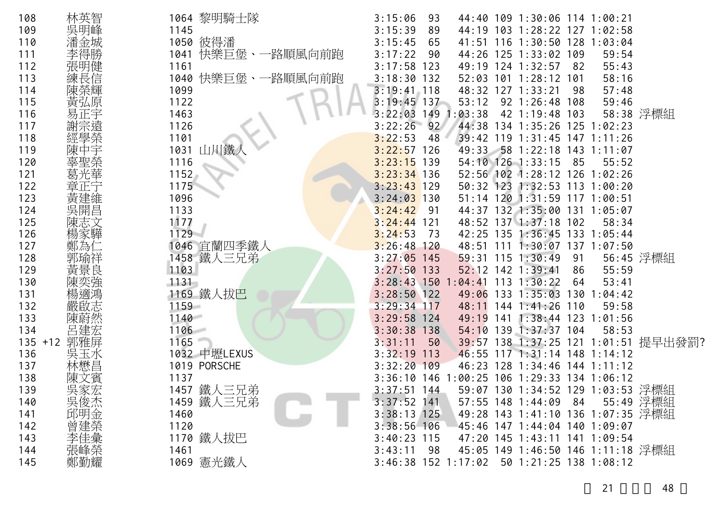| 108        | 林英智   | 1064 黎明騎士隊             | 3:15:06<br>44:40 109 1:30:06 114 1:00:21<br>93              |
|------------|-------|------------------------|-------------------------------------------------------------|
| 109        | 吳明峰   | 1145                   | 3:15:39<br>89<br>44:19 103 1:28:22 127 1:02:58              |
| 110        |       | 1050 彼得潘               | 3:15:45<br>65<br>41:51 116 1:30:50 128 1:03:04              |
| 111        |       | 快樂巨堡、一路順風向前跑<br>1041   | 3:17:22<br>44:26 125 1:33:02 109<br>90<br>59:54             |
| 112        | 張明健   | 1161                   | $3:17:58$ 123<br>49:19 124 1:32:57<br>55:43<br>82           |
| 113        | 練長信   | 1040 快樂巨堡、一<br>·路順風向前跑 | 3:18:30<br>132<br>$52:03$ 101 1:28:12<br>58:16<br>101       |
| 114        |       | 1099                   | $3:19:41$ 118<br>48:32 127 1:33:21<br>57:48<br>98           |
| 115        | 黃弘原   | 1122                   | $3:19:45$ 137<br>53:12<br>92 1:26:48 108<br>59:46           |
| 116        |       | 1463                   | 149<br>42 1:19:48 103<br>58:38 浮標組<br>3:22:03<br>: 03:38    |
| 117        |       | 1126                   | 3:22:26<br>$-92$<br>44:38 134 1:35:26 125 1:02:23           |
| 118        |       | 1101                   | 3:22:53<br>48<br>39:42 119 1:31:45 147 1:11:26              |
| 119        |       | 1031 山川鐵               | 3:22:57<br>126<br>49:33<br>58 1:22:18 143 1:11:07           |
| 120        |       | 1116                   | 3:23:15<br>139<br>54:10 126 1:33:15<br>-85<br>55:52         |
| 121        |       | 1152                   | $3:23:34$ 136<br>52:56 102 1:28:12 126 1:02:26              |
| 122        |       | 1175                   | $3:23:43$ 129<br>50:32 123 1:32:53 113 1:00:20              |
| 123        |       | 1096                   | $3:24:03$ 130<br>51:14 120 1:31:59 117 1:00:51              |
| 124        | 吳開昌   | 1133                   | 3:24:42<br>44:37 132 1:35:00 131 1:05:07<br>- 91            |
| 125        |       | 1177                   | $3:24:44$ 121<br>48:52 137 1:37:18 102<br>58:34             |
| 126        |       | $1129 -$               | 42:25 135 1:36:45 133 1:05:44<br>3:24:53<br>73              |
| 127        | 鄭為    | 1046 宜蘭四季鐵人            | $3:26:48$ 120<br>48:51 111 1:30:07 137 1:07:50              |
| 128        |       | 1458 鐵人三兄弟             | 56:45 浮標組<br>$3:27:05$ 145<br>59:31 115 1:30:49<br>91       |
| 129        | 黃景良   | 1103                   | 52:12 142 1:39:41<br>$3:27:50$ 133<br>55:59<br>86           |
| 130        | 陳奕強   | 1131                   | $3:28:43$ 150 1:04:41<br>$113$ $1:30:22$<br>53:41<br>64     |
| 131        |       | 1169 鐵人拔巴              | $3:28:50$ 122<br>$133 \t1:35:03$<br>49:06<br>130<br>1:04:42 |
| 132        |       | 1159                   | $3:29:34$ 117<br>48:11<br>144 1:41:26<br>110<br>59:58       |
| 133        | 陳蔚然   | 1140                   | 3:29:58<br>124<br>49:19<br>$1:38:44$ 123 1:01:56<br>141     |
| 134        | 呂建宏   | 1106                   | 3:30:38<br>54:10 139 1:37:37 104<br>58:53<br>138            |
| $135 + 12$ | 郭雅屏   | 1165                   | 39:57 138 1:37:25 121 1:01:51 提早出發罰?<br>3:31:11<br>50       |
| 136        | 吳玉水   | 1032 中壢LEXUS           | 3:32:19<br>113<br>46:55 117 1:31:14 148 1:14:12             |
| 137        | 林懋昌   | 1019 PORSCHE           | 3:32:20<br>109<br>46:23 128 1:34:46<br>$144$ 1:11:12        |
| 138        |       | 1137                   | $3:36:10$ 146<br>1:00:25 106 1:29:33 134 1:06:12            |
| 139        | 吳家宏   | 1457 鐵人三兄弟             | 59:07 130 1:34:52 129 1:03:53 浮標組<br>$3:37:51$ 144          |
| 140        | 吳俊杰   | 1459 鐵人三兄弟             | 55:49 浮標組<br>$3:37:52$ 141<br>57:55 148 1:44:09 84          |
| 141        | 邱明金   | 1460                   | $3:38:13$ 125<br>49:28 143 1:41:10 136 1:07:35 浮標組          |
| 142        |       | 1120                   | $3:38:56$ 106<br>45:46 147 1:44:04 140 1:09:07              |
| 143        |       | 1170 鐵人拔巴              | $3:40:23$ 115<br>47:20 145 1:43:11 141 1:09:54              |
| 144        | ,曾李張。 | 1461                   | 45:05 149 1:46:50 146 1:11:18 浮標組<br>3:43:11<br>-98         |
| 145        | 鄭勤耀   | 1069 憲光鐵人              | $3:46:38$ 152 1:17:02<br>50 1:21:25 138 1:08:12             |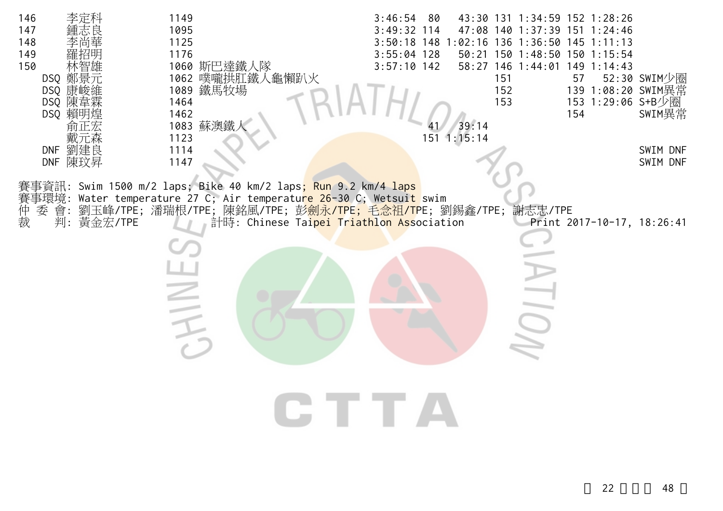| 146<br>李定科<br>147<br>148<br>149<br>150<br>DSQ 鄭景元<br>DSQ 康峻維<br>DSQ 陳韋霖<br>DSQ 賴明煌<br>DNF 劉建良<br>DNF 陳玟昇 | 1149<br>1095<br>1125<br>1176<br>1060 斯巴達鐵人隊<br>1062 噗嚨拱肛鐵人龜懶趴火<br>1089 鐵馬牧場<br>1464<br>1462<br>1083 蘇澳鐵丿<br>1123<br>1114<br>1147                                                                         | 3:46:54<br>- 80<br>$3:49:32$ 114<br>$3:50:18$ 148<br>$3:55:04$ 128<br>$3:57:10$ 142<br>39:14<br>151 1:15:14 | 43:30 131 1:34:59 152 1:28:26<br>47:08 140 1:37:39 151 1:24:46<br>:02:16 136 1:36:50 145 1:11:13<br>50:21 150 1:48:50 150 1:15:54<br>58:27 146 1:44:01<br>151<br>152<br>153 | $149$ 1:14:43<br>52:30 SWIM少圈<br>57<br>139 1:08:20 SWIM異常<br>153 1:29:06 S+B少圈<br>154<br>SWIM異常<br>SWIM DNF<br>SWIM DNF |  |
|----------------------------------------------------------------------------------------------------------|----------------------------------------------------------------------------------------------------------------------------------------------------------------------------------------------------------|-------------------------------------------------------------------------------------------------------------|-----------------------------------------------------------------------------------------------------------------------------------------------------------------------------|-------------------------------------------------------------------------------------------------------------------------|--|
| 賽事環境:<br>仲裁<br>委<br>會:<br>判:<br>黃金宏/TPE                                                                  | 事資訊: Swim 1500 m/2 laps; Bike 40 km/2 laps <mark>; Run 9.</mark> 2 km/4 laps<br>Water temperature 27 C; Air temperature 26-30 C; Wetsuit swim<br>劉玉峰/TPE;潘瑞根/TPE;陳銘風/TPE;彭劍永/TPE;毛念祖/TPE;劉錫鑫/TPE;謝志忠/TPE | 計時: Chinese Taipei Triathlon Association<br>CTTA                                                            |                                                                                                                                                                             | Print 2017-10-17, 18:26:41                                                                                              |  |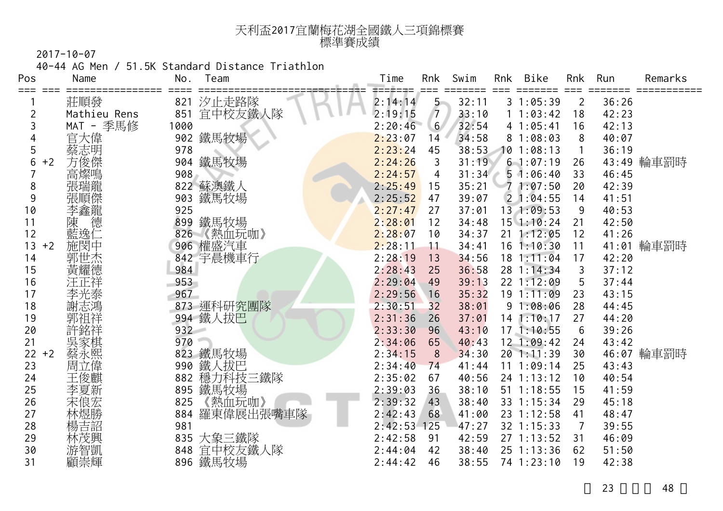| 天利盃2017宜蘭梅花湖全國鐵人三項錦標賽 |  |
|-----------------------|--|
| 標準賽成績                 |  |

40-44 AG Men / 51.5K Standard Distance Triathlon

| Pos        | Name         | No.  | Team       | Time    | Rnk            | Swim  | Rnk | Bike         | Rnk            | Run   | Remarks    |
|------------|--------------|------|------------|---------|----------------|-------|-----|--------------|----------------|-------|------------|
|            | 莊順發          | 821  | 汐止走路隊      | 2:14:14 | $5 -$          | 32:11 |     | 31:05:39     | $\overline{2}$ | 36:26 |            |
| 2          | Mathieu Rens | 851  | 宜中校友鐵人隊    | 2:19:15 | $\overline{7}$ | 33:10 |     | 11:03:42     | 18             | 42:23 |            |
| 3          | MAT - 季馬修    | 1000 |            | 2:20:46 | 6 <sup>1</sup> | 32:54 |     | 41:05:41     | 16             | 42:13 |            |
|            | 官大偉          |      | 902 鐵馬牧場   | 2:23:07 | 14             | 34:58 |     | 81:08:03     | 8              | 40:07 |            |
| 5          | 蔡志明          | 978  |            | 2:23:24 | 45             | 38:53 |     | 101:08:13    |                | 36:19 |            |
| 6<br>$+2$  | 方俊傑          | 904  | 鐵馬牧場       | 2:24:26 | 3              | 31:19 |     | 61:07:19     | 26             |       | 43:49 輪車罰時 |
|            | 高燦鳴          | 908  |            | 2:24:57 | 4              | 31:34 |     | 51:06:40     | 33             | 46:45 |            |
| 8          | 張瑞龍          |      | 822 蘇澳鐵人   | 2:25:49 | 15             | 35:21 |     | 71:07:50     | 20             | 42:39 |            |
| 9          | 張順傑          | 903  | 鐵馬牧場       | 2:25:52 | 47             | 39:07 |     | 21:04:55     | 14             | 41:51 |            |
| 10         | 李鑫龍          | 925  |            | 2:27:47 | 27             | 37:01 |     | 13 1:09:53   | 9              | 40:53 |            |
| 11         | 德<br>陳       |      | 899 鐵馬牧場   | 2:28:01 | 12             | 34:48 |     | $15$ 1:10:24 | 21             | 42:50 |            |
| 12         | 藍逸仁          | 826  | 《熱血玩咖》     | 2:28:07 | 10             | 34:37 | 21  | 1:12:05      | 12             | 41:26 |            |
| 13<br>$+2$ | 施閔中          |      | 906 權盛汽車   | 2:28:11 | 11             | 34:41 |     | $16$ 1:10:30 | 11             | 41:01 | 輪車罰時       |
| 14         | 郭世杰          |      | 842 宇晨機車行  | 2:28:19 | 13             | 34:56 |     | 18 1:11:04   | 17             | 42:20 |            |
| 15         | 黃耀德          | 984  |            | 2:28:43 | 25             | 36:58 |     | 28 1:14:34   | 3              | 37:12 |            |
| 16         | 汪正祥          | 953  |            | 2:29:04 | 49             | 39:13 |     | 22 1:12:09   | 5              | 37:44 |            |
| 17         | 李光泰          | 967  |            | 2:29:56 | 16             | 35:32 |     | 191:11:09    | 23             | 43:15 |            |
| 18         | 謝志鴻          |      | 873 運科研究團隊 | 2:30:51 | 32             | 38:01 |     | 91:08:06     | 28             | 44:45 |            |
| 19         |              |      | 994 鐵人拔巴   | 2:31:36 | 26             | 37:01 |     | $14$ 1:10:17 | 27             | 44:20 |            |
| 20         | 許銘祥          | 932  |            | 2:33:30 | 96             | 43:10 |     | 171:10:55    | 6              | 39:26 |            |
| 21         | 吳家棋          | 970  |            | 2:34:06 | 65             | 40:43 |     | $12$ 1:09:42 | 24             | 43:42 |            |
| 22<br>$+2$ | 蔡永熙          |      | 823 鐵馬牧場   | 2:34:15 | 8              | 34:30 |     | 20 1:11:39   | 30             |       | 46:07 輪車罰時 |
| 23         | 周立偉          | 990  | 鐵人拔巴       | 2:34:40 | 74             | 41:44 |     | 11 1:09:14   | 25             | 43:43 |            |
| 24         | 王俊麒          | 882  | 穩力科技三鐵隊    | 2:35:02 | 67             | 40:56 |     | 24 1:13:12   | 10             | 40:54 |            |
| 25         | 李夏新          | 895  | 鐵馬牧場       | 2:39:03 | 36             | 38:10 |     | $51$ 1:18:55 | 15             | 41:59 |            |
| 26         | 宋俍宏          | 825  | 《熱血玩咖》     | 2:39:32 | 43             | 38:40 |     | 33 1:15:34   | 29             | 45:18 |            |
| 27         | 林煜勝          | 884  | 羅東偉展出張嘴車隊  | 2:42:43 | 68             | 41:00 |     | 23 1:12:58   | 41             | 48:47 |            |
| 28         | 楊吉詔          | 981  |            | 2:42:53 | 125            | 47:27 |     | 32 1:15:33   | 7              | 39:55 |            |
| 29         | 林茂興          |      | 835 大象三鐵隊  | 2:42:58 | 91             | 42:59 |     | $27$ 1:13:52 | 31             | 46:09 |            |
| 30         | 游智凱          | 848  | 宜中校友鐵人隊    | 2:44:04 | 42             | 38:40 |     | 25 1:13:36   | 62             | 51:50 |            |
| 31         | 顧崇輝          |      | 896 鐵馬牧場   | 2:44:42 | 46             | 38:55 |     | 74 1:23:10   | 19             | 42:38 |            |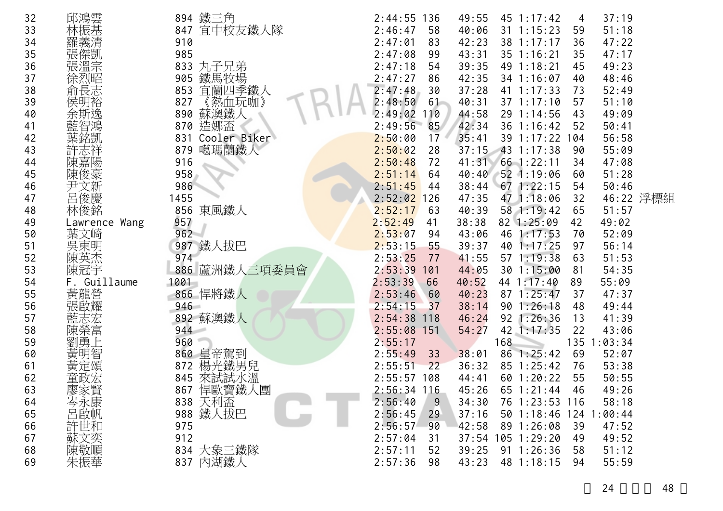| 32 | 邱鴻雲               | 894 鐵三角             | 2:44:55<br>136 | 49:55 | $45 \t1:17:42$         | 4   | 37:19   |           |
|----|-------------------|---------------------|----------------|-------|------------------------|-----|---------|-----------|
| 33 | 林振基               | 宜中校友鐵人隊<br>847      | 2:46:47<br>58  | 40:06 | $31 \t1:15:23$         | 59  | 51:18   |           |
| 34 |                   | 910                 | 83<br>2:47:01  | 42:23 | 38 1:17:17             | 36  | 47:22   |           |
| 35 | 傑凱                | 985                 | 2:47:08<br>99  | 43:31 | 35 1:16:21             | 35  | 47:17   |           |
| 36 | 張溫宗               | 丸子兄弟<br>833         | 2:47:18<br>54  | 39:35 | 49 1:18:21             | 45  | 49:23   |           |
| 37 |                   | 鐵馬牧場<br>905         | 2:47:27<br>86  | 42:35 | 34 1:16:07             | 40  | 48:46   |           |
| 38 | 俞長志               | 宜蘭四季鐵人<br>853       | 2:47:48<br>30  | 37:28 | $41 \t1:17:33$         | 73  | 52:49   |           |
| 39 | 侯                 | 《熱血玩咖》<br>827       | 2:48:50<br>61  | 40:31 | 37 1:17:10             | 57  | 51:10   |           |
| 40 |                   | 蘇澳鐵人<br>890         | 2:49:02<br>110 | 44:58 | 29 1:14:56             | 43  | 49:09   |           |
| 41 |                   | 造娜盃<br>870          | 2:49:56<br>85  | 42:34 | 36 1:16:42             | 52  | 50:41   |           |
| 42 |                   | 831<br>Cooler Biker | 2:50:00<br>17  | 35:41 | 39 1:17:22             | 104 | 56:58   |           |
| 43 |                   | 噶瑪蘭鐵人<br>879        | 2:50:02<br>28  | 37:15 | 43 1:17:38             | 90  | 55:09   |           |
| 44 | 嘉陽                | 916                 | 2:50:48<br>72  | 41:31 | $66$ 1:22:11           | 34  | 47:08   |           |
| 45 | 陳俊豪               | 958                 | 2:51:14<br>64  | 40:40 | 52 1:19:06             | 60  | 51:28   |           |
| 46 | 尹文新               | 986                 | 2:51:45<br>44  | 38:44 | 671:22:15              | 54  | 50:46   |           |
| 47 | 呂俊慶               | 1455                | 2:52:02<br>126 | 47:35 | 47 1:18:06             | 32  |         | 46:22 浮標組 |
| 48 | 林俊銘               | 東風鐵人<br>856         | 2:52:17<br>63  | 40:39 | 58 1:19:42             | 65  | 51:57   |           |
| 49 | Lawrence Wang     | 957                 | 2:52:49<br>41  | 38:38 | 82 1:25:09             | 42  | 49:02   |           |
| 50 | 葉文崎               | 962                 | 2:53:07<br>94  | 43:06 | 46 1:17:53             | 70  | 52:09   |           |
| 51 | 吳東明               | 鐵人拔巴<br>987         | 2:53:15<br>55  | 39:37 | 40<br>1:17:25          | 97  | 56:14   |           |
| 52 | 陳英杰               | 974                 | 2:53:25<br>77  | 41:55 | 57 1:19:38             | 63  | 51:53   |           |
| 53 | 陳冠宇               | 886 蘆洲鐵人三項委員會       | 2:53:39<br>101 | 44:05 | 30 1:15:00             | 81  | 54:35   |           |
| 54 | Guillaume         | 1001                | 2:53:39<br>66  | 40:52 | 44 1:17:40             | 89  | 55:09   |           |
| 55 | 黃龍營<br>張啟耀        | 866 悍將鐵人            | 2:53:46<br>60  | 40:23 | 1:25:47<br>87          | 37  | 47:37   |           |
| 56 |                   | 946                 | 2:54:15<br>37  | 38:14 | 90<br>1:26:18          | 48  | 49:44   |           |
| 57 |                   | 892 蘇澳鐵人            | 2:54:38<br>118 | 46:24 | 92<br>1:26:36          | 13  | 41:39   |           |
| 58 | 陳榮富               | 944                 | 2:55:08<br>151 | 54:27 | 42<br>1:17:35          | 22  | 43:06   |           |
| 59 |                   | 960                 | 2:55:17        |       | 168                    | 135 | 1:03:34 |           |
| 60 | 黃明智               | 860 皇帝駕到            | 2:55:49<br>33  | 38:01 | 86<br>1:25:42          | 69  | 52:07   |           |
| 61 | 黃定頌               | 楊光鐵男兒<br>872        | 2:55:51<br>22  | 36:32 | 85<br>1:25:42          | 76  | 53:38   |           |
| 62 | 宠                 | 來試試水溫<br>845        | 2:55:57<br>108 | 44:41 | 60 1:20:22             | 55  | 50:55   |           |
| 63 | 廖家賢               | 悍歐寶鐵人團<br>867       | 2:56:34 116    | 45:26 | 65 1:21:44             | 46  | 49:26   |           |
| 64 | 岑永康               | 838 天利盃             | 2:56:40<br>9   | 34:30 | 76 1:23:53 116         |     | 58:18   |           |
| 65 | 呂啟帆               | 988 鐵人拔巴            | 2:56:45<br>29  | 37:16 | 50 1:18:46 124 1:00:44 |     |         |           |
| 66 | 許世和               | 975                 | 2:56:57<br>90  | 42:58 | 89 1:26:08             | 39  | 47:52   |           |
| 67 | 蘇文奕<br>陳敬順<br>朱振華 | 912                 | 2:57:04<br>31  |       | 37:54 105 1:29:20      | 49  | 49:52   |           |
| 68 |                   | 834 大象三鐵隊           | 2:57:11<br>52  | 39:25 | $91 \t1:26:36$         | 58  | 51:12   |           |
| 69 |                   | 837 內湖鐵人            | 2:57:36<br>98  | 43:23 | 48 1:18:15             | 94  | 55:59   |           |

24 48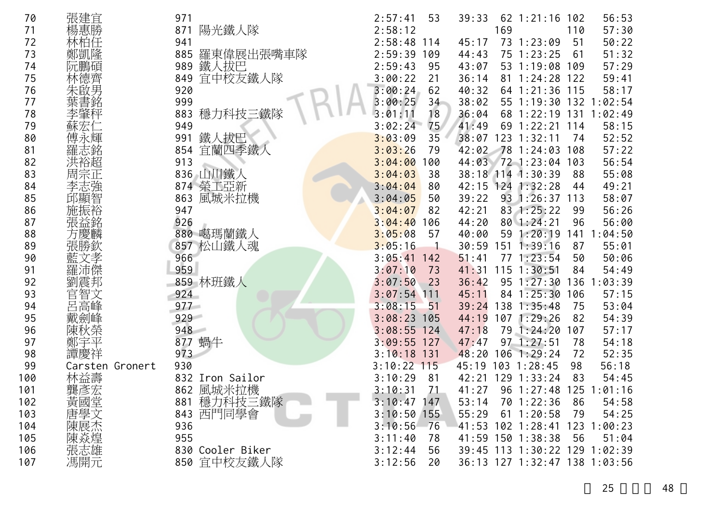| 70  | 張建宜             | 971                    | 2:57:41<br>53  | 39:33<br>$62$ 1:21:16<br>56:53<br>102     |
|-----|-----------------|------------------------|----------------|-------------------------------------------|
| 71  | 楊惠勝             | 陽光鐵人隊<br>871           | 2:58:12        | 169<br>110<br>57:30                       |
| 72  |                 | 941                    | $2:58:48$ 114  | 50:22<br>45:17<br>73 1:23:09<br>51        |
| 73  | 鄭凱降             | 羅東偉展出張嘴車隊<br>885       | 2:59:39<br>109 | 51:32<br>75 1:23:25<br>61<br>44:43        |
| 74  | 阮鵬碵             | 989                    | 2:59:43<br>95  | 57:29<br>43:07<br>1:19:08<br>53<br>109    |
| 75  | 林德齊             | 鐵人拔巴<br>宜中校友鐵人隊<br>849 | 3:00:22<br>21  | 59:41<br>36:14<br>1:24:28<br>81<br>122    |
| 76  | 朱啟男             | 920                    | 3:00:24<br>62  | 58:17<br>40:32<br>1:21:36<br>115<br>64    |
| 77  |                 | 999                    | 3:00:25<br>34  | 38:02<br>1:19:30 132 1:02:54<br>55        |
| 78  |                 | 883<br>穩力科技三鐵隊         | 18<br>3:01:11  | 1:02:49<br>36:04<br>131<br>68<br>1:22:19  |
| 79  |                 | 949                    | 75<br>3:02:24  | 41:49<br>69<br>58:15<br>1:22:21<br>114    |
| 80  |                 | 鐵人拔巴<br>991            | 3:03:09<br>35  | 38:07<br>123<br>52:52<br>1:32:11<br>74    |
| 81  |                 | 宜蘭四季鐵人<br>854          | 3:03:26<br>79  | 57:22<br>42:02<br>78<br>1:24:03<br>108    |
| 82  |                 | 913                    | 3:04:00<br>100 | 56:54<br>44:03<br>72 1:23:04<br>103       |
| 83  | 周宗正             | 836 山川鐵人               | 3:04:03<br>38  | 38:18 114 1:30:39<br>55:08<br>88          |
| 84  | 李志強             | 874 榮工亞新               | 3:04:04<br>80  | 49:21<br>42:15<br>124 1:32:28<br>44       |
| 85  | 邱顯智             | 風城米拉機<br>863           | 3:04:05<br>50  | 58:07<br>39:22<br>93<br>1:26:37<br>113    |
| 86  |                 | 947                    | 3:04:07<br>82  | 56:26<br>42:21<br>83 1:25:22<br>99        |
| 87  | 張益銘             | 926                    | 3:04:40<br>106 | 96<br>56:00<br>44:20<br>801:24:21         |
| 88  | 方慶麟             | 880 噶瑪蘭鐵人              | 3:05:08<br>57  | :04:50<br>40:00<br>1:20:19<br>141<br>59   |
| 89  | 張勝欽             | 857<br> 松山鐵人魂          | 3:05:16        | 55:01<br>30:59<br>$151 \t1:39:16$<br>87   |
| 90  |                 | 966                    | 3:05:41<br>142 | 50:06<br>51:41<br>771:23:54<br>50         |
| 91  |                 | 959                    | 3:07:10<br>73  | 54:49<br>41:31<br>115<br>1:30:51<br>84    |
| 92  | 劉震邦             | 859 林班鐵人               | 3:07:50<br>23  | :03:39<br>$95 \t1:27:30$<br>136<br>36:42  |
| 93  | 官智文             | 924                    | $3:07:54$ 111  | 57:15<br>45:11<br>1:25:30<br>106<br>84    |
| 94  | 呂高峰             | 977                    | 3:08:15<br>51  | 53:04<br>39:24<br>138<br>1:35:48<br>75    |
| 95  | 戴劍峰             | 929                    | $3:08:23$ 105  | 54:39<br>107 1:29:26<br>44:19<br>82       |
| 96  | 陳秋榮             | 948                    | $3:08:55$ 124  | 57:17<br>47:18<br>79<br>1:24:20<br>107    |
| 97  | 鄭               | 蝸牛<br>877              | 3:09:55<br>127 | 47:47<br>97<br>: 27:51<br>78<br>54:18     |
| 98  | 譚慶祥             | 973                    | $3:10:18$ 131  | 48:20<br>72<br>52:35<br>$106$ 1:29:24     |
| 99  | Carsten Gronert | 930                    | $3:10:22$ 115  | 45:19<br>56:18<br>$103$ 1:28:45<br>98     |
| 100 | 林益壽             | 832 Iron Sailor        | 3:10:29<br>81  | 42:21<br>129 1:33:24<br>83<br>54:45       |
| 101 | 龔彥宏             | 風城米拉機<br>862           | 3:10:31<br>71  | $96 \t1:27:48$<br>125<br>41:27<br>1:01:16 |
| 102 | 黃國堂             | 881 穩力科技三鐵隊            | $3:10:47$ 147  | 54:58<br>53:14<br>70 1:22:36<br>86        |
| 103 | 唐學文             | 843 西門同學會              | $3:10:50$ 155  | 55:29<br>$61 \t1:20:58$<br>79<br>54:25    |
| 104 | 陳陳次志            | 936                    | 3:10:56<br>76  | 41:53 102 1:28:41<br>123<br>1:00:23       |
| 105 |                 | 955                    | 3:11:40<br>78  | 41:59 150 1:38:38<br>56<br>51:04          |
| 106 |                 | 830 Cooler Biker       | 3:12:44<br>56  | 39:45 113 1:30:22 129 1:02:39             |
| 107 | 馮開元             | 850 宜中校友鐵人隊            | 3:12:56<br>20  | 36:13 127 1:32:47 138 1:03:56             |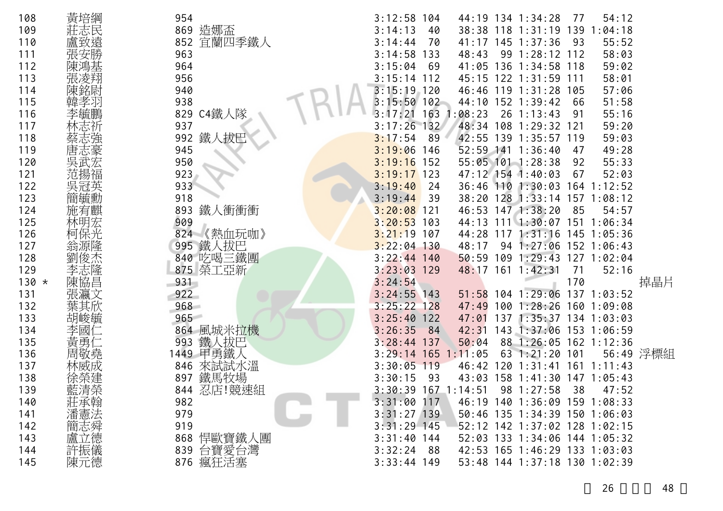| 108     | 黃培綱 | 954           | 3:12:58       | 104  |             |     | 44:19 134 1:34:28             | -77 | 54:12                   |           |
|---------|-----|---------------|---------------|------|-------------|-----|-------------------------------|-----|-------------------------|-----------|
| 109     |     | 869 造娜盃       | 3:14:13       | 40   |             |     | 38:38 118 1:31:19 139         |     | 1:04:18                 |           |
| 110     |     | 852 宜蘭四季鐵人    | 3:14:44       | 70   |             |     | 41:17 145 1:37:36             | 93  | 55:52                   |           |
| 111     |     | 963           | 3:14:58       | 133  | 48:43       |     | 99 1:28:12 112                |     | 58:03                   |           |
| 112     |     | 964           | 3:15:04       | 69   | 41:05       | 136 | $1:34:58$ 118                 |     | 59:02                   |           |
| 113     |     | 956           | $3:15:14$ 112 |      |             |     | 45:15 122 1:31:59 111         |     | 58:01                   |           |
| 114     |     | 940           | 3:15:19       | 120  |             |     | 46:46 119 1:31:28 105         |     | 57:06                   |           |
| 115     |     | 938           | $3:15:50$ 102 |      |             |     | 44:10 152 1:39:42             | 66  | 51:58                   |           |
| 116     |     | C4鐵人隊<br>829  | 3:17:21       | 163  | :08:23      |     | $26$ 1:13:43                  | 91  | 55:16                   |           |
| 117     |     | 937           | 3:17:26       | 132  |             |     | 48:34 108 1:29:32 121         |     | 59:20                   |           |
| 118     |     | 鐵人拔巴<br>992   | 3:17:54       | 89   |             |     | 42:55 139 1:35:57 119         |     | 59:03                   |           |
| 119     |     | 945           | 3:19:06       | 146  |             |     | 52:59 141 1:36:40             | 47  | 49:28                   |           |
| 120     |     | 950           | 3:19:16       | 152  |             |     | 55:05 101 1:28:38             | 92  | 55:33                   |           |
| 121     |     | 923           | $3:19:17$ 123 |      |             |     | 47:12 154 1:40:03             | 67  | 52:03                   |           |
| 122     |     | 933           | 3:19:40       | -24  | 36:46 110   |     | $1:30:03$ 164 1:12:52         |     |                         |           |
| 123     | 簡毓勳 | 918           | 3:19:44       | - 39 |             |     | 38:20 128 1:33:14             |     | $157$ $1:08:12$         |           |
| 124     | 施宥麒 | 鐵人衝衝衝<br>893  | $3:20:08$ 121 |      |             |     | 46:53 147 1:38:20             | 85  | 54:57                   |           |
| 125     | 林明宏 | 909           | 3:20:53       | 103  | 44:13       |     | 1111:30:07                    | 151 | 1:06:34                 |           |
| 126     | 柯保光 | 824<br>《熱血玩咖》 | 3:21:19       | 107  |             |     | 44:28 117 1:31:16 145 1:05:36 |     |                         |           |
| 127     |     | 995 鐵人拔巴      | $3:22:04$ 130 |      | 48:17       |     | 94 1:27:06                    |     | 152 1:06:43             |           |
| 128     | 夋杰  | 840 吃喝三鐵團     | $3:22:44$ 140 |      | 50:59       |     | 109 1:29:43 127               |     | 1:02:04                 |           |
| 129     | 李志隆 | 875 榮工亞新      | $3:23:03$ 129 |      |             |     | 48:17 161 1:42:31             | -71 | 52:16                   |           |
| $130 *$ | 陳協昌 | 931           | 3:24:54       |      |             |     |                               | 170 |                         | 掉晶片       |
| 131     |     | 922           | $3:24:55$ 143 |      | 51:58       |     | $104$ 1:29:06                 |     | $137$ $1:03:52$         |           |
| 132     |     | 968           | $3:25:22$ 128 |      | 47:49       | 100 |                               |     | $1:28:26$ 160 $1:09:08$ |           |
| 133     | 胡峻毓 | 965           | 3:25:40       | 122  | 47:01       | 137 | $1:35:37$ 134 1:03:03         |     |                         |           |
| 134     |     | 864 風城米拉機     | 3:26:35       | 84   | 42:31       | 143 | 1:37:06 153 1:06:59           |     |                         |           |
| 135     | 黃勇  | 鐵人拔巴<br>993   | 3:28:44       | -137 | 50:04       | 88  | 1:26:05                       |     | $162$ 1:12:36           |           |
| 136     |     | 甲勇鐵人<br>1449  | 3:29:14       | 165  | 1:11:05     | 63  | 1:21:20                       | 101 |                         | 56:49 浮標組 |
| 137     |     | 來試試水溫<br>846  | 3:30:05       | 119  | 46:42       | 120 | 1:31:41                       |     | $161$ 1:11:43           |           |
| 138     |     | 鐵馬牧場<br>897   | 3:30:15       | -93  | 43:03       |     | 158 1:41:30 147 1:05:43       |     |                         |           |
| 139     | 藍清榮 | 忍店!競速組<br>844 | 3:30:39       |      | 167 1:14:51 |     | 98 1:27:58                    | 38  | 47:52                   |           |
| 140     | 莊承翰 | 982           | 3:31:00       | 117  |             |     | 46:19 140 1:36:09 159 1:08:33 |     |                         |           |
| 141     | 潘憲法 | 979           | $3:31:27$ 139 |      |             |     | 50:46 135 1:34:39 150 1:06:03 |     |                         |           |
| 142     | 簡志舜 | 919           | $3:31:29$ 145 |      |             |     | 52:12 142 1:37:02 128 1:02:15 |     |                         |           |
| 143     | 盧立德 | 悍歐寶鐵人團<br>868 | $3:31:40$ 144 |      |             |     | 52:03 133 1:34:06 144 1:05:32 |     |                         |           |
| 144     | 許振儀 | 台寶愛台灣<br>839  | 3:32:24       | - 88 |             |     | 42:53 165 1:46:29 133 1:03:03 |     |                         |           |
| 145     | 陳元德 | 876 瘋狂活塞      | $3:33:44$ 149 |      |             |     | 53:48 144 1:37:18 130 1:02:39 |     |                         |           |

26 48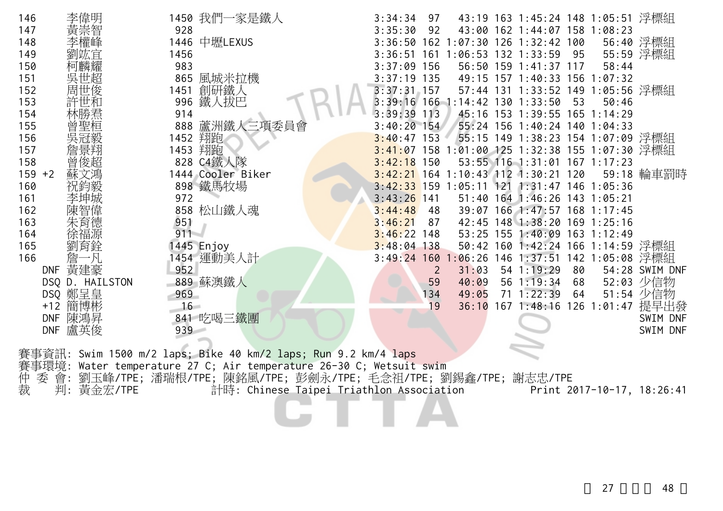| 146<br>李偉明<br>147  | 928     | 1450 我們一家是鐵人                                                        | 3:34:34<br>3:35:30             | 97<br>92  |                                                 | 43:19 163 1:45:24 148 1:05:51 浮標組<br>43:00 162 1:44:07 158 1:08:23 |          |       |                                           |
|--------------------|---------|---------------------------------------------------------------------|--------------------------------|-----------|-------------------------------------------------|--------------------------------------------------------------------|----------|-------|-------------------------------------------|
| 黃崇智<br>148         |         | 1446 中壢LEXUS                                                        |                                |           | 3:36:50 162 1:07:30 126 1:32:42 100             |                                                                    |          |       | 56:40 浮標組                                 |
| 149                | 1456    |                                                                     |                                |           | 3:36:51 161 1:06:53 132 1:33:59                 |                                                                    | 95       |       | 55:59 浮標組                                 |
| 150<br>吳世超<br>151  | 983     | 865 風城米拉機                                                           | $3:37:09$ 156<br>$3:37:19$ 135 |           |                                                 | 56:50 159 1:41:37 117<br>49:15 157 1:40:33 156 1:07:32             |          | 58:44 |                                           |
| 周世俊<br>152         | 1451    | 創研鐵人                                                                | $3:37:31$ 157                  |           |                                                 | 57:44 131 1:33:52 149 1:05:56 浮標組                                  |          |       |                                           |
| 許世和<br>153         | 996     | 鐵人拔巴                                                                |                                |           | 3:39:16 166 1:14:42 130 1:33:50                 |                                                                    | 53       | 50:46 |                                           |
| 154<br>林勝焄         | 914     |                                                                     | 3:39:39                        | 113       |                                                 | 45:16 153 1:39:55 165 1:14:29                                      |          |       |                                           |
| 155<br>曾聖桓         | 888     | 蘆洲鐵人三項委員會                                                           | $3:40:20$ 154                  |           |                                                 | 55:24 156 1:40:24 140 1:04:33                                      |          |       |                                           |
| 吳冠毅<br>156         |         | 1452 翔跑                                                             | $3:40:47$ 153                  |           |                                                 | 55:15 149 1:38:23 154 1:07:09 浮標組                                  |          |       |                                           |
| 詹景翔<br>157         |         | 1453 翔跑                                                             |                                |           | 3:41:07 158 1:01:00 125 1:32:38 155 1:07:30 浮標組 |                                                                    |          |       |                                           |
| 曾俊超<br>158         |         | 828 C4鐵人隊                                                           | $3:42:18$ 150                  |           |                                                 | 53:55 116 1:31:01 167 1:17:23                                      |          |       |                                           |
| $159 + 2$<br>蘇文馮   |         | 1444 Cooler Biker                                                   |                                |           | 3:42:21 164 1:10:43 112 1:30:21 120             |                                                                    |          |       | 59:18 輪車罰時                                |
| 祝鈞毅<br>160         |         | 898 鐵馬牧場                                                            |                                |           | $3:42:33$ 159 1:05:11 121 1:31:47 146 1:05:36   |                                                                    |          |       |                                           |
| 161<br>李坤城         | 972     |                                                                     | $3:43:26$ 141                  |           |                                                 | 51:40 164 1:46:26 143 1:05:21                                      |          |       |                                           |
| 陳智偉<br>162         |         | 858 松山鐵人魂                                                           | 3:44:48                        | 48        |                                                 | 39:07 166 1:47:57 168 1:17:45                                      |          |       |                                           |
| 163<br>朱育德         | 951     |                                                                     | 3:46:21                        | 87        |                                                 | 42:45 148 1:38:20 169 1:25:16                                      |          |       |                                           |
| 164<br>徐福源         | 911     |                                                                     | $3:46:22$ 148                  |           |                                                 | 53:25 155 1:40:09 163 1:12:49                                      |          |       |                                           |
| 165<br>劉育銓         |         | 1445 Enjoy                                                          | $3:48:04$ 138                  |           |                                                 | 50:42 160 1:42:24 166 1:14:59 浮標組                                  |          |       |                                           |
| 詹<br>166           | 一凡      | 1454 運動美人計                                                          | $3:49:24$ 160                  |           |                                                 | :06:26 146 1:37:51 142 1:05:08 浮標組                                 |          |       |                                           |
| DNF 黃建豪            | 952     |                                                                     |                                | 2         | 31:03                                           | 54 1:19:29                                                         | 80       |       | 54:28 SWIM DNF                            |
| DSQ D. HAILSTON    | 969     | 889 蘇澳鐵人                                                            |                                | 59        | 40:09                                           | 56 1:19:34<br>$71 \t1:22:39$                                       | 68<br>64 |       | 52:03 少信物                                 |
| DSQ 鄭呈皇<br>+12 簡博彬 | $16 -$  |                                                                     |                                | 134<br>19 | 49:05<br>36:10                                  |                                                                    |          |       | 51:54 少信物<br>167 1:48:16 126 1:01:47 提早出發 |
| DNF 陳鴻昇            |         | 841 吃喝三鐵團                                                           |                                |           |                                                 |                                                                    |          |       | SWIM DNF                                  |
| DNF 盧英俊            | $939 -$ |                                                                     |                                |           |                                                 |                                                                    |          |       | SWIM DNF                                  |
|                    |         |                                                                     |                                |           |                                                 |                                                                    |          |       |                                           |
|                    |         | 賽事資訊: Swim 1500 m/2 laps; Bike 40 km/2 laps; Run 9.2 km/4 laps      |                                |           |                                                 |                                                                    |          |       |                                           |
|                    |         | 賽事環境: Water temperature 27 C; Air temperature 26-30 C; Wetsuit swim |                                |           |                                                 |                                                                    |          |       |                                           |
| 仲<br>會:<br>委       |         | 劉玉峰/TPE;潘瑞根/TPE;陳銘風/TPE;彭劍永/TPE;毛念祖/TPE;劉錫鑫/TPE;謝志忠/TPE             |                                |           |                                                 |                                                                    |          |       |                                           |
| 裁<br>判:            | 黃金宏/TPE | 計時: Chinese Taipei Triathlon Association                            |                                |           |                                                 |                                                                    |          |       | Print 2017-10-17, 18:26:41                |
|                    |         |                                                                     |                                |           |                                                 |                                                                    |          |       |                                           |
|                    |         |                                                                     |                                |           |                                                 |                                                                    |          |       |                                           |
|                    |         |                                                                     |                                |           |                                                 |                                                                    |          |       |                                           |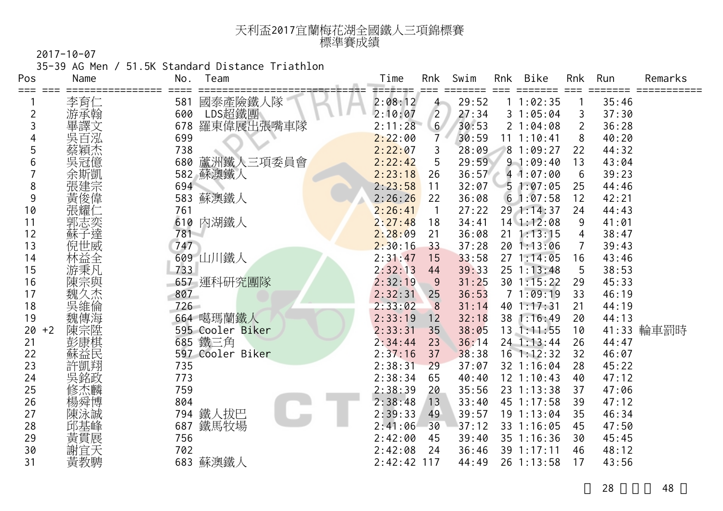| 天利盃2017宜蘭梅花湖全國鐵人三項錦標賽 |  |
|-----------------------|--|
| 標準賽成績                 |  |

35-39 AG Men / 51.5K Standard Distance Triathlon

| Pos        | Name       | No.        | Team             | Time               | Rnk            | Swim           | Rnk | Bike                         | Rnk            | Run            | Remarks    |
|------------|------------|------------|------------------|--------------------|----------------|----------------|-----|------------------------------|----------------|----------------|------------|
| ===        | 李育仁        | 581        | 國泰產險鐵人隊          | ======<br>2:08:12  | $4 -$          | 29:52          |     | 11:02:35                     |                | 35:46          |            |
| 2          | 游承翰        | 600        | LDS超鐵團           | 2:10:07            | $\overline{2}$ | 27:34          |     | 31:05:04                     | 3              | 37:30          |            |
| 3          | 畢譯文        | 678        | 羅東偉展出張嘴車隊        | 2:11:28            | 6 <sup>1</sup> | 30:53          |     | 21:04:08                     | $\overline{2}$ | 36:28          |            |
|            | 吳百泓        | 699        |                  | 2:22:00            | $\overline{7}$ | 30:59          |     | 11 1:10:41                   | 8              | 40:20          |            |
| 5          | 蔡穎杰        | 738        |                  | 2:22:07            | 3              | 28:09          |     | 81:09:27                     | 22             | 44:32          |            |
| 6          | 吳冠億        | 680        | 蘆洲鐵人三項委員會        | 2:22:42            | 5              | 29:59          |     | 91:09:40                     | 13             | 43:04          |            |
|            | 余斯凱        |            | 582 蘇澳鐵人         | 2:23:18            | 26             | 36:57          |     | 41:07:00                     | 6              | 39:23          |            |
| 8          | 張建宗        | 694        |                  | 2:23:58            | 11             | 32:07          |     | 51:07:05                     | 25             | 44:46          |            |
| 9          | 黃俊偉        | 583        | 蘇澳鐵人             | 2:26:26            | 22             | 36:08          |     | 61:07:58                     | 12             | 42:21          |            |
| 10         | 張耀!        | 761        |                  | 2:26:41            | $\overline{1}$ | 27:22          |     | 29 1:14:37                   | 24             | 44:43          |            |
| 11         | 郭志奕        | 610        | 內湖鐵人             | 2:27:48            | 18             | 34:41          |     | 14 1:12:08                   | 9              | 41:01          |            |
| 12         | 蘇子達        | 781        |                  | 2:28:09            | 21             | 36:08          |     | $21 \t1:13:15$               | 4              | 38:47          |            |
| 13         | 倪世威        | 747        |                  | 2:30:16            | 33             | 37:28          |     | 20 1:13:06                   | 7              | 39:43          |            |
| 14         | 林益全        |            | 609 山川鐵人         | 2:31:47            | 15             | 33:58          |     | 271:14:05                    | 16             | 43:46          |            |
| 15         | 游秉凡        | 733        |                  | 2:32:13            | 44             | 39:33          |     | $25 \t1:13:48$               | 5              | 38:53          |            |
| 16         | 陳宗與<br>魏久然 |            | 657 運科研究團隊       | 2:32:19            | 9              | 31:25          |     | 30 1:15:22                   | 29             | 45:33          |            |
| 17         |            | 807        |                  | 2:32:31            | 25             | 36:53          |     | 71:09:19                     | 33             | 46:19          |            |
| 18         | 吳維倫        | $726 -$    |                  | 2:33:02            | 8              | 31:14          |     | 40 1:17:31                   | 21             | 44:19          |            |
| 19         | 魏傳海        |            | 664 噶瑪蘭鐵人        | 2:33:19            | 12             | 32:18          |     | 38 1:16:49                   | 20             | 44:13          |            |
| 20<br>$+2$ | 陳宗陞        |            | 595 Cooler Biker | 2:33:31            | 35             | 38:05          |     | 13 1:11:55                   | 10             |                | 41:33 輪車罰時 |
| 21         |            |            | 685 鐵三角          | 2:34:44            | 23             | 36:14          |     | 24 1:13:44                   | 26             | 44:47          |            |
| 22         | 蘇益民        |            | 597 Cooler Biker | 2:37:16            | 37             | 38:38          |     | $16$ 1:12:32                 | 32             | 46:07          |            |
| 23         | 許凱翔        | 735        |                  | 2:38:31            | 29             | 37:07          |     | 32 1:16:04                   | 28             | 45:22          |            |
| 24         | 吳銘政        | 773        |                  | 2:38:34            | 65             | 40:40          |     | $12$ $1:10:43$               | 40             | 47:12          |            |
| 25         | 修杰麟        | 759        |                  | 2:38:39            | 20             | 35:56          |     | 23 1:13:38                   | 37             | 47:06          |            |
| 26<br>27   | 楊舜博        | 804        |                  | 2:38:48<br>2:39:33 | 13             | 33:40<br>39:57 |     | 45 1:17:58                   | 39<br>35       | 47:12          |            |
| 28         | 陳泳誠<br>邱基峰 | 794<br>687 | 鐵人拔巴<br>鐵馬牧場     | 2:41:06            | 49<br>30       | 37:12          |     | $19 \t1:13:04$<br>33 1:16:05 | 45             | 46:34<br>47:50 |            |
| 29         |            | 756        |                  |                    | 45             | 39:40          |     | 35 1:16:36                   | 30             | 45:45          |            |
| 30         | 黃貫展<br>謝宜天 | 702        |                  | 2:42:00<br>2:42:08 | 24             | 36:46          |     | 39 1:17:11                   | 46             | 48:12          |            |
| 31         | 黃教騁        |            | 683 蘇澳鐵人         | $2:42:42$ 117      |                | 44:49          |     | 26 1:13:58                   | 17             | 43:56          |            |
|            |            |            |                  |                    |                |                |     |                              |                |                |            |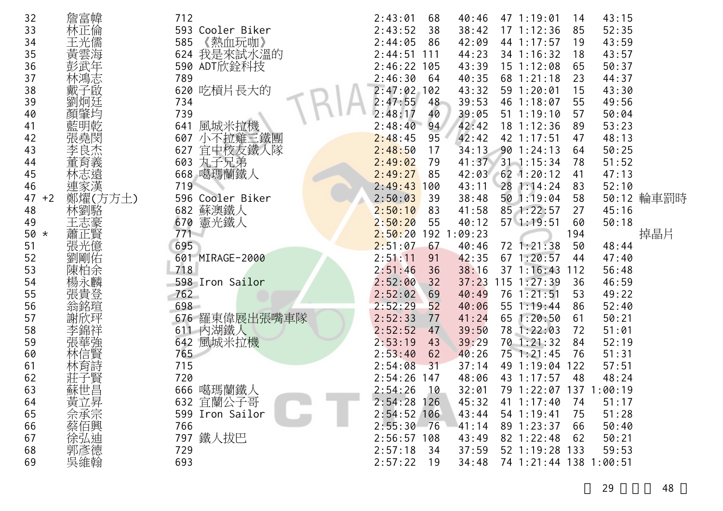| 32<br>33<br>34<br>35<br>36<br>37<br>38<br>39<br>40<br>41<br>42<br>43<br>44<br>45<br>46<br>47<br>$+2$<br>48<br>49<br>$50 *$<br>51<br>52<br>53<br>54<br>55<br>56<br>57<br>58<br>59<br>60 | 詹富幃<br>林正倫<br>王光儒<br>黃雲海<br>林鴻志<br>子啟<br>藍明乾<br>張堯閔<br>李良杰<br>董育義<br>林志遠<br>連家漢<br>鄭燿(方方土)<br>林劉駱<br>王志豪<br>蕭正賢<br>張光億<br>劉剛佑<br>陳柏余<br>楊永麟<br>張貴登<br>翁銘瑄<br>林信賢 | 712<br>593 Cooler Biker<br>《熱血玩咖》<br>585<br>624 我是來試水溫的<br>590 ADT欣銓科技<br>789<br>620 吃槓片長大的<br>734<br>739<br>風城米拉機<br>641<br>607 小不拉雞三鐵團<br>宜中校友鐵人隊<br>627<br>603 丸子兄弟<br>668 噶瑪蘭鐵人<br>719<br>596 Cooler Biker<br>682 蘇澳鐵人<br>670 憲光鐵人<br>$771 -$<br>695<br>601 MIRAGE-2000<br>718<br>598 Iron Sailor<br>762<br>698<br>676 羅東偉展出張嘴車隊<br>611 内湖鐵人<br>風城米拉機<br>642<br>765 | 2:43:01<br>40:46<br>68<br>2:43:52<br>38<br>38:42<br>42:09<br>2:44:05<br>86<br>2:44:51<br>44:23<br>111<br>$2:46:22$ 105<br>43:39<br>2:46:30<br>40:35<br>64<br>2:47:02<br>43:32<br>102<br>2:47:55<br>39:53<br>48<br>39:05<br>2:48:17<br>40<br>2:48:40<br>94<br>42:42<br>42:42<br>2:48:45<br>95<br>2:48:50<br>17<br>2:49:02<br>41:37<br>79<br>2:49:27<br>85<br>42:03<br>2:49:43<br>43:11<br>100<br>2:50:03<br>38:48<br>39<br>2:50:10<br>41:58<br>83<br>2:50:20<br>55<br>40:12<br>2:50:20<br>1:09:23<br>192<br>2:51:07<br>67<br>40:46<br>2:51:11<br>42:35<br>91<br>2:51:46<br>38:16<br>36<br>2:52:00<br>37:23<br>32<br>2:52:02<br>40:49<br>69<br>2:52:29<br>52<br>40:06<br>2:52:33<br>77<br>41:24<br>2:52:52<br>39:50<br>47<br>2:53:19<br>39:29<br>43<br>2:53:40<br>40:26<br>62<br>2:54:08<br>37:14 | 47 1:19:01<br>14<br>$17 \t1:12:36$<br>85<br>44 1:17:57<br>19<br>34 1:16:32<br>18<br>$15$ $1:12:08$<br>65<br>68 1:21:18<br>23<br>59 1:20:01<br>15<br>46 1:18:07<br>55<br>$51 \t1:19:10$<br>57<br>$18$ 1:12:36<br>89<br>42 1:17:51<br>47<br>34:13 90 1:24:13<br>64<br>$31$ 1:15:34<br>78<br>$62$ 1:20:12<br>41<br>$28$ 1:14:24<br>83<br>50 1:19:04<br>58<br>85 1:22:57<br>27<br>$57 \; 1:19:51$<br>60<br>194<br>72 1:21:38<br>50<br>671:20:57<br>44<br>$37 \; 1:16:43$<br>112<br>$115$ $1:27:39$<br>36<br>76 1:21:51<br>53<br>55 1:19:44<br>86<br>65<br>1:20:50<br>61<br>78 1:22:03<br>72<br>1:21:32<br>70<br>84<br>75 1:21:45<br>76<br>49 1:19:04 122 | 43:15<br>52:35<br>43:59<br>43:57<br>50:37<br>44:37<br>43:30<br>49:56<br>50:04<br>53:23<br>48:13<br>50:25<br>51:52<br>47:13<br>52:10<br>50:12 輪車罰時<br>45:16<br>50:18<br>掉晶片<br>48:44<br>47:40<br>56:48<br>46:59<br>49:22<br>52:40<br>50:21<br>51:01<br>52:19<br>51:31 |
|----------------------------------------------------------------------------------------------------------------------------------------------------------------------------------------|------------------------------------------------------------------------------------------------------------------------------------------------------------------|-------------------------------------------------------------------------------------------------------------------------------------------------------------------------------------------------------------------------------------------------------------------------------------------------------------------------------------------------------------------------|-------------------------------------------------------------------------------------------------------------------------------------------------------------------------------------------------------------------------------------------------------------------------------------------------------------------------------------------------------------------------------------------------------------------------------------------------------------------------------------------------------------------------------------------------------------------------------------------------------------------------------------------------------------------------------------------------------------------------------------------------------------------------------------------------|------------------------------------------------------------------------------------------------------------------------------------------------------------------------------------------------------------------------------------------------------------------------------------------------------------------------------------------------------------------------------------------------------------------------------------------------------------------------------------------------------------------------------------------------------------------------------------------------------------------------------------------------------|----------------------------------------------------------------------------------------------------------------------------------------------------------------------------------------------------------------------------------------------------------------------|
|                                                                                                                                                                                        |                                                                                                                                                                  |                                                                                                                                                                                                                                                                                                                                                                         |                                                                                                                                                                                                                                                                                                                                                                                                                                                                                                                                                                                                                                                                                                                                                                                                 |                                                                                                                                                                                                                                                                                                                                                                                                                                                                                                                                                                                                                                                      |                                                                                                                                                                                                                                                                      |
|                                                                                                                                                                                        |                                                                                                                                                                  |                                                                                                                                                                                                                                                                                                                                                                         |                                                                                                                                                                                                                                                                                                                                                                                                                                                                                                                                                                                                                                                                                                                                                                                                 |                                                                                                                                                                                                                                                                                                                                                                                                                                                                                                                                                                                                                                                      |                                                                                                                                                                                                                                                                      |
|                                                                                                                                                                                        |                                                                                                                                                                  |                                                                                                                                                                                                                                                                                                                                                                         |                                                                                                                                                                                                                                                                                                                                                                                                                                                                                                                                                                                                                                                                                                                                                                                                 |                                                                                                                                                                                                                                                                                                                                                                                                                                                                                                                                                                                                                                                      |                                                                                                                                                                                                                                                                      |
|                                                                                                                                                                                        |                                                                                                                                                                  |                                                                                                                                                                                                                                                                                                                                                                         |                                                                                                                                                                                                                                                                                                                                                                                                                                                                                                                                                                                                                                                                                                                                                                                                 |                                                                                                                                                                                                                                                                                                                                                                                                                                                                                                                                                                                                                                                      |                                                                                                                                                                                                                                                                      |
|                                                                                                                                                                                        |                                                                                                                                                                  |                                                                                                                                                                                                                                                                                                                                                                         |                                                                                                                                                                                                                                                                                                                                                                                                                                                                                                                                                                                                                                                                                                                                                                                                 |                                                                                                                                                                                                                                                                                                                                                                                                                                                                                                                                                                                                                                                      |                                                                                                                                                                                                                                                                      |
| 61<br>62                                                                                                                                                                               | 林育詩                                                                                                                                                              | 715<br>720                                                                                                                                                                                                                                                                                                                                                              | 31<br>2:54:26<br>48:06<br>147                                                                                                                                                                                                                                                                                                                                                                                                                                                                                                                                                                                                                                                                                                                                                                   | 43 1:17:57<br>48                                                                                                                                                                                                                                                                                                                                                                                                                                                                                                                                                                                                                                     | 57:51<br>48:24                                                                                                                                                                                                                                                       |
| 63                                                                                                                                                                                     | 蘇世昌                                                                                                                                                              | 666 噶瑪蘭鐵人                                                                                                                                                                                                                                                                                                                                                               | 2:54:26<br>32:01<br>10                                                                                                                                                                                                                                                                                                                                                                                                                                                                                                                                                                                                                                                                                                                                                                          | 79 1:22:07 137 1:00:19                                                                                                                                                                                                                                                                                                                                                                                                                                                                                                                                                                                                                               |                                                                                                                                                                                                                                                                      |
| 64                                                                                                                                                                                     | 黃立昇                                                                                                                                                              | 632 宜蘭公子哥                                                                                                                                                                                                                                                                                                                                                               | $2:54:28$ 126<br>45:32                                                                                                                                                                                                                                                                                                                                                                                                                                                                                                                                                                                                                                                                                                                                                                          | $41 \t1:17:40$<br>- 74                                                                                                                                                                                                                                                                                                                                                                                                                                                                                                                                                                                                                               | 51:17                                                                                                                                                                                                                                                                |
| 65                                                                                                                                                                                     | 佘承宗                                                                                                                                                              | 599 Iron Sailor                                                                                                                                                                                                                                                                                                                                                         | $2:54:52$ 106<br>43:44                                                                                                                                                                                                                                                                                                                                                                                                                                                                                                                                                                                                                                                                                                                                                                          | $54$ 1:19:41<br>75                                                                                                                                                                                                                                                                                                                                                                                                                                                                                                                                                                                                                                   | 51:28                                                                                                                                                                                                                                                                |
| 66                                                                                                                                                                                     | 蔡佰興                                                                                                                                                              | 766                                                                                                                                                                                                                                                                                                                                                                     | 2:55:30<br>41:14<br>-76                                                                                                                                                                                                                                                                                                                                                                                                                                                                                                                                                                                                                                                                                                                                                                         | 89 1:23:37<br>66                                                                                                                                                                                                                                                                                                                                                                                                                                                                                                                                                                                                                                     | 50:40                                                                                                                                                                                                                                                                |
| 67                                                                                                                                                                                     |                                                                                                                                                                  | 797 鐵人拔巴                                                                                                                                                                                                                                                                                                                                                                | $2:56:57$ 108<br>43:49                                                                                                                                                                                                                                                                                                                                                                                                                                                                                                                                                                                                                                                                                                                                                                          | 82 1:22:48<br>-62                                                                                                                                                                                                                                                                                                                                                                                                                                                                                                                                                                                                                                    | 50:21                                                                                                                                                                                                                                                                |
| 68                                                                                                                                                                                     | 徐弘迪<br>郭彥德                                                                                                                                                       | 729                                                                                                                                                                                                                                                                                                                                                                     | 2:57:18<br>37:59<br>34                                                                                                                                                                                                                                                                                                                                                                                                                                                                                                                                                                                                                                                                                                                                                                          | 52 1:19:28 133                                                                                                                                                                                                                                                                                                                                                                                                                                                                                                                                                                                                                                       | 59:53                                                                                                                                                                                                                                                                |
| 69                                                                                                                                                                                     | 吳維翰                                                                                                                                                              | 693                                                                                                                                                                                                                                                                                                                                                                     | 2:57:22<br>34:48<br>19                                                                                                                                                                                                                                                                                                                                                                                                                                                                                                                                                                                                                                                                                                                                                                          | 74 1:21:44 138 1:00:51                                                                                                                                                                                                                                                                                                                                                                                                                                                                                                                                                                                                                               |                                                                                                                                                                                                                                                                      |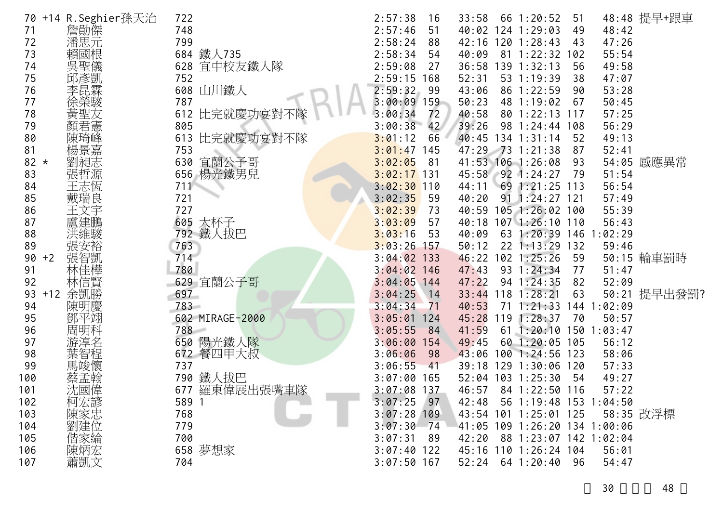| 70     |       | +14 R.Seghier孫天治 | 722   |                 | 2:57:38       | 16   | 33:58 |     | 66 1:20:52                    | 51  |             | 48:48 提早+跟車  |
|--------|-------|------------------|-------|-----------------|---------------|------|-------|-----|-------------------------------|-----|-------------|--------------|
| 71     |       | 詹勛傑              | 748   |                 | 2:57:46       | 51   | 40:02 |     | $124$ 1:29:03                 | 49  | 48:42       |              |
| 72     |       | 潘思元              | 799   |                 | 2:58:24       | 88   | 42:16 |     | 1201:28:43                    | 43  | 47:26       |              |
| 73     |       | 賴國根              |       | 684 鐵人735       | 2:58:34       | 54   | 40:09 |     | 81 1:22:32                    | 102 | 55:54       |              |
| 74     |       | 吳聖儀              |       | 628 宜中校友鐵人隊     | 2:59:08       | 27   | 36:58 |     | 139 1:32:13                   | 56  | 49:58       |              |
| 75     |       | 邱彥凱              | 752   |                 | 2:59:15       | 168  | 52:31 |     | 53 1:19:39                    | 38  | 47:07       |              |
| 76     |       | 李昆霖              |       | 608 山川鐵人        | 2:59:32       | -99  | 43:06 |     | 86 1:22:59                    | 90  | 53:28       |              |
| 77     |       | 徐榮駿              | 787   |                 | $3:00:09$ 159 |      | 50:23 |     | 48 1:19:02                    | 67  | 50:45       |              |
| 78     |       | 黃聖友              |       | 612 比完就慶功宴對不隊   | 3:00:34       | 72   | 40:58 |     | 80 1:22:13                    | 117 | 57:25       |              |
| 79     |       | 顏君憲              | 805   |                 | 3:00:38       | 42   | 39:26 |     | 98 1:24:44                    | 108 | 56:29       |              |
| 80     |       | 陳琦峰              |       | 613 比完就慶功宴對不隊   | 3:01:12       | 66   | 40:45 |     | $134$ $1:31:14$               | 52  | 49:13       |              |
| 81     |       | 楊景嘉              | 753   |                 | 3:01:47       | 145  | 47:29 |     | $-73$ 1:21:38                 | 87  | 52:41       |              |
| $82 *$ |       | 劉昶志              |       | 630 宜蘭公子哥       | 3:02:05       | -81  |       |     | 41:53 106 1:26:08             | 93  |             | 54:05 感應異常   |
| 83     |       | 張哲源              |       | 656 楊光鐵男兒       | $3:02:17$ 131 |      | 45:58 |     | $92$ 1:24:27                  | 79  | 51:54       |              |
| 84     |       | 王志恆              | 711   |                 | $3:02:30$ 110 |      | 44:11 |     | $69$ 1:21:25 113              |     | 56:54       |              |
| 85     |       | 戴瑞良              | 721   |                 | 3:02:35       | 59   | 40:20 |     | 91 1:24:27 121                |     | 57:49       |              |
| 86     |       | 王文宇              | 727   |                 | 3:02:39       | 73   | 40:59 |     | $105$ 1:26:02                 | 100 | 55:39       |              |
| 87     |       | 盧建鵬              |       | 605 大杯子         | 3:03:09       | 57   | 40:18 |     | $107$ $1:26:10$               | 110 | 56:43       |              |
| 88     |       | 洪維駿              |       | 792 鐵人拔巴        | 3:03:16       | 53   | 40:09 |     | 63 1:20:39 146                |     | 1:02:29     |              |
| 89     |       | 張安裕              | 763   |                 | 3:03:26       | 157  | 50:12 |     | $22 \t1:13:29$                | 132 | 59:46       |              |
| 90     | $+2$  | 張智凱              | 714   |                 | $3:04:02$ 133 |      | 46:22 |     | $102$ 1:25:26                 | 59  |             | 50:15 輪車罰時   |
| 91     |       | 林佳樺              | 780   |                 | $3:04:02$ 146 |      | 47:43 |     | 93 1:24:34                    | 77  | 51:47       |              |
| 92     |       | 林信賢              |       | 629 宜蘭公子哥       | $3:04:05$ 144 |      | 47:22 |     | 94 1:24:35                    | 82  | 52:09       |              |
| 93     | $+12$ | 余凱勝              | 697   |                 | $3:04:25$ 14  |      | 33:44 |     | $118$ 1:28:21                 | 63  |             | 50:21 提早出發罰? |
| 94     |       | 陳明慶              | 783   |                 | 3:04:34       | 71   | 40:53 | 71  | 1:21:33                       |     | 144 1:02:09 |              |
| 95     |       | 鄧平翊              |       | 602 MIRAGE-2000 | 3:05:01       | 124  | 45:28 | 119 | 1:28:37                       | 70  | 50:57       |              |
| 96     |       | 周明科              | 788   |                 | 3:05:55       | 84   | 41:59 | 61  | 1:20:10                       | 150 | 1:03:47     |              |
| 97     |       |                  |       | 650 陽光鐵人隊       | 3:06:00       | 154  | 49:45 | 60  | 1:20:05                       | 105 | 56:12       |              |
| 98     |       | 葉智程              |       | 672 餐四甲大叔       | 3:06:06       | -98  | 43:06 |     | 1001:24:56                    | 123 | 58:06       |              |
| 99     |       | 馬竣懷              | 737   |                 | 3:06:55       | -41  | 39:18 |     | 129 1:30:06 120               |     | 57:33       |              |
| 100    |       | 蔡孟翰              |       | 790 鐵人拔巴        | 3:07:00       | 165  | 52:04 |     | $103$ $1:25:30$               | 54  | 49:27       |              |
| 101    |       | 沈國偉              | 677   | 羅東偉展出張嘴車隊       | $3:07:08$ 137 |      | 46:57 |     | 84 1:22:50 116                |     | 57:22       |              |
| 102    |       | 柯宏諺              | 589 1 |                 | 3:07:25       | 97   | 42:48 |     | 56 1:19:48 153 1:04:50        |     |             |              |
| 103    |       |                  | 768   |                 | $3:07:28$ 109 |      |       |     | 43:54 101 1:25:01 125         |     |             | 58:35 改浮標    |
| 104    |       | 陳家忠<br>劉建位       | 779   |                 | 3:07:30       | - 74 |       |     | 41:05 109 1:26:20 134 1:00:06 |     |             |              |
| 105    |       | 偕家綸              | 700   |                 | 3:07:31       | -89  | 42:20 |     | 88 1:23:07 142 1:02:04        |     |             |              |
| 106    |       | 陳炳宏              |       | 658 夢想家         | $3:07:40$ 122 |      | 45:16 |     | 110 1:26:24 104               |     | 56:01       |              |
| 107    |       | 蕭凱文              | 704   |                 | $3:07:50$ 167 |      | 52:24 |     | $64$ 1:20:40                  | 96  | 54:47       |              |
|        |       |                  |       |                 |               |      |       |     |                               |     |             |              |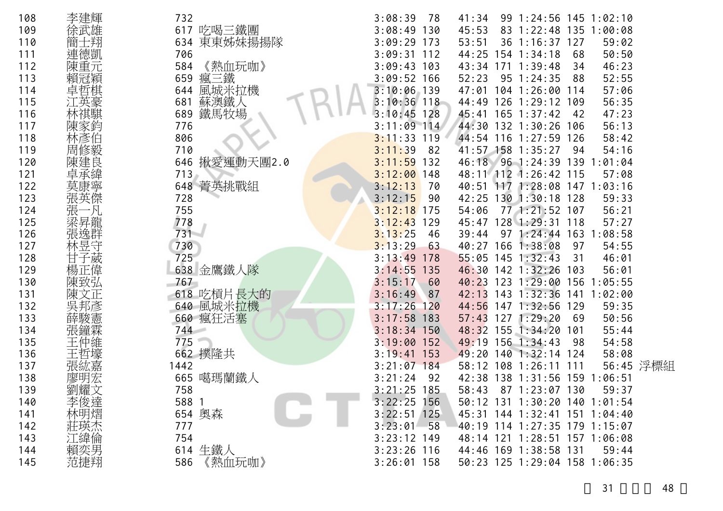| 108 | 李建輝 | 732            | 3:08:39<br>78     | 41:34        | 99 1:24:56 145 1:02:10        |     |             |           |
|-----|-----|----------------|-------------------|--------------|-------------------------------|-----|-------------|-----------|
| 109 | 徐武雄 |                | 3:08:49<br>130    | 45:53        | 83 1:22:48 135 1:00:08        |     |             |           |
|     |     | 617 吃喝三鐵團      |                   |              |                               |     |             |           |
| 110 |     | 東東姊妹揚揚隊<br>634 | 3:09:29<br>173    | 53:51        | 36 1:16:37 127                |     | 59:02       |           |
| 111 | 連德凱 | 706            | 3:09:31<br>112    |              | 44:25 154 1:34:18             | 68  | 50:50       |           |
| 112 | 陳重元 | 《熱血玩咖》<br>584  | $3:09:43$ 103     |              | 43:34 171 1:39:48             | 34  | 46:23       |           |
| 113 |     | 瘋三鐵<br>659     | $3:09:52$ 166     | 52:23        | $95 \t1:24:35$                | 88  | 52:55       |           |
| 114 |     | 風城米拉機<br>644   | 3:10:06<br>$-139$ | 47:01        | 104 1:26:00 114               |     | 57:06       |           |
| 115 |     | 蘇澳鐵人<br>681    | $3:10:36$ 118     |              | 44:49 126 1:29:12 109         |     | 56:35       |           |
| 116 |     | 鐵馬牧場<br>689    | 3:10:45<br>128    | 45:41        | $165$ $1:37:42$               | -42 | 47:23       |           |
| 117 | 陳家鈼 | 776            | $3:11:09$ 114     |              | 44:30 132 1:30:26 106         |     | 56:13       |           |
| 118 | 林彥伯 | 806            | 3:11:33<br>119    |              | 44:54 116 1:27:59 126         |     | 58:42       |           |
| 119 | 周修毅 | 710            | 3:11:39<br>82     |              | 41:57 158 1:35:27             | 94  | 54:16       |           |
| 120 | 陳建良 | 646 揪愛運動天團2.0  | 3:11:59<br>132    |              | 46:18 96 1:24:39 139          |     | 1:01:04     |           |
| 121 | 卓承緯 | 713            | $3:12:00$ 148     |              | 48:11 112 1:26:42 115         |     | 57:08       |           |
| 122 |     | 648 菁英挑戰組      | 3:12:13<br>70     | 40:51        | 117 1:28:08 147 1:03:16       |     |             |           |
| 123 |     | 728            | 3:12:15<br>-90    |              | 42:25 130 1:30:18 128         |     | 59:33       |           |
| 124 | 張   | 755            | $3:12:18$ 175     | 54:06        | 77 1:21:52 107                |     | 56:21       |           |
| 125 |     | 778            | 3:12:43<br>129    | 45:47        | $128$ 1:29:31                 | 118 | 57:27       |           |
| 126 |     | 731            | 3:13:25<br>46     | 39:44        | $97 \; 1:24:44 \; 163$        |     | 1:08:58     |           |
| 127 | 林昱守 | 730            | 3:13:29<br>63     |              | 40:27 166 1:38:08             | 97  | 54:55       |           |
| 128 | 甘子葳 | 725            | 3:13:49<br>178    |              | $55:05$ 145 1:32:43           | 31  | 46:01       |           |
| 129 | 楊正偉 | 638 金鷹鐵人隊      | 3:14:55<br>135    |              | 46:30 142 1:32:26             | 103 | 56:01       |           |
| 130 | 陳致弘 | 767            | 3:15:17<br>60     |              | 40:23 123 1:29:00             | 156 | 1:05:55     |           |
| 131 |     | 618 吃槓片長大的     | 3:16:49<br>87     | 42:13<br>143 | 1:32:36                       |     | 141 1:02:00 |           |
| 132 |     | 640 風城米拉機      | 3:17:26<br>120    | 44:56        | 147 1:32:56                   | 129 | 59:35       |           |
| 133 |     | 660 瘋狂活塞       | 3:17:58<br>183    | 127<br>57:43 | 1:29:20                       | -69 | 50:56       |           |
| 134 |     | 744            | 3:18:34<br>150    | 48:32<br>155 | 1:34:20                       | 101 | 55:44       |           |
| 135 |     | 775            | 3:19:00<br>152    | 49:19<br>156 | 1:34:43                       | 98  | 54:58       |           |
| 136 |     | 662 撲隆共        | 3:19:41<br>153    | 49:20        | 140 1:32:14 124               |     | 58:08       |           |
| 137 | 厷嘉  | 1442           | 3:21:07<br>184    | 58:12        | $108$ 1:26:11                 | 111 |             | 56:45 浮標組 |
| 138 | 廖明宏 | 665 噶瑪蘭鐵人      | 3:21:24<br>-92    |              | 42:38 138 1:31:56 159         |     | :06:51      |           |
| 139 | 劉耀文 | 758            | $3:21:25$ 185     | 58:43        | 87 1:23:07 130                |     | 59:37       |           |
| 140 | 李俊達 | 588 1          | $3:22:25$ 156     |              | 50:12 131 1:30:20 140 1:01:54 |     |             |           |
| 141 | 林明熠 | 654 奧森         | $3:22:51$ 125     |              | 45:31 144 1:32:41 151 1:04:40 |     |             |           |
| 142 | 莊瑛杰 | 777            | $3:23:01$ 58      |              | 40:19 114 1:27:35 179 1:15:07 |     |             |           |
| 143 | 江緯倫 | 754            | $3:23:12$ 149     |              | 48:14 121 1:28:51 157 1:06:08 |     |             |           |
| 144 | 賴奕男 | 614 生鐵人        | $3:23:26$ 116     |              | 44:46 169 1:38:58 131         |     | 59:44       |           |
|     |     | 586            |                   |              | 50:23 125 1:29:04 158 1:06:35 |     |             |           |
| 145 | 范捷翔 | 《熱血玩咖》         | $3:26:01$ 158     |              |                               |     |             |           |

31 48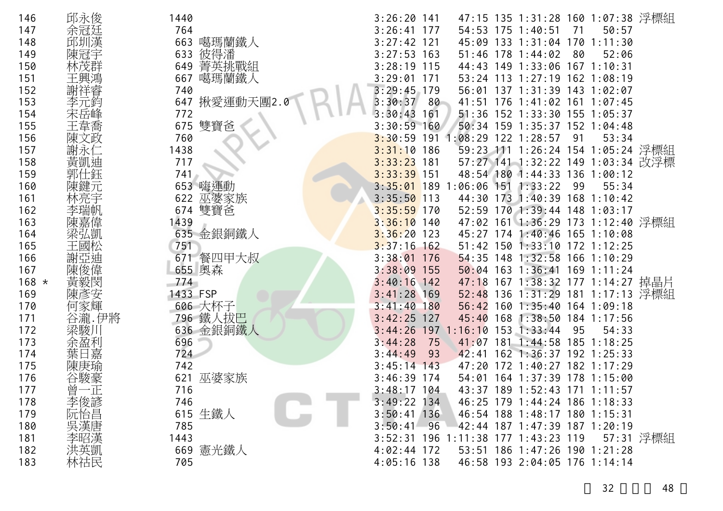| 146     | 邱永俊                                                  | 1440         | 47:15 135 1:31:28 160 1:07:38 浮標組<br>$3:26:20$ 141    |
|---------|------------------------------------------------------|--------------|-------------------------------------------------------|
| 147     | 余冠廷                                                  | 764          | $3:26:41$ 177<br>54:53 175 1:40:51<br>50:57<br>71     |
| 148     | 邱圳漢                                                  | 噶瑪蘭鐵人<br>663 | $3:27:42$ 121<br>45:09 133 1:31:04 170 1:11:30        |
| 149     | 陳冠宇                                                  | 彼得潘<br>633   | $3:27:53$ 163<br>51:46 178 1:44:02<br>80<br>52:06     |
| 150     |                                                      | 649 菁英挑戰組    | $3:28:19$ 115<br>44:43 149 1:33:06 167 1:10:31        |
| 151     | 王興鴻                                                  | 噶瑪蘭鐵人<br>667 | 3:29:01<br>53:24 113 1:27:19 162 1:08:19<br>171       |
| 152     | 謝祥睿                                                  | 740          | $3:29:45$ 179<br>56:01 137 1:31:39 143 1:02:07        |
| 153     | 元鈞                                                   | 647 揪愛運動天團2. | 3:30:37<br>80<br>41:51 176 1:41:02 161 1:07:45        |
| 154     |                                                      | 772          | 3:30:43<br>161<br>51:36 152 1:33:30 155 1:05:37       |
| 155     |                                                      | 雙寶爸<br>675   | $3:30:59$ 160<br>50:34 159 1:35:37 152 1:04:48        |
| 156     | 陳文政                                                  | 760          | 3:30:59 191 1:08:29 122 1:28:57<br>53:34<br>91        |
| 157     | 謝永仁                                                  | 1438         | 59:23 111 1:26:24 154 1:05:24 浮標組<br>$3:31:10$ 186    |
| 158     | 黃凱迪                                                  | 717          | $3:33:23$ 181<br>57:27 141 1:32:22 149 1:03:34 改浮標    |
| 159     |                                                      | 741          | $3:33:39$ 151<br>48:54 180 1:44:33 136 1:00:12        |
| 160     |                                                      | 653 嗨運動      | $3:35:01$ 189 1:06:06 151 1:33:22<br>55:34<br>99      |
| 161     |                                                      | 巫婆家族<br>622  | $3:35:50$ 113<br>44:30 173 1:40:39 168 1:10:42        |
| 162     | 李瑞帆                                                  | 674 雙寶爸      | $3:35:59$ 170<br>52:59 170 1:39:44 148 1:03:17        |
| 163     | 陳嘉偉                                                  | 1439         | 47:02 161 1:36:29 173 1:12:40 浮標組<br>$3:36:10$ 140    |
| 164     | 梁弘凱                                                  | 635 金銀銅鐵人    | $3:36:20$ 123<br>45:27 174 1:40:46 165 1:10:08        |
| 165     |                                                      | 751          | $3:37:16$ 162<br>51:42 150 1:33:10 172 1:12:25        |
| 166     | 謝亞迪                                                  | 671 餐四甲大叔    | $3:38:01$ 176<br>54:35 148 1:32:58 166 1:10:29        |
| 167     |                                                      | 655 奥森       | 50:04 163 1:36:41 169 1:11:24<br>$3:38:09$ 155        |
| $168 *$ | 黃毅閔                                                  | 774          | $3:40:16$ 142<br>47:18 167 1:38:32 177 1:14:27 掉晶片    |
| 169     | 陳彥安                                                  | 1433 FSP     | 52:48 136 1:31:29 181 1:17:13 浮標組<br>$3:41:28$ 169    |
| 170     | 何家輝                                                  | 606 大杯子      | $3:41:40$ 180<br>56:42<br>160 1:35:40 164 1:09:18     |
| 171     | 谷瀧.伊將                                                | 796 鐵人拔巴     | $3:42:25$ 127<br>45:40 168 1:38:50 184 1:17:56        |
| 172     | 梁駿川                                                  | 636 金銀銅鐵人    | $3:44:26$ 197<br>$1:16:10$ 153 1:33:44<br>95<br>54:33 |
| 173     | 余盈利                                                  | 696          | 3:44:28<br>$41:07$ 181<br>$1:44:58$ 185 1:18:25<br>75 |
| 174     | 葉日嘉                                                  | 724          | 3:44:49<br>42:41 162 1:36:37 192 1:25:33<br>93        |
| 175     | 陳庚瑜                                                  | 742          | $3:45:14$ 143<br>47:20 172 1:40:27 182 1:17:29        |
| 176     | 谷駿豪                                                  | 621<br>巫婆家族  | $3:46:39$ 174<br>54:01 164 1:37:39 178 1:15:00        |
| 177     | 曾<br>$-\mathbb{E}$                                   | 716          | $3:48:17$ 104<br>43:37 189 1:52:43 171 1:11:57        |
| 178     | 李俊諺<br>阮怡昌                                           | 746          | $3:49:22$ 134<br>46:25 179 1:44:24 186 1:18:33        |
| 179     |                                                      | 615 生鐵人      | $3:50:41$ 136<br>46:54 188 1:48:17 180 1:15:31        |
| 180     | 是漢唐<br>宋<br>李<br>宋<br>李<br>宋<br>宋<br>宋<br>宋<br>宋<br> | 785          | $3:50:41$ 96<br>42:44 187 1:47:39 187 1:20:19         |
| 181     |                                                      | 1443         | 3:52:31 196 1:11:38 177 1:43:23 119<br>57:31 浮標組      |
| 182     | 洪英凱                                                  | 669 憲光鐵人     | 53:51 186 1:47:26 190 1:21:28<br>$4:02:44$ 172        |
| 183     | 林祜民                                                  | 705          | $4:05:16$ 138<br>46:58 193 2:04:05 176 1:14:14        |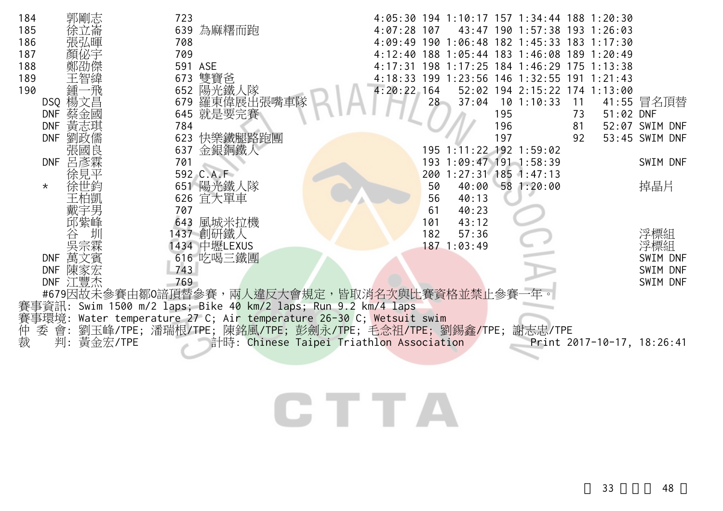| 郭剛志<br>184                             | 723                                                            | 4:05:30 194 1:10:17 157 1:34:44 188 1:20:30           |
|----------------------------------------|----------------------------------------------------------------|-------------------------------------------------------|
| 185<br>徐立崙                             | 639 為麻糬而跑                                                      | $4:07:28$ 107<br>43:47 190 1:57:38 193 1:26:03        |
| 186<br>張弘暉                             | 708                                                            | 4:09:49 190 1:06:48 182 1:45:33 183 1:17:30           |
| 187                                    | 709                                                            | 1:05:44 183 1:46:08 189 1:20:49<br>4:12:40<br>188     |
| 188                                    | 591 ASE                                                        | 4:17:31 198 1:17:25 184 1:46:29 175 1:13:38           |
| 189                                    | 雙寶爸<br>673                                                     | 4:18:33 199 1:23:56<br>146 1:32:55 191 1:21:43        |
| 190<br>鍾<br>飛                          | 陽光鐵人隊<br>652                                                   | 52:02 194 2:15:22 174 1:13:00<br>4:20:22.164          |
| DSQ 楊文昌                                | 羅東偉展出張嘴車<br>679                                                | $10$ 1:10:33<br>28<br>37:04<br>41:55 冒名頂替<br>11       |
| 蔡金國<br><b>DNF</b><br>黃志琪<br><b>DNF</b> | 就是要完賽<br>645<br>784                                            | 195<br>51:02 DNF<br>73<br>196<br>52:07 SWIM DNF<br>81 |
| 劉政儒<br><b>DNF</b>                      | 623 快樂鐵腿路跑團                                                    | 197<br>53:45 SWIM DNF<br>92                           |
| 張國                                     | 金銀銅鐵人<br>637                                                   | 195 1:11:22 192 1:59:02                               |
| 呂彥霖<br><b>DNF</b>                      | 701                                                            | 193 1:09:47 191 1:58:39<br>SWIM DNF                   |
|                                        | 592 C.A.F                                                      | 200 1:27:31 185 1:47:13                               |
| $\star$                                | 651 陽光鐵人隊                                                      | 掉晶片<br>50<br>40:00 58 1:20:00                         |
|                                        | 626 宜大單車                                                       | 56<br>40:13                                           |
|                                        | 707                                                            | 61<br>40:23                                           |
| 邱紫峰                                    | 643 風城米拉機                                                      | 101<br>43:12                                          |
|                                        | 1437 創研鐵人                                                      | 浮標組<br>182<br>57:36                                   |
|                                        | 1434 中壢LEXUS                                                   | 浮標組<br>187 1:03:49                                    |
| DNF 萬文賓                                | 616 吃喝三鐵團                                                      | SWIM DNF                                              |
| <b>DNF</b><br>陳家宏                      | 743                                                            | SWIM DNF                                              |
| DNF 江豐杰                                | 769                                                            | SWIM DNF                                              |
|                                        | #679因故未參賽由鄒0諳頂替參賽,兩人違反大會規定,皆取消名次與比賽資格並禁止參賽                     |                                                       |
|                                        | 賽事資訊: Swim 1500 m/2 laps; Bike 40 km/2 laps; Run 9.2 km/4 laps |                                                       |
| 賽事環境:                                  | Water temperature 27 C; Air temperature 26-30 C; Wetsuit swim  |                                                       |
| 仲<br>會:<br>委                           | 劉玉峰/TPE;潘瑞根/TPE; 陳銘風/TPE; 彭劍永/TPE; 毛念祖/TPE; 劉錫鑫/TPE;           | 謝志忠/TPE                                               |
| 裁<br>黃金宏/TPE<br>判:                     | 計時: Chinese Taipei Triathlon Association                       | Print 2017-10-17, 18:26:41                            |
|                                        |                                                                |                                                       |
|                                        |                                                                |                                                       |
|                                        |                                                                |                                                       |
|                                        |                                                                |                                                       |
|                                        |                                                                |                                                       |
|                                        |                                                                |                                                       |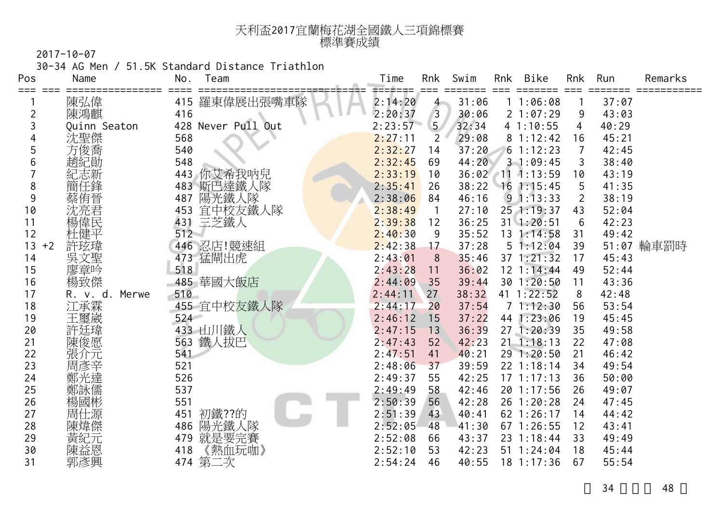| 天利盃2017宜蘭梅花湖全國鐵人三項錦標賽 |  |
|-----------------------|--|
| 標準賽成績                 |  |

30-34 AG Men / 51.5K Standard Distance Triathlon

| Pos        | Name              | No.        | Team               | Time               | Rnk            | Swim           | Rnk | Bike                         | Rnk      | Run            | Remarks    |
|------------|-------------------|------------|--------------------|--------------------|----------------|----------------|-----|------------------------------|----------|----------------|------------|
| === ===    | 陳弘偉               | 415        | 羅東偉展出張嘴車隊          | 2:14:20            | $4 -$          | 31:06          |     | 11:06:08                     |          | 37:07          |            |
| 2          | 陳鴻麒               | 416        |                    | 2:20:37            | $\overline{3}$ | 30:06          |     | 21:07:29                     | 9        | 43:03          |            |
| 3          | Quinn Seaton      |            | 428 Never Pull Out | 2:23:57            | 5 <sub>1</sub> | 32:34          |     | 41:10:55                     | 4        | 40:29          |            |
| 4          | 沈聖傑               | 568        |                    | 2:27:11            | 2              | 29:08          |     | 81:12:42                     | 16       | 45:21          |            |
| 5          | 方俊喬               | 540        |                    | 2:32:27            | 14             | 37:20          |     | 61:12:23                     |          | 42:45          |            |
| 6          | 趙紀勛               | 548        |                    | 2:32:45            | 69             | 44:20          |     | 31:09:45                     | 3        | 38:40          |            |
|            | 紀志新               | 443        | 你艾希我呐兒             | 2:33:19            | 10             |                |     | 36:02 11 1:13:59             | 10       | 43:19          |            |
| 8          |                   | 483        | 斯巴達鐵人隊             | 2:35:41            | 26             | 38:22          |     | $16$ 1:15:45                 | 5        | 41:35          |            |
| 9          | 蔡侑晉               | 487        | 陽光鐵人隊              | 2:38:06            | 84             | 46:16          |     | $9 \t1:13:33$                | 2        | 38:19          |            |
| 10         | 沈亮君               | 453        | 宜中校友鐵人隊            | 2:38:49            | $\mathbf{1}$   | 27:10          |     | 25 1:19:37                   | 43       | 52:04          |            |
| 11         | 愓偉民               | 431        | 三芝鐵人               | 2:39:38            | 12             | 36:25          |     | $31 \t1:20:51$               | 6        | 42:23          |            |
| 12         |                   | 512        |                    | 2:40:30            | 9              | 35:52          |     | 13 1:14:58                   | 31       | 49:42          |            |
| 13<br>$+2$ | 許玹瑋               |            | 446 忍店!競速組         | 2:42:38            | 17             | 37:28          |     | 51:12:04                     | 39       |                | 51:07 輪車罰時 |
| 14         | 吳文聖               |            | 473 猛閘出虎           | 2:43:01            | 8              | 35:46          |     | $37$ 1:21:32                 | 17       | 45:43          |            |
| 15         | 廖章吟               | 518        |                    | 2:43:28            | 11             | 36:02          |     | 12 1:14:44                   | 49       | 52:44          |            |
| 16         | 楊致傑               |            | 485 華國大飯店          | 2:44:09            | 35             | 39:44          |     | 30 1:20:50                   | 11       | 43:36          |            |
| 17         | Merwe<br>R. v. d. | 510        |                    | 2:44:11            | 27             | 38:32          |     | 41 1:22:52                   | 8        | 42:48          |            |
| 18         | 江承霖               |            | 455 宜中校友鐵人隊        | 2:44:17            | 20             | 37:54          |     | 71:12:30                     | 56       | 53:54          |            |
| 19         | 王璽崴               | 524        |                    | 2:46:12            | 15             | 37:22          |     | 44 1:23:06                   | 19       | 45:45          |            |
| 20         | 許廷瑋               |            | 433 山川鐵人           | 2:47:15            | 13             | 36:39          |     | 27 1:20:39                   | 35       | 49:58          |            |
| 21         | 陳俊愿               | 563        | 鐵人拔巴               | 2:47:43            | 52             | 42:23          |     | $21 \t1:18:13$               | 22       | 47:08          |            |
| 22         | 張介元               | 541        |                    | 2:47:51            | 41             | 40:21          |     | 29 1:20:50                   | 21       | 46:42          |            |
| 23         | 周彥辛               | 521        |                    | 2:48:06            | 37             | 39:59          |     | 22 1:18:14                   | 34       | 49:54          |            |
| 24         | 鄭光達               | 526        |                    | 2:49:37            | 55             | 42:25          |     | 171:17:13                    | 36       | 50:00          |            |
| 25         | 鄭詠儒               | 537        |                    | 2:49:49<br>2:50:39 | 58             | 42:46          |     | 20 1:17:56                   | 26       | 49:07          |            |
| 26<br>27   | 楊國彬               | 551        |                    |                    | 56             | 42:28          |     | 26 1:20:28                   | 24       | 47:45          |            |
| 28         | 周仕源<br>陳煒傑        | 451<br>486 | 初鐵??的<br>陽光鐵人隊     | 2:51:39<br>2:52:05 | 43<br>48       | 40:41<br>41:30 |     | 62 1:26:17<br>$67$ 1:26:55   | 14<br>12 | 44:42<br>43:41 |            |
| 29         |                   |            |                    |                    |                |                |     |                              | 33       |                |            |
| 30         | 黃紀元               | 479<br>418 | 就是要完賽              | 2:52:08<br>2:52:10 | 66<br>53       | 43:37<br>42:23 |     | 23 1:18:44<br>$51 \t1:24:04$ | 18       | 49:49<br>45:44 |            |
| 31         | 陳益恩<br>郭彥興        |            | 《熱血玩咖》<br>474 第二次  | 2:54:24            | 46             | 40:55          |     | $18$ 1:17:36                 | 67       | 55:54          |            |
|            |                   |            |                    |                    |                |                |     |                              |          |                |            |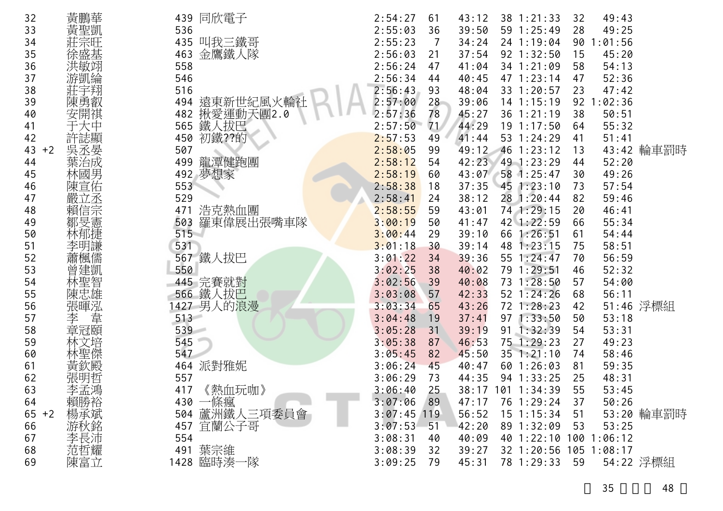| 32         | 黃鵬華        |         | 439 同欣電子             | 2:54:27       | 61    | 43:12 | 38 1:21:33             | 32 | 49:43      |            |
|------------|------------|---------|----------------------|---------------|-------|-------|------------------------|----|------------|------------|
| 33         | 黃聖凱        | 536     |                      | 2:55:03       | 36    | 39:50 | 59 1:25:49             | 28 | 49:25      |            |
| 34         |            |         | 435 叫我三鐵哥            | 2:55:23       | 7     | 34:24 | 24 1:19:04             | 90 | 1:01:56    |            |
| 35         | 涂盛基        | 463     | 金鷹鐵人隊                | 2:56:03       | 21    | 37:54 | 92 1:32:50             | 15 | 45:20      |            |
| 36         | 洪敏翊        | 558     |                      | 2:56:24       | 47    | 41:04 | 34 1:21:09             | 58 | 54:13      |            |
| 37         | 游凱綸        | 546     |                      | 2:56:34       | 44    | 40:45 | 47 1:23:14             | 47 | 52:36      |            |
| 38         | 莊宇翔        | 516     |                      | 2:56:43       | 93    | 48:04 | 33 1:20:57             | 23 | 47:42      |            |
| 39         | 陳勇叡        | 494     | 遠東新世紀風火輪社            | 2:57:00       | 28    | 39:06 | $14$ 1:15:19           |    | 92 1:02:36 |            |
| 40         | 安開祺        | 482     | 揪愛運動天團2.0            | 2:57:36       | 78    | 45:27 | 36 1:21:19             | 38 | 50:51      |            |
| 41         |            | 565     | 鐵人拔巴                 | 2:57:50       | 71    | 44:29 | 19 1:17:50             | 64 | 55:32      |            |
| 42         | 許誌顯        | 450     | 初鐵??的                | 2:57:53       | 49    | 41:44 | 53 1:24:29             | 41 | 51:41      |            |
| 43<br>$+2$ | 吳丞晏        | 507     |                      | 2:58:05       | 99    | 49:12 | 46 1:23:12             | 13 |            | 43:42 輪車罰時 |
| 44         | 葉治成        | 499     | 龍潭健跑團                | 2:58:12       | 54    | 42:23 | 49 1:23:29             | 44 | 52:20      |            |
| 45         | 林國男        | 492     | 夢想家                  | 2:58:19       | 60    | 43:07 | 58 1:25:47             | 30 | 49:26      |            |
| 46         | 陳宣佑        | 553     |                      | 2:58:38       | 18    | 37:35 | 451:23:10              | 73 | 57:54      |            |
| 47         | 嚴立丞        | 529     |                      | 2:58:41       | 24    | 38:12 | 28 1:20:44             | 82 | 59:46      |            |
| 48         | 賴信宗        | 471     | 浩克熱血團                | 2:58:55       | 59    | 43:01 | 74 1:29:15             | 20 | 46:41      |            |
| 49         | 鄒旻憲        | 503     | 羅東偉展出張嘴車隊            | 3:00:19       | 50    | 41:47 | 42 1:22:59             | 66 | 55:34      |            |
| 50         | 林郁捷        | 515     |                      | 3:00:44       | 29    | 39:10 | 66 1:26:51             | 61 | 54:44      |            |
| 51         | 李明謙        | 531     |                      | 3:01:18       | 30    | 39:14 | 48 1:23:15             | 75 | 58:51      |            |
| 52         |            |         | 567 鐵人拔巴             | 3:01:22       | 34    | 39:36 | 55 1:24:47             | 70 | 56:59      |            |
| 53         | 曾建凱        | 550     |                      | 3:02:25       | 38    | 40:02 | 79 1:29:51             | 46 | 52:32      |            |
| 54         | 林聖智<br>陳忠雄 |         |                      | 3:02:56       | 39    | 40:08 | 73 1:28:50             | 57 | 54:00      |            |
| 55         |            |         | 445 完賽就對<br>566 鐵人拔巴 | 3:03:08       | 57    | 42:33 | $52 \t1:24:26$         | 68 | 56:11      |            |
| 56         | 張暉泓        |         | 1427 男人的浪漫           | 3:03:34       | 65    | 43:26 | 72 1:28:23             | 42 |            | 51:46 浮標組  |
| 57         | 韋<br>李     | $513 -$ |                      | 3:04:48       | 19    | 37:41 | 971:33:50              | 50 | 53:18      |            |
| 58         | 章冠頤        | 539     |                      | 3:05:28       | 31    | 39:19 | 91 1:32:39             | 54 | 53:31      |            |
| 59         | 林文培        | 545     |                      | 3:05:38       | 87    | 46:53 | 75 1:29:23             | 27 | 49:23      |            |
| 60         | 林聖傑        | 547     |                      | 3:05:45       | 82    | 45:50 | $35$ 1:21:10           | 74 | 58:46      |            |
| 61         | 黃欽殿        | 464     | 派對雅妮                 | 3:06:24       | 45    | 40:47 | 60 1:26:03             | 81 | 59:35      |            |
| 62         | 張明哲        | 557     |                      | 3:06:29       | 73    | 44:35 | 94 1:33:25             | 25 | 48:31      |            |
| 63         | 李孟鴻        | 417     | 《熱血玩咖》               | 3:06:40       | 25    |       | 38:17 101 1:34:39      | 55 | 53:45      |            |
| 64         | 賴勝裕        |         | 430 一條瘋              | 3:07:06       | 89    | 47:17 | 76 1:29:24             | 37 | 50:26      |            |
| 65<br>$+2$ | 楊承斌        |         | 504 蘆洲鐵人三項委員會        | $3:07:45$ 119 |       | 56:52 | $15 \t1:15:34$         | 51 |            | 53:20 輪車罰時 |
| 66         | 游秋銘        |         | 457 宜蘭公子哥            | 3:07:53       | $-51$ | 42:20 | 89 1:32:09             | 53 | 53:25      |            |
| 67         | 李長沛        | 554     |                      | 3:08:31       | 40    | 40:09 | 40 1:22:10 100 1:06:12 |    |            |            |
| 68         | 范哲耀        |         | 491 葉宗維              | 3:08:39       | 32    | 39:27 | 32 1:20:56 105 1:08:17 |    |            |            |
| 69         | 陳富立        |         | 1428 臨時湊一隊           | 3:09:25       | 79    | 45:31 | 78 1:29:33             | 59 |            | 54:22 浮標組  |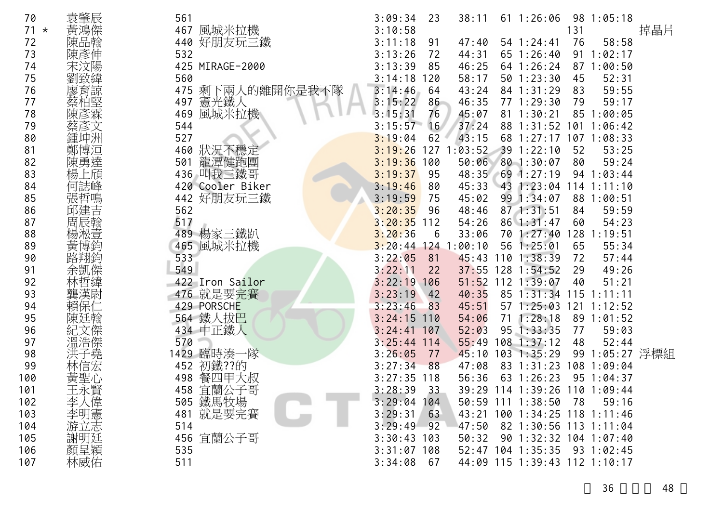| 70     | 袁肇辰        | 561                 | 3:09:34<br>23   | 38:11         | $61 \t1:26:06$                |     | 981:05:18       |     |
|--------|------------|---------------------|-----------------|---------------|-------------------------------|-----|-----------------|-----|
| $71 *$ | 黃鴻傑        | 467<br>風城米拉機        | 3:10:58         |               |                               | 131 |                 | 掉晶片 |
| 72     | 陳品翰        | 好朋友玩三鐵<br>440       | 3:11:18<br>91   | 47:40         | 54 1:24:41                    | 76  | 58:58           |     |
| 73     | 陳彥伸        | 532                 | 3:13:26<br>72   | 44:31         | $65 \t1:26:40$                |     | 91 1:02:17      |     |
| 74     | 宋汶陽        | 425 MIRAGE-2000     | 3:13:39<br>85   | 46:25         | 64 1:26:24                    |     | 87 1:00:50      |     |
| 75     | 劉致緯        | 560                 | 3:14:18<br>120  | 58:17         | $50$ 1:23:30                  | 45  | 52:31           |     |
| 76     | 廖育諒        | 剩下兩人的離開你是我不隊<br>475 | 3:14:46<br>64   | 43:24         | 84 1:31:29                    | 83  | 59:55           |     |
| 77     | 蔡柏堅        | 憲光鐵人<br>497         | 3:15:22<br>86   | 46:35         | 77 1:29:30                    | 79  | 59:17           |     |
| 78     | 彥霖         | 風城米拉機<br>469        | 3:15:31<br>76   | 45:07         | $81 \t1:30:21$                |     | 85 1:00:05      |     |
| 79     | 蔡彥文        | 544                 | 3:15:57<br>16   | 37:24         | 88 1:31:52                    |     | 1011:06:42      |     |
| 80     | 鍾坤洲        | 527                 | 3:19:04<br>62   | 43:15         | 68 1:27:17 107 1:08:33        |     |                 |     |
| 81     | 鄭博洹<br>陳勇達 | 狀況不穩定<br>460        | 3:19:26<br>127  | 1:03:52       | 391:22:10                     | 52  | 53:25           |     |
| 82     |            | 龍潭健跑團<br>501        | 3:19:36<br>100  | 50:06         | 801:30:07                     | 80  | 59:24           |     |
| 83     | 上頎         | 436 叫我三鐵哥           | 3:19:37<br>95   | 48:35         | $69$ 1:27:19                  |     | 94 1:03:44      |     |
| 84     |            | 420 Cooler Biker    | 3:19:46<br>80   | 45:33         | 43 1:23:04                    |     | $114$ 1:11:10   |     |
| 85     |            | 442 好朋友玩三鐵          | 3:19:59<br>75   | 45:02         | 99 1:34:07                    |     | 88 1:00:51      |     |
| 86     | 邱建吉        | 562                 | 3:20:35<br>96   | 48:46         | $87$ 1:31:51                  | 84  | 59:59           |     |
| 87     | 周辰翰        | 517                 | 3:20:35<br>112  | 54:26         | 86 1:31:47                    | 60  | 54:23           |     |
| 88     | 楊淞壹        | 489 楊家三鐵趴           | 3:20:36<br>6    | 33:06         | 70 1:27:40                    | 128 | 1:19:51         |     |
| 89     | 黃博釳        | 風城米拉機<br>465        | 3:20:44         | $124$ 1:00:10 | 56 1:25:01                    | 65  | 55:34           |     |
| 90     |            | 533                 | 3:22:05<br>81   | 45:43         | $110$ $1:38:39$               | 72  | 57:44           |     |
| 91     | 余凱傑        | 549                 | 3:22:11<br>22   | 37:55         | $128$ 1:54:52                 | 29  | 49:26           |     |
| 92     |            | 422 Iron Sailor     | 3:22:19<br>106  | 51:52         | 112 1:39:07                   | 40  | 51:21           |     |
| 93     | 龔漢尉        | 476 就是要完賽           | 3:23:19<br>42   | 40:35         | 85 1:31:34                    | 115 | 1:11:11         |     |
| 94     |            | 429 PORSCHE         | 3:23:46<br>83   | 45:51         | $57 \; 1:25:03$               |     | $121$ $1:12:52$ |     |
| 95     | 陳廷翰        | 564 鐵人拔巴            | 3:24:15<br>110  | 54:06         | $71 \t1:28:18$                |     | 89 1:01:52      |     |
| 96     |            | 434 中正鐵人            | 3:24:41<br>107  | 52:03         | 95 1:33:35                    | 77  | 59:03           |     |
| 97     | 溫浩傑        | 570                 | 3:25:44<br>114  | 55:49         | $108$ 1:37:12                 | 48  | 52:44           |     |
| 98     | 洪子堯<br>林信宏 | 1429 臨時湊一隊          | 3:26:05<br>77   | 45:10         | $103$ 1:35:29                 |     | 99 1:05:27 浮標組  |     |
| 99     |            | 初鐵??的<br>452        | 3:27:34<br>88   | 47:08         | 83 1:31:23                    |     | 108 1:09:04     |     |
| 100    | 黃聖心        | 498 餐四甲大叔           | 3:27:35<br>118  | 56:36         | 63 1:26:23                    |     | 95 1:04:37      |     |
| 101    | 王永賢        | 宜蘭公子哥<br>458        | 3:28:39<br>33   |               | 39:29 114 1:39:26 110 1:09:44 |     |                 |     |
| 102    |            | 505 鐵馬牧場            | 3:29:04<br>104  |               | 50:59 111 1:38:50             | 78  | 59:16           |     |
| 103    | 李大明立       | 481 就是要完賽           | 3:29:31<br>63   |               | 43:21 100 1:34:25 118 1:11:46 |     |                 |     |
| 104    |            | 514                 | 3:29:49<br>92   | 47:50         | 82 1:30:56 113 1:11:04        |     |                 |     |
| 105    | 謝明廷        | 456 宜蘭公子哥           | 3:30:43<br>103  | 50:32         | 90 1:32:32 104 1:07:40        |     |                 |     |
| 106    |            | 535                 | $3:31:07$ 108   |               | 52:47 104 1:35:35             |     | 93 1:02:45      |     |
| 107    | 林威佑        | 511                 | 3:34:08<br>- 67 |               | 44:09 115 1:39:43 112 1:10:17 |     |                 |     |

36 48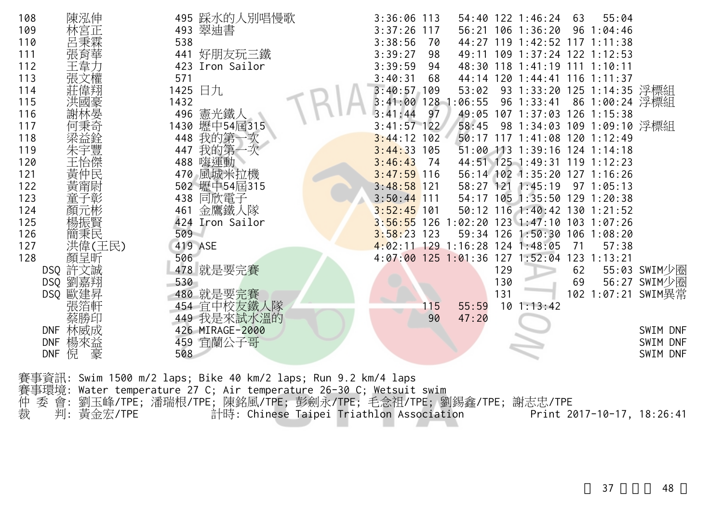| 108        | 陳泓伸                  |      | 495 踩水的人別唱慢歌                                                   | $3:36:06$ 113 |     |                                 |     | 54:40 122 1:46:24                           | 63  | 55:04          |                    |
|------------|----------------------|------|----------------------------------------------------------------|---------------|-----|---------------------------------|-----|---------------------------------------------|-----|----------------|--------------------|
| 109        | 林宮正                  |      | 493 翠迪書                                                        | $3:37:26$ 117 |     |                                 |     | 56:21 106 1:36:20                           |     | 96 1:04:46     |                    |
| 110        | 呂秉霖                  | 538  |                                                                | 3:38:56       | 70  |                                 |     | 44:27 119 1:42:52 117 1:11:38               |     |                |                    |
| 111        | 張育華                  |      | 441 好朋友玩三鐵                                                     | 3:39:27       | 98  |                                 |     | 49:11 109 1:37:24 122 1:12:53               |     |                |                    |
| 112        | 王韋ナ                  |      | 423 Iron Sailor                                                | 3:39:59       | 94  |                                 |     | 48:30 118 1:41:19 111 1:10:11               |     |                |                    |
| 113        |                      | 571  |                                                                | 3:40:31       | 68  |                                 |     | 44:14 120 1:44:41 116 1:11:37               |     |                |                    |
| 114        |                      |      | 1425 日九                                                        | $3:40:57$ 109 |     | 53:02                           |     | 93 1:33:20 125 1:14:35 浮標組                  |     |                |                    |
| 115        | 洪國豪                  | 1432 |                                                                |               |     | $3:41:00$ 128 1:06:55           |     | 96 1:33:41                                  |     | 86 1:00:24 浮標組 |                    |
| 116        | 謝林晏                  | 496  | 憲光鐵人                                                           | 3:41:44       | 97  |                                 |     | 49:05 107 1:37:03 126 1:15:38               |     |                |                    |
| 117        | 何秉奇                  |      | 1430 壢中54屆315                                                  | $3:41:57$ 122 |     | 58:45                           |     | 98 1:34:03 109 1:09:10 浮標組                  |     |                |                    |
| 118        |                      | 448  | 我的第一次                                                          | $3:44:12$ 102 |     |                                 |     | 50:17 117 1:41:08 120 1:12:49               |     |                |                    |
| 119        | 朱宇豐                  | 447  | 我的第一次                                                          | $3:44:33$ 105 |     |                                 |     | 51:00 113 1:39:16 124 1:14:18               |     |                |                    |
| 120        | 主怡傑                  |      | 488 嗨運動                                                        | 3:46:43       | 74  |                                 |     | 44:51 125 1:49:31 119 1:12:23               |     |                |                    |
| 121        | 黃仲民                  |      | 470 風城米拉機                                                      | $3:47:59$ 116 |     |                                 |     | 56:14 102 1:35:20 127 1:16:26               |     |                |                    |
| 122        | 黃甯尉                  |      | 502 壢中54屆315                                                   | $3:48:58$ 121 |     |                                 |     | 58:27 121 1:45:19 97 1:05:13                |     |                |                    |
| 123        | 童子彰                  |      | 438 同欣電子                                                       | $3:50:44$ 111 |     |                                 |     | 54:17 105 1:35:50 129 1:20:38               |     |                |                    |
| 124        | 顏元彬                  | 461  | 金鷹鐵人隊                                                          | $3:52:45$ 101 |     |                                 |     | 50:12 116 1:40:42 130 1:21:52               |     |                |                    |
| 125        | 楊振賢                  |      | 424 Iron Sailor                                                |               |     |                                 |     | 3:56:55 126 1:02:20 123 1:47:10 103 1:07:26 |     |                |                    |
| 126        | 簡秉民                  | 509  |                                                                | $3:58:23$ 123 |     | 59:34 126                       |     | 1:50:30 106 1:08:20                         |     |                |                    |
| 127        | 洪偉(王民)               |      | 419 ASE                                                        |               |     | 4:02:11 129 1:16:28 124 1:48:05 |     |                                             | 71  | 57:38          |                    |
| 128        | 顏呈昕                  | 506  |                                                                |               |     |                                 |     | 4:07:00 125 1:01:36 127 1:52:04             | 123 | 1:13:21        |                    |
|            | DSQ 許文誠              |      | 478 就是要完賽                                                      |               |     |                                 | 129 |                                             | 62  |                | 55:03 SWIM少圈       |
|            | DSQ 劉嘉翔              | 530  |                                                                |               |     |                                 | 130 |                                             | 69  |                | 56:27 SWIM少圈       |
|            | DSQ 歐建昇              |      | 480 就是要完賽                                                      |               |     |                                 | 131 |                                             |     |                | 102 1:07:21 SWIM異常 |
|            | 張箔軒                  |      | 454 宜中校友鐵人隊                                                    |               | 115 | 55:59                           |     | $10$ 1:13:42                                |     |                |                    |
|            | 蔡勝印                  |      | 449 我是來試水溫的                                                    |               | 90  | 47:20                           |     |                                             |     |                |                    |
|            | DNF 林威成              |      | 426 MIRAGE-2000                                                |               |     |                                 |     |                                             |     |                | SWIM DNF           |
| <b>DNF</b> | 楊來益                  |      | 459 宜蘭公子哥                                                      |               |     |                                 |     |                                             |     |                | SWIM DNF           |
|            | 倪<br><b>DNF</b><br>豪 | 508  |                                                                |               |     |                                 |     |                                             |     |                | SWIM DNF           |
|            |                      |      |                                                                |               |     |                                 |     |                                             |     |                |                    |
|            |                      |      | 賽事資訊: Swim 1500 m/2 laps; Bike 40 km/2 laps; Run 9.2 km/4 laps |               |     |                                 |     |                                             |     |                |                    |

|  | and the second contract the compact of the contract of the contract of the contract of the compact of the compa |  |
|--|-----------------------------------------------------------------------------------------------------------------|--|
|  | 賽事環境: Water temperature 27 C; Air temperature 26-30 C; Wetsuit swim                                             |  |
|  |                                                                                                                 |  |
|  | 仲 委 會: 劉玉峰/TPE; 潘瑞根/TPE; 陳銘風/TPE; 彭劍永/TPE; 毛念祖/TPE; 劉錫鑫/TPE; 謝志忠/TPE                                            |  |
|  |                                                                                                                 |  |

| 裁 | 判: 黃金宏/TPE | 計時: Chinese Taipei Triathlon Association | Print 2017-10-17, 18:26:41 |  |
|---|------------|------------------------------------------|----------------------------|--|
|   |            |                                          |                            |  |

37 48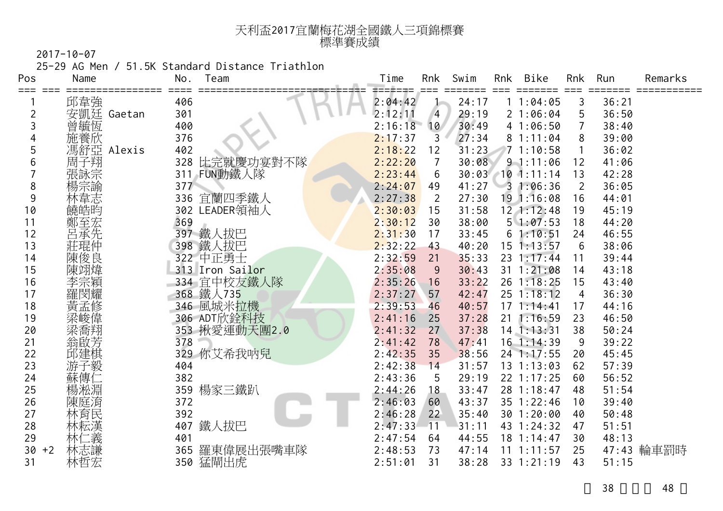| 天利盃2017宜蘭梅花湖全國鐵人三項錦標賽 |  |
|-----------------------|--|
| 標準賽成績                 |  |

25-29 AG Men / 51.5K Standard Distance Triathlon

| Pos            | Name       | Team<br>No.      | Time    | Rnk            | Swim  | Rnk | Bike           | Rnk | Run   | Remarks    |
|----------------|------------|------------------|---------|----------------|-------|-----|----------------|-----|-------|------------|
| ≡≕≕            | 邱韋強        | 406              | 2:04:42 | J-             | 24:17 |     | 11:04:05       | 3   | 36:21 |            |
| $\overline{c}$ | 安凱廷 Gaetan | 301              | 2:12:11 | $\overline{4}$ | 29:19 |     | 21:06:04       | 5   | 36:50 |            |
| 3              | 曾毓恆        | 400              | 2:16:18 | 10             | 30:49 |     | 41:06:50       |     | 38:40 |            |
| 4              | 施養欣        | 376              | 2:17:37 | 3              | 27:34 |     | 81:11:04       | 8   | 39:00 |            |
| 5              | 馮舒亞 Alexis | 402              | 2:18:22 | 12             | 31:23 |     | 71:10:58       |     | 36:02 |            |
| 6              | 周子翔        | 比完就慶功宴對不隊<br>328 | 2:22:20 | $\overline{7}$ | 30:08 |     | 91:11:06       | 12  | 41:06 |            |
|                | 張詠宗        | 311 FUN動鐵人隊      | 2:23:44 | 6              | 30:03 |     | $10$ 1:11:14   | 13  | 42:28 |            |
| 8              | 揚宗諭        | 377              | 2:24:07 | 49             | 41:27 |     | 31:06:36       | 2   | 36:05 |            |
| 9              | 林韋志        | 宜蘭四季鐵人<br>336    | 2:27:38 | 2              | 27:30 |     | 191:16:08      | 16  | 44:01 |            |
| 10             | 饒皓昀        | 302 LEADER領袖人    | 2:30:03 | 15             | 31:58 |     | 12 1:12:48     | 19  | 45:19 |            |
| 11             | 鄭至宏        | 369              | 2:30:12 | 30             | 38:00 |     | 51:07:53       | 18  | 44:20 |            |
| 12             | 呂承先        | 397 鐵人拔巴         | 2:31:30 | 17             | 33:45 |     | 61:10:51       | 24  | 46:55 |            |
| 13             | 莊琨仲        | 398 鐵人拔巴         | 2:32:22 | 43             | 40:20 |     | $15$ 1:13:57   | 6   | 38:06 |            |
| 14             | 陳俊良        | 322 中正勇士         | 2:32:59 | 21             | 35:33 |     | 23 1:17:44     | 11  | 39:44 |            |
| 15             | 陳翊煒        | 313 Iron Sailor  | 2:35:08 | 9              | 30:43 |     | 31 1:21:08     | 14  | 43:18 |            |
| 16             | 李宗穎        | 334 宜中校友鐵人隊      | 2:35:26 | 16             | 33:22 |     | 26 1:18:25     | 15  | 43:40 |            |
| 17             | 羅閔耀        | 368 鐵人735        | 2:37:27 | 57             | 42:47 |     | $25 \t1:18:12$ | 4   | 36:30 |            |
| 18             | 黃孟修        | 346 風城米拉機        | 2:39:53 | 46             | 40:57 | 17  | 1:14:41        | 17  | 44:16 |            |
| 19             |            | 306 ADT欣銓科技      | 2:41:16 | 25             | 37:28 | 21  | 1:16:59        | 23  | 46:50 |            |
| 20             | 梁喬翔        | 353 揪愛運動天團2.0    | 2:41:32 | 27             | 37:38 |     | $14$ 1:13:31   | 38  | 50:24 |            |
| 21             | 翁啟芳        | 378              | 2:41:42 | 78             | 47:41 |     | 16 1:14:39     | 9   | 39:22 |            |
| 22             | 邱建棋        | 329 你艾希我呐兒       | 2:42:35 | 35             | 38:56 |     | 24 1:17:55     | 20  | 45:45 |            |
| 23             | 游子毅        | 404              | 2:42:38 | 14             | 31:57 |     | 131:13:03      | 62  | 57:39 |            |
| 24             | 蘇傳仁        | 382              | 2:43:36 | 5              | 29:19 |     | 22 1:17:25     | 60  | 56:52 |            |
| 25             | 楊淞淵        | 楊家三鐵趴<br>359     | 2:44:26 | 18             | 33:47 |     | 28 1:18:47     | 48  | 51:54 |            |
| 26             | 陳庭淯        | 372              | 2:46:03 | 60             | 43:37 |     | 35 1:22:46     | 10  | 39:40 |            |
| 27             | 林育民        | 392              | 2:46:28 | 22             | 35:40 |     | 30 1:20:00     | 40  | 50:48 |            |
| 28             |            | 鐵人拔巴<br>407      | 2:47:33 | $-11$          | 31:11 |     | 43 1:24:32     | 47  | 51:51 |            |
| 29             | .義         | 401              | 2:47:54 | 64             | 44:55 |     | 18 1:14:47     | 30  | 48:13 |            |
| 30<br>$+2$     | 林志謙        | 羅東偉展出張嘴車隊<br>365 | 2:48:53 | 73             | 47:14 | 11  | 1:11:57        | 25  |       | 47:43 輪車罰時 |
| 31             | 林哲宏        | 350 猛閘出虎         | 2:51:01 | 31             | 38:28 |     | 33 1:21:19     | 43  | 51:15 |            |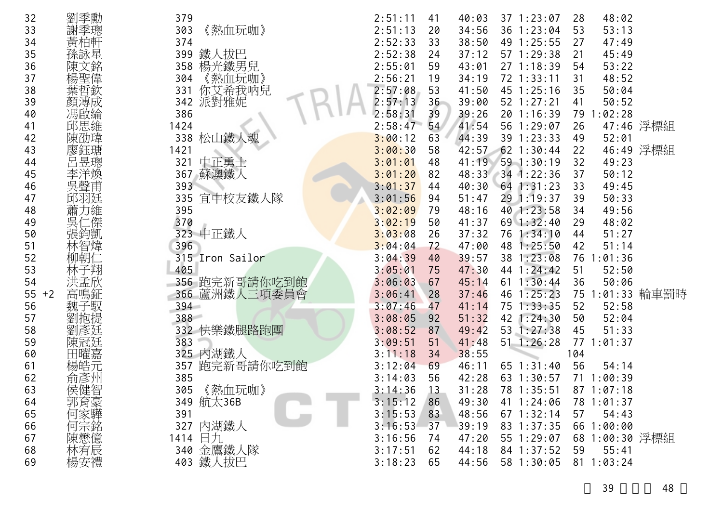| 32         | 劉季勳                | 379     |                 | 2:51:11 | 41              | 40:03 | 37 1:23:07     | 28  | 48:02          |                 |
|------------|--------------------|---------|-----------------|---------|-----------------|-------|----------------|-----|----------------|-----------------|
| 33         | 謝季璁                | 303     | 《熱血玩咖》          | 2:51:13 | 20              | 34:56 | 36 1:23:04     | 53  | 53:13          |                 |
| 34         | 黃柏軒                | 374     |                 | 2:52:33 | 33              | 38:50 | 49 1:25:55     | 27  | 47:49          |                 |
| 35         | 孫詠星                | 399     | 鐵人拔巴            | 2:52:38 | 24              | 37:12 | 57 1:29:38     | 21  | 45:49          |                 |
| 36         | 陳文銘                | 358     | 楊光鐵男兒           | 2:55:01 | 59              | 43:01 | 27 1:18:39     | 54  | 53:22          |                 |
| 37         | 楊聖偉                | 304     | 熱血玩咖》           | 2:56:21 | 19              | 34:19 | 72 1:33:11     | 31  | 48:52          |                 |
| 38         | 葉哲欽                | 331     | 你艾希我呐兒          | 2:57:08 | 53              | 41:50 | 45 1:25:16     | 35  | 50:04          |                 |
| 39         | 顏溥成                | 342     | 派對雅妮            | 2:57:13 | 36 <sup>2</sup> | 39:00 | 52 1:27:21     | 41  | 50:52          |                 |
| 40         | 馮啟綸                | 386     |                 | 2:58:31 | 39              | 39:26 | 20 1:16:39     |     | 79 1:02:28     |                 |
| 41         | 邱思維                | 1424    |                 | 2:58:47 | 54              | 41:54 | 56 1:29:07     | 26  |                | 47:46 浮標組       |
| 42         | 陳劭瑋                | 338     | 松山鐵人魂           | 3:00:12 | 63              | 44:39 | 39 1:23:33     | 49  | 52:01          |                 |
| 43         | 廖鈺瑭                | 1421    |                 | 3:00:30 | 58              | 42:57 | 62 1:30:44     | 22  |                | 46:49 浮標組       |
| 44         | 呂昱璁                | 321     | 中正勇士            | 3:01:01 | 48              | 41:19 | $59$ 1:30:19   | 32  | 49:23          |                 |
| 45         | 李洋煥                | 367     | 蘇澳鐵人            | 3:01:20 | 82              | 48:33 | $34$ 1:22:36   | 37  | 50:12          |                 |
| 46         |                    | 393     |                 | 3:01:37 | 44              | 40:30 | $64$ 1:31:23   | 33  | 49:45          |                 |
| 47         | 邱羽廷                | 335     | 宜中校友鐵人隊         | 3:01:56 | 94              | 51:47 | 29 1:19:37     | 39  | 50:33          |                 |
| 48         | 蕭力維                | 395     |                 | 3:02:09 | 79              | 48:16 | 40 1:23:58     | 34  | 49:56          |                 |
| 49         | 吳仁傑                | 370     |                 | 3:02:19 | 50              | 41:37 | $69$ 1:32:40   | 29  | 48:02          |                 |
| 50         | 張鈞凱                |         | 323 中正鐵人        | 3:03:08 | 26              | 37:32 | 76 1:34:10     | 44  | 51:27          |                 |
| 51         | 林智煒                | 396     |                 | 3:04:04 | 72              | 47:00 | 48 1:25:50     | 42  | 51:14          |                 |
| 52         | 柳朝仁                |         | 315 Iron Sailor | 3:04:39 | 40              | 39:57 | 38 1:23:08     |     | 76 1:01:36     |                 |
| 53         | 林子翔                | 405     |                 | 3:05:01 | 75              | 47:30 | 44 1:24:42     | 51  | 52:50          |                 |
| 54         | 洪孟欣                |         | 356 跑完新哥請你吃到飽   | 3:06:03 | 67              | 45:14 | 61 1:30:44     | 36  | 50:06          |                 |
| 55<br>$+2$ | 高鳴鉦                |         | 366 蘆洲鐵人三項委員會   | 3:06:41 | 28              | 37:46 | 1:25:23<br>46  |     |                | 75 1:01:33 輪車罰時 |
| 56         | 子馭<br>魏三           | $394 -$ |                 | 3:07:46 | 47              | 41:14 | 75<br>1:33:35  | 52  | 52:58          |                 |
| 57         | 劉抱提                | 388     |                 | 3:08:05 | 92              | 51:32 | 42<br>1:24:30  | 50  | 52:04          |                 |
| 58         | 彥廷                 |         | 332 快樂鐵腿路跑團     | 3:08:52 | 87              | 49:42 | 53 1:27:38     | 45  | 51:33          |                 |
| 59         | 陳冠廷                | 383     |                 | 3:09:51 | 51              | 41:48 | 51<br>1:26:28  | 77  | 1:01:37        |                 |
| 60         | 田曜嘉                |         | 325 内湖鐵人        | 3:11:18 | 34              | 38:55 |                | 104 |                |                 |
| 61         | 楊皓元                | 357     | 跑完新哥請你吃到飽       | 3:12:04 | 69              | 46:11 | $65$ $1:31:40$ | 56  | 54:14          |                 |
| 62         | 俞彥州                | 385     |                 | 3:14:03 | 56              | 42:28 | 63 1:30:57     | 71  | 1:00:39        |                 |
| 63         | 侯健智                | 305     | 《熱血玩咖》          | 3:14:36 | 13              | 31:28 | 78 1:35:51     |     | 871:07:18      |                 |
| 64         |                    |         | 349 航太36B       | 3:15:12 | 86              | 49:30 | 41 1:24:06     |     | 78 1:01:37     |                 |
| 65         |                    | 391     |                 | 3:15:53 | 83              | 48:56 | $67$ 1:32:14   | 57  | 54:43          |                 |
| 66         | 郭何家宗               |         | 327 內湖鐵人        | 3:16:53 | 37              | 39:19 | 83 1:37:35     |     | 66 1:00:00     |                 |
| 67         |                    |         | 1414 日九         | 3:16:56 | 74              | 47:20 | 55 1:29:07     |     | 68 1:00:30 浮標組 |                 |
| 68         |                    |         | 340 金鷹鐵人隊       | 3:17:51 | 62              | 44:18 | 84 1:37:52     | 59  | 55:41          |                 |
| 69         | ·陳懋宥安<br>林楊安<br>楊安 |         | 403 鐵人拔巴        | 3:18:23 | 65              | 44:56 | 58 1:30:05     |     | 81 1:03:24     |                 |
|            |                    |         |                 |         |                 |       |                |     |                |                 |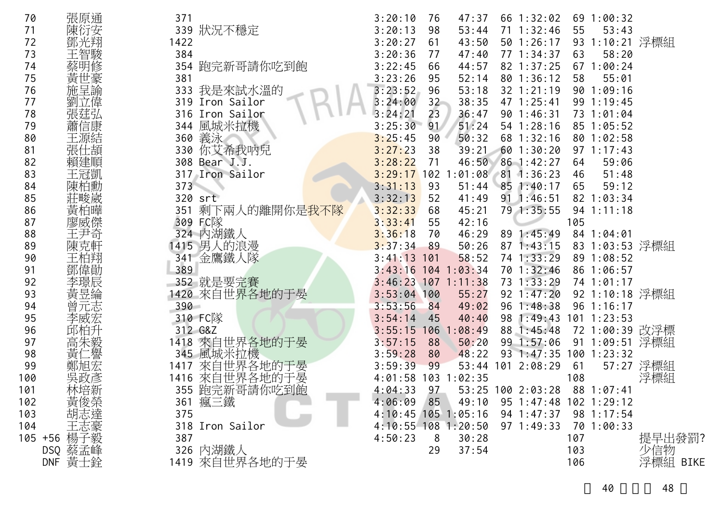| 70  | 張原通        | 371     |                            | 3:20:10               | 76  | 47:37                            | 66 1:32:02             |     | 69 1:00:32             |           |
|-----|------------|---------|----------------------------|-----------------------|-----|----------------------------------|------------------------|-----|------------------------|-----------|
| 71  | 陳衍安        |         | 339 狀況不穩定                  | 3:20:13               | 98  | 53:44                            | 71 1:32:46             | 55  | 53:43                  |           |
| 72  |            | 1422    |                            | 3:20:27               | 61  | 43:50                            | 50 1:26:17             |     | 93 1:10:21 浮標組         |           |
| 73  | 王智駿        | 384     |                            | 3:20:36               | 77  | 47:40                            | 77 1:34:37             | 63  | 58:20                  |           |
| 74  | 蔡明修        | 354     | 跑完新哥請你吃到飽                  | 3:22:45               | 66  | 44:57                            | 82 1:37:25             |     | 671:00:24              |           |
| 75  | 黃世豪        | 381     |                            | 3:23:26               | 95  | 52:14                            | $80$ 1:36:12           | 58  | 55:01                  |           |
| 76  | 施呈諭        |         | 333 我是來試水溫的                | 3:23:52               | 96  | 53:18                            | 32 1:21:19             |     | 901:09:16              |           |
| 77  | 劉立偉        |         | 319 Iron Sailor            | 3:24:00               | 32  | 38:35                            | 47 1:25:41             |     | 99 1:19:45             |           |
| 78  | 張莛弘        |         | 316 Iron Sailor            | 3:24:21               | 23  | 36:47                            | 901:46:31              |     | 73 1:01:04             |           |
| 79  | 蕭信康        |         | 344 風城米拉機                  | 3:25:30               | 91  | 51:24                            | $54$ 1:28:16           |     | 85 1:05:52             |           |
| 80  | 王源結        |         | 360 義泳                     | 3:25:45               | 90  | 50:32                            | 68 1:32:16             |     | 80 1:02:58             |           |
| 81  | 張仕頡        |         | 330 你艾希我呐兒                 | 3:27:23               | 38  | 39:21                            | 601:30:20              |     | $97 \t1:17:43$         |           |
| 82  | 賴建順        |         | 308 Bear J.J.              | 3:28:22               | 71  |                                  | 46:50 86 1:42:27       | 64  | 59:06                  |           |
| 83  | 王冠凱        |         | 317 Iron Sailor            |                       |     | $3:29:17$ 102 1:01:08 81 1:36:23 |                        | 46  | 51:48                  |           |
| 84  | 陳柏勳        | 373     |                            | 3:31:13               | 93  | 51:44                            | 85 1:40:17             | 65  | 59:12                  |           |
| 85  | 莊畯崴        |         | 320 srt                    | 3:32:13               | 52  | 41:49                            | $91 \t1:46:51$         |     | 82 1:03:34             |           |
| 86  | 黃柏曄        | 351     | 剩下兩人的離開你是 <mark>我不隊</mark> | 3:32:33               | 68  | 45:21                            | 79 1:35:55             |     | $94$ 1:11:18           |           |
| 87  | 廖威傑        |         | 309 FC隊                    | 3:33:41               | 55  | 42:16                            |                        | 105 |                        |           |
| 88  | 王尹奇        |         | 324 內湖鐵人                   | 3:36:18               | 70  | 46:29                            | 89 1:45:49             |     | 84 1:04:01             |           |
| 89  | 陳克軒        |         | 1415 男人的浪漫                 | 3:37:34               | 89  | 50:26                            | $87 \; 1:43:15$        |     | 83 1:03:53 浮標組         |           |
| 90  | 王柏翔        |         | 341 金鷹鐵人隊                  | $3:41:13$ 101         |     | 58:52                            | 74 1:33:29             |     | 89 1:08:52             |           |
| 91  | 鄧偉勛        | 389     |                            |                       |     | $3:43:16$ 104 1:03:34            | 70 1:32:46             |     | 86 1:06:57             |           |
| 92  | 李璟辰        |         | 352 就是要完賽                  | $3:46:23$ 107 1:11:38 |     |                                  | 73 1:33:29             |     | 74 1:01:17             |           |
| 93  | 黃昱綸        |         | 1420 來自世界各地的于晏             | $3:53:04$ 100         |     | 55:27                            | $92 \t1:47:20$         |     | 92 1:10:18 浮標組         |           |
| 94  | 曾元志        | $390 -$ |                            | 3:53:56               | 84  | 49:02                            | 96 1:48:38             |     | 96 1:16:17             |           |
| 95  | 李威宏        |         | 310 FC隊                    | 3:54:14               | 45  | 40:40                            |                        |     | 98 1:49:43 101 1:23:53 |           |
| 96  |            |         | 312 G&Z                    | 3:55:15               | 106 | :08:49                           | 88 1:45:48             |     | 72 1:00:39 改浮標         |           |
| 97  | 高朱毅        |         | 1418 來自世界各地的于晏             | 3:57:15               | 88  | 50:20                            | 99 1:57:06             |     | 91 1:09:51 浮標組         |           |
| 98  | 黃仁譽        |         | 345 風城米拉機                  | 3:59:28               | 80  | 48:22                            | 93 1:47:35 100 1:23:32 |     |                        |           |
| 99  |            | 1417    |                            | 3:59:39               | 99  |                                  | 53:44 101 2:08:29      | 61  |                        | 57:27 浮標組 |
| 100 | 吳政彥        | 1416    | 來自世界各地的于晏<br>來自世界各地的于晏     | 4:01:58 103 1:02:35   |     |                                  |                        | 108 |                        | 浮標組       |
| 101 | 林培新        |         | 355 跑完新哥請你吃到飽              | $4:04:33$ 97          |     |                                  | 53:25 100 2:03:28      |     | 88 1:07:41             |           |
| 102 | 黃俊榮        |         | 361 瘋三鐵                    | 4:06:09               | 85  | 49:10                            | 95 1:47:48 102 1:29:12 |     |                        |           |
| 103 |            | 375     |                            |                       |     | 4:10:45 105 1:05:16              | $94 \; 1:47:37$        |     | 98 1:17:54             |           |
| 104 | 三志豪<br>楊子毅 |         | 318 Iron Sailor            |                       |     | $4:10:55$ 108 1:20:50            | $97 \t1:49:33$         |     | 70 1:00:33             |           |
|     | $105 + 56$ | 387     |                            | 4:50:23               | 8   | 30:28                            |                        | 107 |                        | 提早出發罰?    |
|     | DSQ 蔡孟峰    |         | 326 內湖鐵人                   |                       | 29  | 37:54                            |                        | 103 |                        | 少信物       |
|     | DNF 黃王銓    |         | 1419 來自世界各地的于晏             |                       |     |                                  |                        | 106 |                        | 浮標組 BIKE  |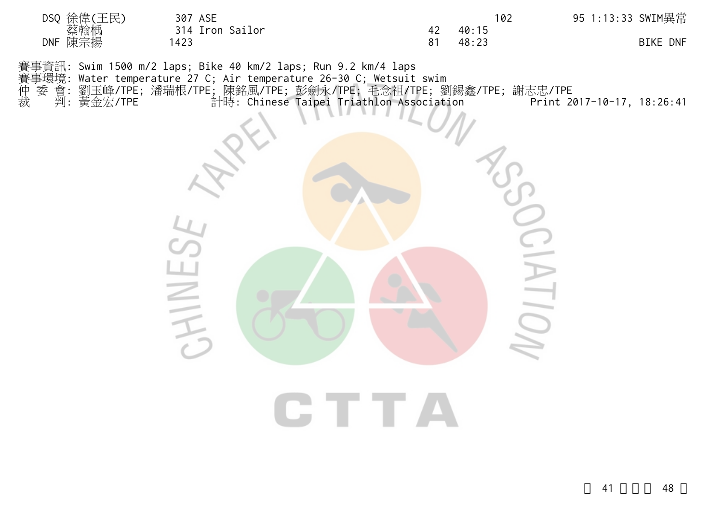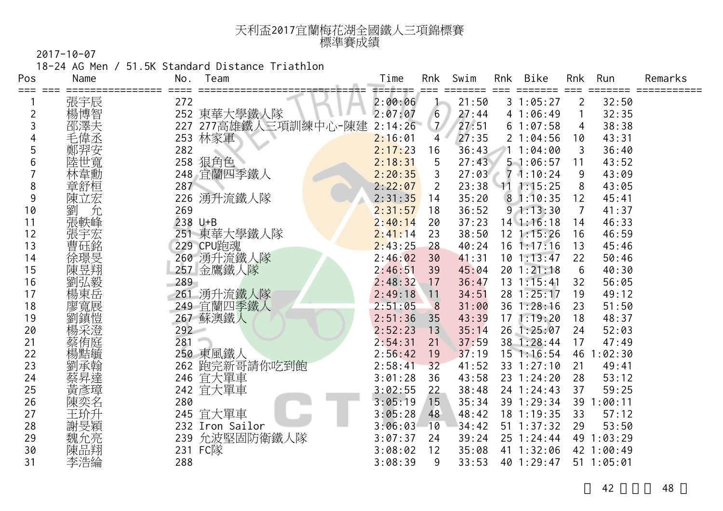| 天利盃2017宜蘭梅花湖全國鐵人三項錦標賽 |  |
|-----------------------|--|
| 標準賽成績                 |  |

18-24 AG Men / 51.5K Standard Distance Triathlon

| Pos | Name   | No. | Team             | Time    | Rnk            | Swim  | Rnk | Bike           | Rnk | Run        | Remarks |
|-----|--------|-----|------------------|---------|----------------|-------|-----|----------------|-----|------------|---------|
|     | 張宇辰    | 272 |                  | 2:00:06 | J-             | 21:50 |     | 31:05:27       | 2   | 32:50      |         |
| 2   | 楊博智    |     | 252 東華大學鐵人隊      | 2:07:07 | 6              | 27:44 |     | 41:06:49       |     | 32:35      |         |
| 3   | 部澤夫    | 227 | 277高雄鐵人三項訓練中心-陳建 | 2:14:26 | $\mathcal{I}$  | 27:51 |     | 61:07:58       | 4   | 38:38      |         |
| 4   | 毛偉丞    | 253 | 林家軍              | 2:16:01 | 4              | 27:35 |     | 21:04:56       | 10  | 43:31      |         |
| 5   |        | 282 |                  | 2:17:23 | 16             | 36:43 |     | 1:04:00        |     | 36:40      |         |
| 6   | 陸世寬    | 258 | 狠角色              | 2:18:31 | 5              | 27:43 |     | 51:06:57       | 11  | 43:52      |         |
|     | 林韋勳    | 248 | 宜蘭四季鐵人           | 2:20:35 | 3              | 27:03 |     | 71:10:24       | 9   | 43:09      |         |
| 8   | 章舒桓    | 287 |                  | 2:22:07 | $\overline{2}$ | 23:38 |     | 111:15:25      | 8   | 43:05      |         |
| 9   | 陳立宏    | 226 | 湧升流鐵人隊           | 2:31:35 | 14             | 35:20 |     | 81:10:35       | 12  | 45:41      |         |
| 10  | 劉<br>允 | 269 |                  | 2:31:57 | 18             | 36:52 |     | 91:13:30       | 7   | 41:37      |         |
| 11  | 張軼峰    |     | 238 U+B          | 2:40:14 | 20             | 37:23 |     | $14$ 1:16:18   | 14  | 46:33      |         |
| 12  | 張宇宏    | 251 | 東華大學鐵人隊          | 2:41:14 | 23             | 38:50 |     | $12 \t1:15:26$ | 16  | 46:59      |         |
| 13  | 曹砡銘    |     | 229 CPU跑魂        | 2:43:25 | 28             | 40:24 |     | $16$ 1:17:16   | 13  | 45:46      |         |
| 14  | 徐璟旻    |     | 260 湧升流鐵人隊       | 2:46:02 | 30             | 41:31 |     | 101:13:47      | 22  | 50:46      |         |
| 15  | 陳昱翔    |     | 257 金鷹鐵人隊        | 2:46:51 | 39             | 45:04 |     | 201:21:18      | 6   | 40:30      |         |
| 16  | 劉弘毅    | 289 |                  | 2:48:32 | 17             | 36:47 |     | $13 \t1:15:41$ | 32  | 56:05      |         |
| 17  | 楊東岳    | 261 | 湧升流鐵人隊           | 2:49:18 | $\sqrt{11}$    | 34:51 |     | 28 1:25:17     | 19  | 49:12      |         |
| 18  | 廖寬展    |     | 249 宜蘭四季鐵人       | 2:51:05 | 8              | 31:00 |     | 36 1:28:16     | 23  | 51:50      |         |
| 19  | 劉鎮愷    |     | 267 蘇澳鐵人         | 2:51:36 | 35             | 43:39 |     | 171:19:20      | 18  | 48:37      |         |
| 20  | 楊采澄    | 292 |                  | 2:52:23 | 13             | 35:14 |     | 26 1:25:07     | 24  | 52:03      |         |
| 21  | 蔡侑庭    | 281 |                  | 2:54:31 | 21             | 37:59 |     | 38 1:28:44     | 17  | 47:49      |         |
| 22  | 楊黠毓    |     | 250 東風鐵人         | 2:56:42 | 19             | 37:19 |     | $15$ 1:16:54   |     | 46 1:02:30 |         |
| 23  | 劉承翰    |     | 262 跑完新哥請你吃到飽    | 2:58:41 | 32             | 41:52 |     | 33 1:27:10     | 21  | 49:41      |         |
| 24  | 蔡昇達    |     | 246 宜大單車         | 3:01:28 | 36             | 43:58 |     | 23 1:24:20     | 28  | 53:12      |         |
| 25  | 黃彥璋    |     | 242 宜大單車         | 3:02:55 | 22             | 38:48 |     | 24 1:24:43     | 37  | 59:25      |         |
| 26  | 陳奕名    | 280 |                  | 3:05:19 | 15             | 35:34 |     | 39 1:29:34     | 39  | 1:00:11    |         |
| 27  | 王玠升    |     | 245 宜大單車         | 3:05:28 | 48             | 48:42 |     | 18 1:19:35     | 33  | 57:12      |         |
| 28  | 謝旻穎    |     | 232 Iron Sailor  | 3:06:03 | 10             | 34:42 |     | $51 \t1:37:32$ | 29  | 53:50      |         |
| 29  | 魏允亮    |     | 239 允波堅固防衛鐵人隊    | 3:07:37 | 24             | 39:24 |     | 25 1:24:44     |     | 49 1:03:29 |         |
| 30  | 陳品翔    |     | 231 FC隊          | 3:08:02 | 12             | 35:08 |     | 41 1:32:06     |     | 42 1:00:49 |         |
| 31  | 李浩綸    | 288 |                  | 3:08:39 | 9              | 33:53 |     | 40 1:29:47     |     | 51 1:05:01 |         |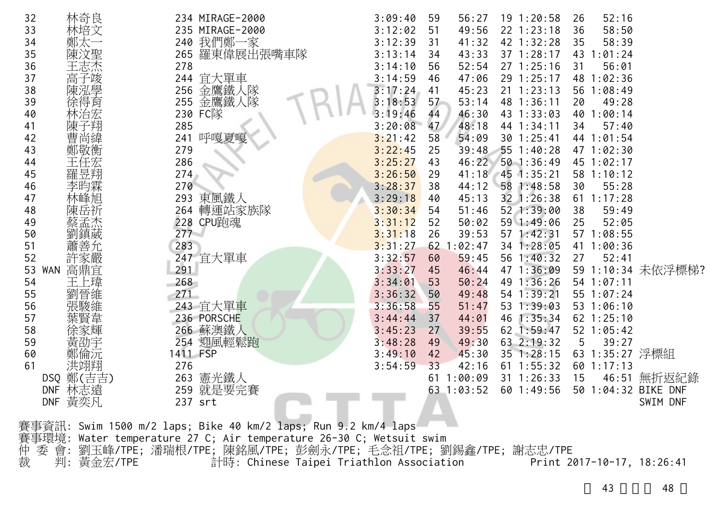|    | 32               | 林奇良       |          | 234 MIRAGE-2000                                                                                 | 3:09:40 | 59 | 56:27        | $19$ 1:20:58     | 26 | 52:16          |                     |
|----|------------------|-----------|----------|-------------------------------------------------------------------------------------------------|---------|----|--------------|------------------|----|----------------|---------------------|
|    | 33               | 林培文       |          | 235 MIRAGE-2000                                                                                 | 3:12:02 | 51 | 49:56        | $22$ 1:23:18     | 36 | 58:50          |                     |
|    | 34               | 鄭太一       |          | 240 我們鄭一家                                                                                       | 3:12:39 | 31 | 41:32        | 42 1:32:28       | 35 | 58:39          |                     |
|    | 35               | 陳汶聖       |          | 265 羅東偉展出張嘴車隊                                                                                   | 3:13:14 | 34 | 43:33        | 37 1:28:17       |    | 43 1:01:24     |                     |
|    | 36               | 王志杰       | 278      |                                                                                                 | 3:14:10 | 56 | 52:54        | 271:25:16        | 31 | 56:01          |                     |
| 37 |                  | 高子竣       |          | 244 宜大單車                                                                                        | 3:14:59 | 46 | 47:06        | 29 1:25:17       |    | 48 1:02:36     |                     |
| 38 |                  | 陳泓學       |          | 256 金鷹鐵人隊                                                                                       | 3:17:24 | 41 | 45:23        | $21 \t1:23:13$   | 56 | 1:08:49        |                     |
| 39 |                  | 徐得育       |          | 255 金鷹鐵人隊                                                                                       | 3:18:53 | 57 | 53:14        | 48 1:36:11       | 20 | 49:28          |                     |
|    | 40               | 林治宏       |          | 230 FC隊                                                                                         | 3:19:46 | 44 | 46:30        | 43 1:33:03       | 40 | 1:00:14        |                     |
| 41 |                  | 陳子翔       | 285      |                                                                                                 | 3:20:08 | 47 | 48:18        | 44 1:34:11       | 34 | 57:40          |                     |
|    | 42               | 曹尚緯       | 241      | 呼嘎夏嘎                                                                                            | 3:21:42 | 58 | 54:09        | $30$ 1:25:41     |    | 44 1:01:54     |                     |
|    | 43               | 鄭敬衡       | 279      |                                                                                                 | 3:22:45 | 25 |              | 39:48 55 1:40:28 |    | 47 1:02:30     |                     |
|    | 44               | 王任宏       | 286      |                                                                                                 | 3:25:27 | 43 | 46:22        | $50$ 1:36:49     |    | 45 1:02:17     |                     |
|    | 45               |           | 274      |                                                                                                 | 3:26:50 | 29 | 41:18        | $45$ 1:35:21     |    | 58 1:10:12     |                     |
| 46 |                  | 李昀霖       | 270      |                                                                                                 | 3:28:37 | 38 | 44:12        | 58 1:48:58       | 30 | 55:28          |                     |
|    | 47               | 林峰旭       |          | 293 東風鐵人                                                                                        | 3:29:18 | 40 | 45:13        | 32 1:26:38       |    | $61$ 1:17:28   |                     |
| 48 |                  | 陳岳祈       |          | 264 轉運站家族隊                                                                                      | 3:30:34 | 54 | 51:46        | 52 1:39:00       | 38 | 59:49          |                     |
| 49 |                  | 蔡孟杰       |          | 228 CPU跑魂                                                                                       | 3:31:12 | 52 | 50:02        | 59 1:49:06       | 25 | 52:05          |                     |
|    | 50               | 劉鎮葳       | $277 -$  |                                                                                                 | 3:31:18 | 26 | 39:53        | 57 1:42:31       |    | 57 1:08:55     |                     |
| 51 |                  | 蕭善允       | 283      |                                                                                                 | 3:31:27 |    | $62$ 1:02:47 | 34 1:28:05       |    | 41 1:00:36     |                     |
|    | 52               | 許家嚴       |          | 247 宜大單車                                                                                        | 3:32:57 | 60 | 59:45        | 56 1:40:32       | 27 | 52:41          |                     |
|    | 53<br><b>WAN</b> | 高鼎宜       | 291      |                                                                                                 | 3:33:27 | 45 | 46:44        | 47 1:36:09       |    |                | 59 1:10:34 未依浮標梯?   |
|    | 54               | 王上瑋       | 268      |                                                                                                 | 3:34:01 | 53 | 50:24        | 49 1:36:26       |    | 54 1:07:11     |                     |
|    | 55               | 劉晉維       | 271      |                                                                                                 | 3:36:32 | 50 | 49:48        | 54 1:39:21       |    | 55 1:07:24     |                     |
|    | 56               | 張駿維       |          | 243 宜大單車                                                                                        | 3:36:58 | 55 | 51:47        | 53 1:39:03       |    | 53 1:06:10     |                     |
| 57 |                  |           |          | 236 PORSCHE                                                                                     | 3:44:44 | 37 | 44:01        | 46 1:35:34       |    | $62$ 1:25:10   |                     |
| 58 |                  |           |          | 266 蘇澳鐵人                                                                                        | 3:45:23 | 27 | 39:55        | 62 1:59:47       |    | 52 1:05:42     |                     |
| 59 |                  | 黃劭宇       |          | 254 迎風輕鬆跑                                                                                       | 3:48:28 | 49 | 49:30        | 63 2:19:32       | 5  | 39:27          |                     |
|    | 60               | 鄭倫沅       | 1411 FSP |                                                                                                 | 3:49:10 | 42 | 45:30        | $35 \t1:28:15$   |    | 63 1:35:27 浮標組 |                     |
| 61 |                  | 洪翊翔       | 276      |                                                                                                 | 3:54:59 | 33 | 42:16        | $61$ 1:55:32     |    | 60 1:17:13     |                     |
|    |                  | DSQ 鄭(吉吉) |          | 263 憲光鐵人                                                                                        |         |    | 61 1:00:09   | 31 1:26:33       | 15 | 46:51          | 無折返紀錄               |
|    | <b>DNF</b>       | 林志遠       |          | 259 就是要完賽                                                                                       |         |    | 63 1:03:52   | $60$ 1:49:56     |    |                | 50 1:04:32 BIKE DNF |
|    | <b>DNF</b>       | 黃奕凡       |          | 237 srt                                                                                         |         |    |              |                  |    |                | SWIM DNF            |
|    |                  |           |          |                                                                                                 |         |    |              |                  |    |                |                     |
|    |                  |           |          | 賽事資訊: Swim 1500 m/2 laps; Bike 40 km/2 laps; Run 9.2 km/4 laps                                  |         |    |              |                  |    |                |                     |
|    | ₩₩₩₩₩            |           |          | $M_{\odot}$ to the second control $27.6$ details and second $26.20$ $\alpha$ $M_{\odot}$ to the |         |    |              |                  |    |                |                     |

賽事環境: Water temperature 27 C; Air temperature 26-30 C; Wetsuit swim 仲 委 會: 劉玉峰/TPE; 潘瑞根/TPE; 陳銘風/TPE; 彭劍永/TPE; 毛念祖/TPE; 劉錫鑫/TPE; 謝志忠/TPE 裁 判: 黃金宏/TPE 計時: Chinese Taipei Triathlon Association Print 2017-10-17, 18:26:41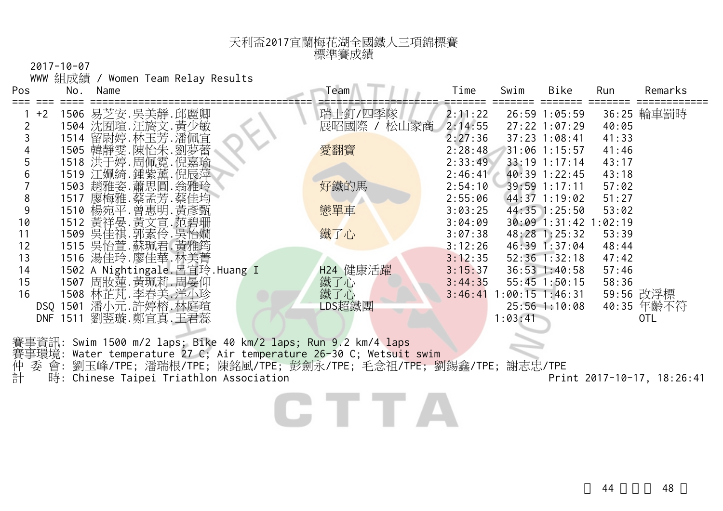## 天利盃2017宜蘭梅花湖全國鐵人三項錦標賽 標準賽成績

2017-10-07

WWW 組成績 / Women Team Relay Results

| Pos | No.         | Name                           | Team         | Time    | Swim              | Bike              | Run     | Remarks    |
|-----|-------------|--------------------------------|--------------|---------|-------------------|-------------------|---------|------------|
|     | $+2$        | 1506 易芝安.吳美靜.邱麗卿               | 瑞士釘/四季隊      | 2:11:22 |                   | 26:59 1:05:59     |         | 36:25 輪車罰時 |
|     |             | 1504 沈囿瑄.汪旖文.黃少敏               | 展昭國際<br>松山家商 | 2:14:55 |                   | $27:22$ 1:07:29   | 40:05   |            |
|     | 1514        | 留尉婷.林玉芳.潘佩宜                    |              | 2:27:36 |                   | $37:23$ 1:08:41   | 41:33   |            |
|     |             | 1505 韓靜雯.陳怡朱.劉夢蕾               | 愛翻寶          | 2:28:48 |                   | 31:06 1:15:57     | 41:46   |            |
|     |             | 1518 洪于婷. 周佩霓. 倪嘉瑜             |              | 2:33:49 |                   | $33:19$ 1:17:14   | 43:17   |            |
|     |             | 1519 江姵綺.鍾紫薰.倪辰萍               |              | 2:46:41 |                   | $40:39$ 1:22:45   | 43:18   |            |
|     |             | 1503 趙雅姿.蕭思圓.翁雅玲               | 好鐵的馬         | 2:54:10 |                   | 39:59 1:17:11     | 57:02   |            |
| 8   |             | 1517 廖梅雅.蔡孟芳.蔡佳均               |              | 2:55:06 |                   | 44:37 1:19:02     | 51:27   |            |
| 9   |             | 1510 楊宛平. 曾惠明. 黃彥甄             | 戀單車          | 3:03:25 |                   | 44:35 1:25:50     | 53:02   |            |
| 10  |             | 1512 黃祥晏.黃文宣.范碧珊               |              | 3:04:09 |                   | $30:09$ 1:31:42   | 1:02:19 |            |
| 11  |             | 1509 吳佳祺.郭素伶.吳怡嫺               | 鐵了心          | 3:07:38 |                   | 48:28 1:25:32     | 53:39   |            |
| 12  |             | 1515 吳怡萱. 蘇珮君. 黃雅筠             |              | 3:12:26 |                   | 46:39 1:37:04     | 48:44   |            |
| 13  |             | 1516 湯佳玲.廖佳華.林美菁               |              | 3:12:35 |                   | $52:36$ $1:32:18$ | 47:42   |            |
| 14  |             | 1502 A Nightingale.呂宜玲.Huang I | H24 健康活躍     | 3:15:37 |                   | $36:53$ 1:40:58   | 57:46   |            |
| 15  |             | 1507 周妝蓮.黃珮莉.周晏仰               | 鐵了心          | 3:44:35 |                   | $55:45$ 1:50:15   | 58:36   |            |
| 16  |             | 1508 林芷芃.李春美.洋小珍               | 鐵了心          | 3:46:41 | $1:00:15$ 1:46:31 |                   |         | 59:56 改浮標  |
|     | 1501<br>DSQ | 潘小元.許婷榕.林庭瑄                    | LDS超鐵團       |         |                   | $25:56$ 1:10:08   |         | 40:35 年齡不符 |
|     | 1511<br>DNF | 劉翌璇.鄭宜真.王君蕊                    |              |         | 1:03:41           |                   |         | 0TL        |
|     |             |                                |              |         |                   |                   |         |            |

賽事資訊: Swim 1500 m/2 laps; Bike 40 km/2 laps; Run 9.2 km/4 laps 賽事環境: Water temperature 27 C; Air temperature 26-30 C; Wetsuit swim 仲 委 會: 劉玉峰/TPE; 潘瑞根/TPE; 陳銘風/TPE; 彭劍永/TPE; 毛念祖/TPE; 劉錫鑫/TPE; 謝志忠/TPE 計 時: Chinese Taipei Triathlon Association Print 2017-10-17, 18:26:41

CTTA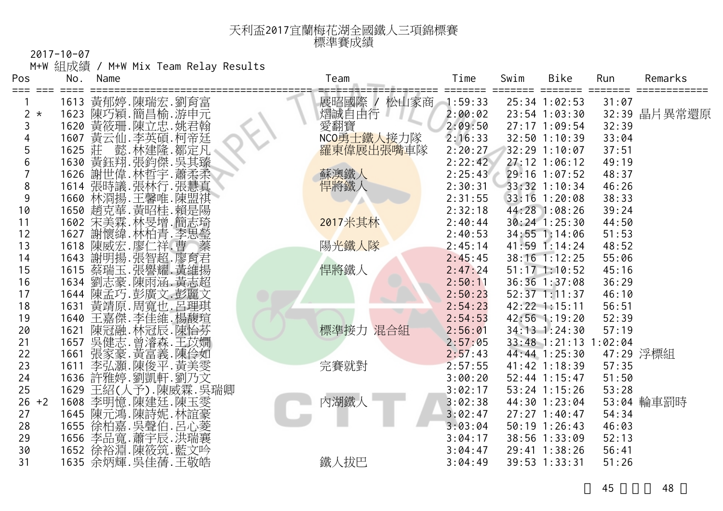## 天利盃2017宜蘭梅花湖全國鐵人三項錦標賽 標準賽成績

2017-10-07

M+W 組成績 / M+W Mix Team Relay Results

| Pos                       | No.          | Name |                                                          | Team         | Time               | Swim | Bike                           | Run            | Remarks      |
|---------------------------|--------------|------|----------------------------------------------------------|--------------|--------------------|------|--------------------------------|----------------|--------------|
| ⋍⋍⋍<br>≔==                |              |      |                                                          |              |                    |      |                                |                |              |
|                           | 1613         |      | 黃郁婷.陳瑞宏.劉育富<br>陳巧穎.簡昌榆.游申元                               | 展昭國際<br>松山家商 | 1:59:33            |      | 25:34 1:02:53                  | 31:07          |              |
| $\overline{2}$<br>$\star$ | 1623         |      |                                                          | 熠誠自由行        | 2:00:02            |      | 23:54 1:03:30                  |                | 32:39 晶片異常還原 |
| 3                         | 1620         |      | 黃筱珊.陳立忠.姚君翰                                              | 愛翻寶          | 2:09:50            |      | 27:17 1:09:54                  | 32:39          |              |
|                           | 1607         |      | 黃云仙.李英碩.柯帝廷                                              | NCO勇士鐵人接力隊   | 2:16:33            |      | 32:50 1:10:39                  | 33:04          |              |
| 5                         | 1625         |      | 莊 懿.林建隆.鄒定凡<br>黃鈺翔.張鈞傑.吳其臻                               | 羅東偉展出張嘴車隊    | 2:20:27            |      | 32:29 1:10:07                  | 37:51          |              |
| 6<br>$\overline{7}$       | 1630<br>1626 |      |                                                          |              | 2:22:42            |      | 27:12 1:06:12<br>29:16 1:07:52 | 49:19          |              |
| 8                         | 1614         |      | 謝世偉. 林哲宇. 蕭柔柔                                            | 蘇澳鐵人         | 2:25:43<br>2:30:31 |      | 33:32 1:10:34                  | 48:37<br>46:26 |              |
| 9                         | 1660         |      | 張時議.張林行.張慧真                                              | 悍將鐵人         | 2:31:55            |      | 33:16 1:20:08                  | 38:33          |              |
| 10                        | 1650         |      | 林浻揚 王馨唯 陳盟祺                                              |              | 2:32:18            |      | 44:28 1:08:26                  | 39:24          |              |
| 11                        | 1602         |      | 利克<br>菲·黃昭桂·賴是陽<br>宋美霖·林旻增·簡志琦                           | 2017米其林      | 2:40:44            |      | $30:24$ 1:25:30                | 44:50          |              |
| 12                        | 1627         |      | 謝懷緯.林柏青.李思瑩                                              |              | 2:40:53            |      | 34:55 1:14:06                  | 51:53          |              |
| 13                        | 1618         |      |                                                          | 陽光鐵人隊        | 2:45:14            |      | $41:59$ $1:14:24$              | 48:52          |              |
| 14                        | 1643         |      | "陳威宏·廖仁祥·曹宗君揚班揚·張智超·廖君揚進·<br>蔡瑞玉·張譽耀·黃雄黃雄玉·張譽耀·黃雄·黃語     |              | 2:45:45            |      | 38:16 1:12:25                  | 55:06          |              |
| 15                        | 1615         |      |                                                          | 悍將鐵人         | 2:47:24            |      | $51:17$ $1:10:52$              | 45:16          |              |
| 16                        | 1634         |      |                                                          |              | 2:50:11            |      | 36:36 1:37:08                  | 36:29          |              |
| 17                        | 1644         |      | 陳孟巧.彭廣文.彭麗文                                              |              | 2:50:23            |      | $52:37$ $1:11:37$              | 46:10          |              |
| 18                        | 1631         |      | 黃靖原. 周寬也. 呂理琪                                            |              | 2:54:23            |      | 42:22 1:15:11                  | 56:51          |              |
| 19                        | 1640         |      | 王嘉傑.李佳維.楊馥瑄                                              |              | 2:54:53            |      | 42:56 1:19:20                  | 52:39          |              |
| 20                        | 1621         |      | 陳冠融.林冠辰.陳怡芬                                              | 標準接力<br>混合組  | 2:56:01            |      | 34:13 1:24:30                  | 57:19          |              |
| 21                        | 1657         |      | 吳健志.曾濬森.王苡嫺                                              |              | 2:57:05            |      | $33:48$ 1:21:13                | :02:04         |              |
| 22                        | 1661         |      | 張家.黃富義.陳伶如<br>李弘灝.陳俊平.黃美雯.                               |              | 2:57:43            |      | 44:44 1:25:30                  |                | 47:29 浮標組    |
| 23                        | 1611         |      |                                                          | 完賽就對         | 2:57:55            |      | 41:42 1:18:39                  | 57:35          |              |
| 24                        | 1636         |      | 許雅婷.劉凱軒.劉乃文                                              |              | 3:00:20            |      | 52:44 1:15:47                  | 51:50          |              |
| 25                        | 1629         |      | 王紹(人予).陳威霖.吳瑞卿                                           |              | 3:02:17            |      | $53:24$ 1:15:26                | 53:28          |              |
| $26 + 2$                  | 1608         |      | 李明憶.陳建廷.陳玉雯<br>陳元鴻.陳詩妮.林誼豪                               | 內湖鐵人         | 3:02:38            |      | 44:30 1:23:04                  |                | 53:04 輪車罰時   |
| 27                        | 1645         |      |                                                          |              | 3:02:47            |      | $27:27$ 1:40:47                | 54:34          |              |
| 28                        |              |      |                                                          |              | 3:03:04            |      | 50:19 1:26:43                  | 46:03          |              |
| 29                        |              |      | 1655 徐柏嘉.吴聲伯.呂心菱<br>1656 李品寬.蕭宇辰.洪瑞襄<br>1652 徐裕淵.陳筱筑.藍文吟 |              | 3:04:17            |      | 38:56 1:33:09                  | 52:13          |              |
| 30                        |              |      |                                                          |              | 3:04:47            |      | 29:41 1:38:26                  | 56:41          |              |
| 31                        |              |      | 1635 余炳輝. 吳佳蒨. 王敬皓                                       | 鐵人拔巴         | 3:04:49            |      | 39:53 1:33:31                  | 51:26          |              |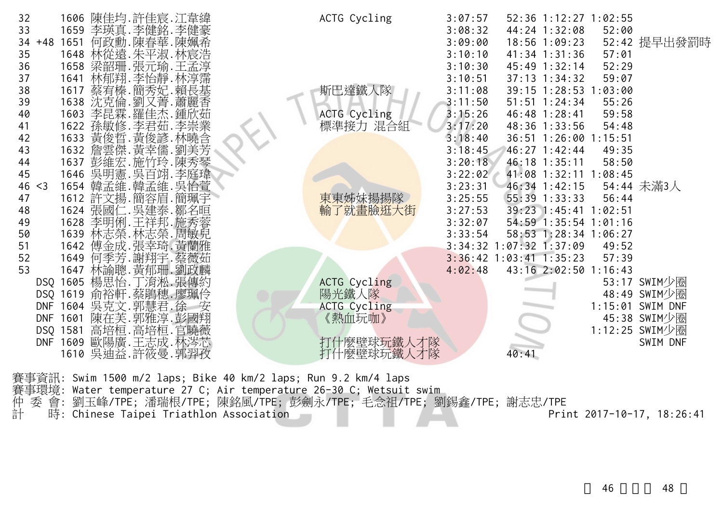| 32<br>33       |          |                    | 1606 陳佳均.許佳宸.江韋緯<br>1659 李瑛真.李健銘.李健豪         |  | ACTG Cycling        | 3:07:57<br>3:08:32 |                           | 52:36 1:12:27 1:02:55<br>44:24 1:32:08 | 52:00 |                  |
|----------------|----------|--------------------|----------------------------------------------|--|---------------------|--------------------|---------------------------|----------------------------------------|-------|------------------|
| $34 + 48$      |          |                    | 1651 何政勳.陳春華.陳姵希                             |  |                     | 3:09:00            |                           | 18:56 1:09:23                          |       | 52:42 提早出發罰時     |
| 35             |          |                    | 1648 林從遠.朱平淑.林宸浩                             |  |                     | 3:10:10            |                           | $41:34$ $1:31:36$                      | 57:01 |                  |
| 36             |          |                    | 1658 梁韶珊.張元瑜.王孟淳                             |  |                     | 3:10:30            |                           | 45:49 1:32:14                          | 52:29 |                  |
| 37             | 1641     |                    | 林郁翔.李怡靜.林淳霈                                  |  |                     | 3:10:51            |                           | $37:13$ $1:34:32$                      | 59:07 |                  |
| 38             | 1617     |                    | 蔡宥榛.簡秀妃.賴長基                                  |  | 斯巴達鐵人隊              | 3:11:08            |                           | 39:15 1:28:53 1:03:00                  |       |                  |
| 39             |          |                    | 1638 沈克倫.劉又菁.蕭麗香                             |  |                     | 3:11:50            |                           | $51:51$ $1:24:34$                      | 55:26 |                  |
| 40             | 1603     |                    | 李昆霖. 羅佳杰. 鍾欣茹                                |  | ACTG Cycling        | 3:15:26            |                           | 46:48 1:28:41                          | 59:58 |                  |
| 41             |          |                    | 1622 孫敏修.李君茹.李崇業                             |  | 標準接力 混合組            | 3:17:20            |                           | 48:36 1:33:56                          | 54:48 |                  |
| 42<br>43       |          |                    | 1633 黃俊晢. 黃俊諺. 林曉含<br>1632 詹雲傑. 黃幸儒. 劉美芳     |  |                     | 3:18:40<br>3:18:45 |                           | 36:51 1:26:00 1:15:51<br>46:27 1:42:44 | 49:35 |                  |
| 44             |          |                    | 1637 彭維宏. 施竹玲. 陳秀琴                           |  |                     | 3:20:18            |                           | 46:18 1:35:11                          | 58:50 |                  |
| 45             |          |                    | 1646 吳明憲. 吳百翊. 李庭瑋                           |  |                     | 3:22:02            |                           | 41:08 1:32:11 1:08:45                  |       |                  |
| 46<br>$\leq$ 3 |          |                    | 1654 韓孟維.韓孟維.吳怡萱                             |  |                     | 3:23:31            |                           | 46:34 1:42:15                          |       | 54:44 未滿3人       |
| 47             |          |                    | 1612 許文揚.簡容眉.簡珮宇                             |  | 東東姊妹揚揚隊             | 3:25:55            |                           | 55:39 1:33:33                          | 56:44 |                  |
| 48             |          |                    | 1624 張國仁.吳建泰.鄒名晅                             |  | 輸丁<br>^就畫臉逛大街       | 3:27:53            |                           | 39:23 1:45:41 1:02:51                  |       |                  |
| 49             |          |                    | 1628 李明俐.王祥邦.施秀蓉                             |  |                     | 3:32:07            |                           | 54:59 1:35:54 1:01:16                  |       |                  |
| 50             |          |                    | 1639 林志榮. 林志榮. 周敏兒                           |  |                     | 3:33:54            |                           | 58:53 1:28:34 1:06:27                  |       |                  |
| 51             |          |                    | 1642 傅金成. 張幸琦. 黃蘭雅                           |  |                     | 3:34:32            |                           | $:07:32$ 1:37:09                       | 49:52 |                  |
| 52             | 1649     |                    | 何季芳.謝翔宇.蔡薇茹                                  |  |                     |                    | $3:36:42$ 1:03:41 1:35:23 |                                        | 57:39 |                  |
| 53             |          |                    | 1647 林諭聰.黃郁珊.劉政麟                             |  |                     | 4:02:48            |                           | 43:16 2:02:50 1:16:43                  |       |                  |
|                |          |                    | DSQ 1605 楊思怡.丁淯淞.張傳約                         |  | <b>ACTG Cycling</b> |                    |                           |                                        |       | 53:17 SWIM少圈     |
|                | DSQ 1619 |                    | 俞裕軒.蔡鵑穗.廖珮伶                                  |  | 陽光鐵人隊               |                    |                           |                                        |       | 48:49 SWIM少圈     |
|                |          | DNF 1604 吳克文.郭慧君.徐 |                                              |  | <b>ACTG Cycling</b> |                    |                           |                                        |       | 1:15:01 SWIM DNF |
| <b>DNF</b>     |          |                    | 1601 陳在芙.郭雅淳.彭國翔                             |  | 《熱血玩咖》              |                    |                           |                                        |       | 45:38 SWIM少圈     |
|                |          |                    |                                              |  |                     |                    |                           |                                        |       | 1:12:25 SWIM少圈   |
|                |          |                    | DSQ 1581 高培桓.高培桓.官曉薇<br>DNF 1609 歐陽廣.王志成.林涔芯 |  | 打什麼壁球玩鐵人才隊          |                    |                           |                                        |       | SWIM DNF         |
|                | 1610     |                    | 吳迪益.許筱曼.郭羿孜                                  |  | 打什麼壁球玩鐵人才隊          |                    | 40:41                     |                                        |       |                  |
|                |          |                    |                                              |  |                     |                    |                           |                                        |       |                  |

賽事資訊: Swim 1500 m/2 laps; Bike 40 km/2 laps; Run 9.2 km/4 laps 賽事環境: Water temperature 27 C; Air temperature 26-30 C; Wetsuit swim 仲 委 會: 劉玉峰/TPE; 潘瑞根/TPE; 陳銘風/TPE; 彭劍永/TPE; 毛念祖/TPE; 劉錫鑫/TPE; 謝志忠/TPE 計 時: Chinese Taipei Triathlon Association Print 2017-10-17, 18:26:41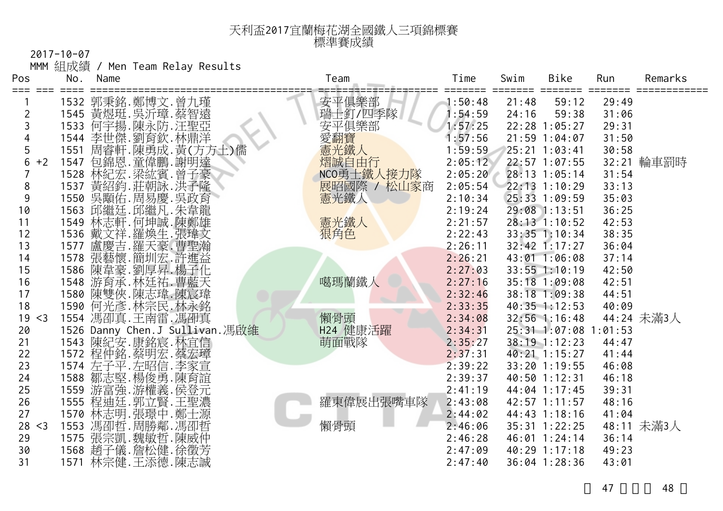## 天利盃2017宜蘭梅花湖全國鐵人三項錦標賽 標準賽成績

2017-10-07

MMM 組成績 / Men Team Relay Results

| Pos            | No.  | Name |                                                          | Team        | Time    | Swim  | Bike              | Run    | Remarks    |
|----------------|------|------|----------------------------------------------------------|-------------|---------|-------|-------------------|--------|------------|
|                |      |      |                                                          | 安平俱樂部       | 1:50:48 | 21:48 | 59:12             | 29:49  |            |
| $\overline{2}$ |      |      | 1532 郭秉銘.鄭博文.曾九瑾<br>1545 黃煜珽.吳沂璋.蔡智遠<br>1533 何宇揚.陳永防.汪聖亞 | 瑞士釘/四季隊     | : 54:59 | 24:16 | 59:38             | 31:06  |            |
| 3              |      |      |                                                          | 安平俱樂部       | 1:57:25 |       | 22:28 1:05:27     | 29:31  |            |
|                |      |      | 1544 李世傑.劉育欽.林鼎洋                                         | 愛翻寶         | 1:57:56 |       | 21:59 1:04:07     | 31:50  |            |
| 5              |      |      | 1551 周睿軒.陳勇成.黃(方方土)儒                                     | 憲光鐵人        | 1:59:59 |       | 25:21 1:03:41     | 30:58  |            |
| 6<br>$+2$      |      |      |                                                          | 熠誠自由行       | 2:05:12 |       | 22:57 1:07:55     |        | 32:21 輪車罰時 |
|                |      |      | 1547 包錦恩.童偉鵬.謝明達<br>1528 林紀宏.梁紘賓.曾子豪                     | NCO勇士鐵人接力隊  | 2:05:20 |       | 28:13 1:05:14     | 31:54  |            |
| 8              | 1537 |      | 黃紹鈞.莊朝詠.洪子隆                                              | 展昭國際 / 松山家商 | 2:05:54 |       | 22:13 1:10:29     | 33:13  |            |
| 9              |      |      | 1550 吳顒佑. 周易慶. 吳政育                                       | 憲光鐵人        | 2:10:34 |       | 25:33 1:09:59     | 35:03  |            |
| 10             |      |      | 1563 邱繼廷. 邱繼凡. 朱韋龍                                       |             | 2:19:24 |       | 29:08 1:13:51     | 36:25  |            |
| 11             | 1549 |      | 林志軒.何坤誠.陳鄭雄                                              | 憲光鐵人        | 2:21:57 |       | 28:13 1:10:52     | 42:53  |            |
| 12             |      |      | 1536 戴文祥.羅煥生.張瑋文                                         | 狠角色         | 2:22:43 |       | 33:35 1:10:34     | 38:35  |            |
| 13             |      |      | 1577 盧慶吉.羅天豪.曹聖瀚<br>1578 張藝懷.簡圳宏.許進益                     |             | 2:26:11 |       | $32:42$ 1:17:27   | 36:04  |            |
| 14             |      |      |                                                          |             | 2:26:21 |       | 43:01 1:06:08     | 37:14  |            |
| 15             | 1586 |      | 陳韋豪.劉厚昇.楊子化                                              |             | 2:27:03 |       | $33:55$ $1:10:19$ | 42:50  |            |
| 16             |      |      | 1548 游育承. 林廷祐. 曹藍天                                       | 噶瑪蘭鐵人       | 2:27:16 |       | 35:18 1:09:08     | 42:51  |            |
| 17             |      |      | 1580 陳雙俠.陳志瑋.陳宸瑋                                         |             | 2:32:46 |       | 38:18 1:09:38     | 44:51  |            |
| 18             |      |      | 1590 何光彥. 林宗民. 林永銘                                       |             | 2:33:35 |       | $40:35$ 1:12:53   | 40:09  |            |
| 19 < 3         |      |      | 1554 馮卲真.王南雷.馮卲真                                         | 懶骨頭         | 2:34:08 |       | 32:56 1:16:48     |        | 44:24 未滿3人 |
| 20             |      |      | 1526 Danny Chen.J Sullivan.馮啟維                           | H24 健康活躍    | 2:34:31 |       | $25:31$ $1:07:08$ | :01:53 |            |
| 21             |      |      | 1543 陳紀安.康銘宸.林宜信                                         | 萌面戰隊        | 2:35:27 |       | 38:19 1:12:23     | 44:47  |            |
| 22             |      |      | 1572 程仲銘.蔡明宏.蔡宏璋                                         |             | 2:37:31 |       | 40:21 1:15:27     | 41:44  |            |
| 23             |      |      | 1574 左子平.左昭信.李家宣                                         |             | 2:39:22 |       | 33:20 1:19:55     | 46:08  |            |
| 24             | 1588 |      | 鄒志堅.楊俊勇.陳育誼                                              |             | 2:39:37 |       | 40:50 1:12:31     | 46:18  |            |
| 25             |      |      | 1559 游富強.游權義.侯登元<br>1555 程迪廷.郭立賢.王聖濃                     |             | 2:41:19 |       | 44:04 1:17:45     | 39:31  |            |
| 26             |      |      |                                                          | 羅東偉展出張嘴車隊   | 2:43:08 |       | 42:57 1:11:57     | 48:16  |            |
| 27             |      |      | 1570 林志明. 張璟中. 鄭士源                                       |             | 2:44:02 |       | 44:43 1:18:16     | 41:04  |            |
| 28 < 3         |      |      | 1553 馮卲哲. 周勝鄰. 馮卲哲                                       | 懶骨頭         | 2:46:06 |       | 35:31 1:22:25     |        | 48:11 未滿3人 |
| 29             |      |      | 1575 張宗凱.魏敏哲.陳威仲<br>1568 趙子儀.詹松健.徐徵芳                     |             | 2:46:28 |       | 46:01 1:24:14     | 36:14  |            |
| 30             |      |      |                                                          |             | 2:47:09 |       | 40:29 1:17:18     | 49:23  |            |
| 31             |      |      | 1571 林宗健.王添德.陳志誠                                         |             | 2:47:40 |       | 36:04 1:28:36     | 43:01  |            |